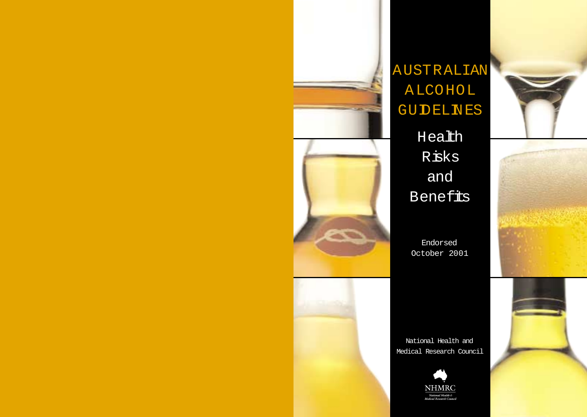

# AUSTRALIAN **ALCOHOL GUDELNES**

Health Risks and **Benefits** 

Endorsed October 2001

National Health and Medical Research Council





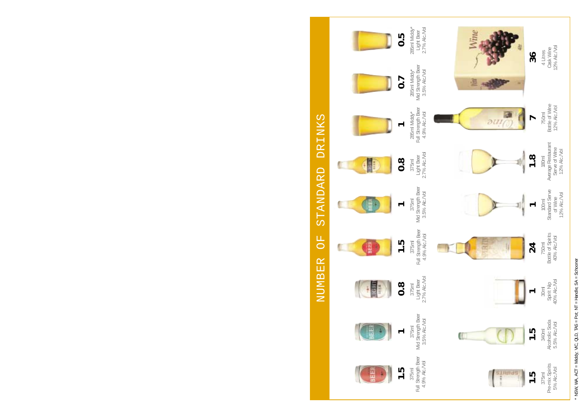STANDARD DRINKS NUMBER OF STANDARD DRINKS  $\overline{C}$ NUMBER



\* NSW, WA, ACT = Middy; VIC, QLD, TAS = Pot; NT = Handle;  $SA =$  Schooner \* NSW, WA, ACT = Middy; VIC, QLD, TAS = Pot; NT = Handle; SA = Schooner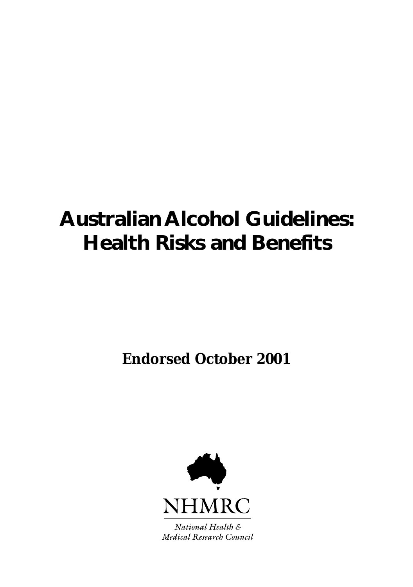# **Australian Alcohol Guidelines: Health Risks and Benefits**

**Endorsed October 2001**



National Health & Medical Research Council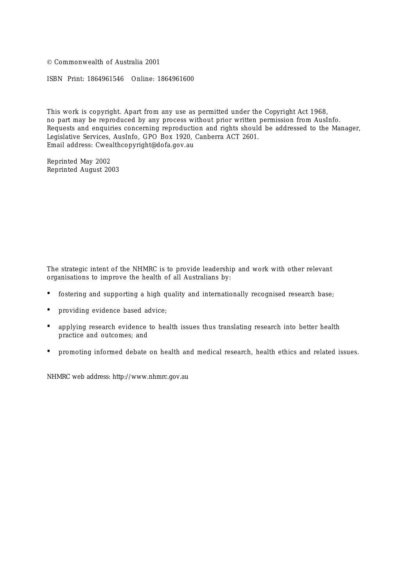© Commonwealth of Australia 2001

ISBN Print: 1864961546 Online: 1864961600

This work is copyright. Apart from any use as permitted under the *Copyright Act 1968,* no part may be reproduced by any process without prior written permission from AusInfo. Requests and enquiries concerning reproduction and rights should be addressed to the Manager, Legislative Services, AusInfo, GPO Box 1920, Canberra ACT 2601. Email address: Cwealthcopyright@dofa.gov.au

Reprinted May 2002 Reprinted August 2003

The strategic intent of the NHMRC is to provide leadership and work with other relevant organisations to improve the health of all Australians by:

- fostering and supporting a high quality and internationally recognised research base;
- providing evidence based advice;
- applying research evidence to health issues thus translating research into better health practice and outcomes; and
- promoting informed debate on health and medical research, health ethics and related issues.

NHMRC web address: http://www.nhmrc.gov.au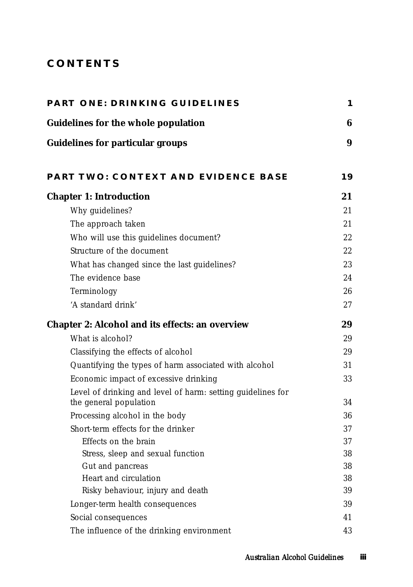## **CONTENTS**

| <b>PART ONE: DRINKING GUIDELINES</b>                        | 1  |
|-------------------------------------------------------------|----|
| <b>Guidelines for the whole population</b>                  | 6  |
| <b>Guidelines for particular groups</b>                     | 9  |
| PART TWO: CONTEXT AND EVIDENCE BASE                         | 19 |
| <b>Chapter 1: Introduction</b>                              | 21 |
| Why guidelines?                                             | 21 |
| The approach taken                                          | 21 |
| Who will use this guidelines document?                      | 22 |
| Structure of the document                                   | 22 |
| What has changed since the last guidelines?                 | 23 |
| The evidence base                                           | 24 |
| Terminology                                                 | 26 |
| 'A standard drink'                                          | 27 |
| <b>Chapter 2: Alcohol and its effects: an overview</b>      | 29 |
| What is alcohol?                                            | 29 |
| Classifying the effects of alcohol                          | 29 |
| Quantifying the types of harm associated with alcohol       | 31 |
| Economic impact of excessive drinking                       | 33 |
| Level of drinking and level of harm: setting guidelines for |    |
| the general population                                      | 34 |
| Processing alcohol in the body                              | 36 |
| Short-term effects for the drinker                          | 37 |
| Effects on the brain                                        | 37 |
| Stress, sleep and sexual function                           | 38 |
| Gut and pancreas                                            | 38 |
| Heart and circulation                                       | 38 |
| Risky behaviour, injury and death                           | 39 |
| Longer-term health consequences                             | 39 |
| Social consequences                                         | 41 |
| The influence of the drinking environment                   | 43 |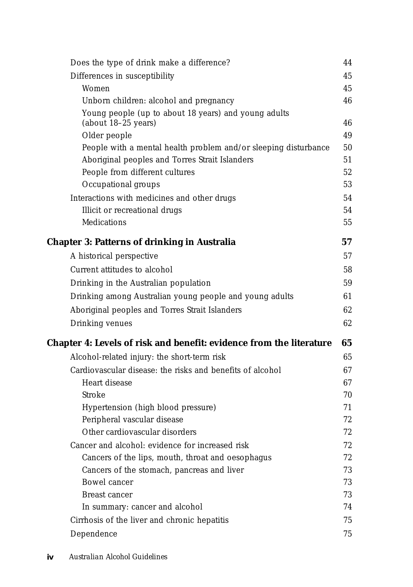| Differences in susceptibility<br>Women<br>Unborn children: alcohol and pregnancy<br>Young people (up to about 18 years) and young adults<br>(about 18-25 years)<br>Older people<br>People with a mental health problem and/or sleeping disturbance<br>Aboriginal peoples and Torres Strait Islanders<br>People from different cultures<br>Occupational groups<br>Interactions with medicines and other drugs<br>Illicit or recreational drugs<br>Medications<br><b>Chapter 3: Patterns of drinking in Australia</b><br>A historical perspective<br>Current attitudes to alcohol<br>Drinking in the Australian population<br>Drinking among Australian young people and young adults<br>Aboriginal peoples and Torres Strait Islanders<br>Drinking venues<br>Chapter 4: Levels of risk and benefit: evidence from the literature<br>Alcohol-related injury: the short-term risk<br>Cardiovascular disease: the risks and benefits of alcohol<br>Heart disease<br>Stroke<br>Hypertension (high blood pressure)<br>Peripheral vascular disease<br>Other cardiovascular disorders<br>Cancer and alcohol: evidence for increased risk<br>Cancers of the lips, mouth, throat and oesophagus<br>Cancers of the stomach, pancreas and liver<br>Bowel cancer<br>Breast cancer<br>In summary: cancer and alcohol<br>Cirrhosis of the liver and chronic hepatitis<br>Dependence | Does the type of drink make a difference? | 44       |
|----------------------------------------------------------------------------------------------------------------------------------------------------------------------------------------------------------------------------------------------------------------------------------------------------------------------------------------------------------------------------------------------------------------------------------------------------------------------------------------------------------------------------------------------------------------------------------------------------------------------------------------------------------------------------------------------------------------------------------------------------------------------------------------------------------------------------------------------------------------------------------------------------------------------------------------------------------------------------------------------------------------------------------------------------------------------------------------------------------------------------------------------------------------------------------------------------------------------------------------------------------------------------------------------------------------------------------------------------------------------|-------------------------------------------|----------|
|                                                                                                                                                                                                                                                                                                                                                                                                                                                                                                                                                                                                                                                                                                                                                                                                                                                                                                                                                                                                                                                                                                                                                                                                                                                                                                                                                                      |                                           | 45       |
|                                                                                                                                                                                                                                                                                                                                                                                                                                                                                                                                                                                                                                                                                                                                                                                                                                                                                                                                                                                                                                                                                                                                                                                                                                                                                                                                                                      |                                           | 45       |
|                                                                                                                                                                                                                                                                                                                                                                                                                                                                                                                                                                                                                                                                                                                                                                                                                                                                                                                                                                                                                                                                                                                                                                                                                                                                                                                                                                      |                                           | 46       |
|                                                                                                                                                                                                                                                                                                                                                                                                                                                                                                                                                                                                                                                                                                                                                                                                                                                                                                                                                                                                                                                                                                                                                                                                                                                                                                                                                                      |                                           |          |
|                                                                                                                                                                                                                                                                                                                                                                                                                                                                                                                                                                                                                                                                                                                                                                                                                                                                                                                                                                                                                                                                                                                                                                                                                                                                                                                                                                      |                                           | 46       |
|                                                                                                                                                                                                                                                                                                                                                                                                                                                                                                                                                                                                                                                                                                                                                                                                                                                                                                                                                                                                                                                                                                                                                                                                                                                                                                                                                                      |                                           | 49       |
|                                                                                                                                                                                                                                                                                                                                                                                                                                                                                                                                                                                                                                                                                                                                                                                                                                                                                                                                                                                                                                                                                                                                                                                                                                                                                                                                                                      |                                           | 50       |
|                                                                                                                                                                                                                                                                                                                                                                                                                                                                                                                                                                                                                                                                                                                                                                                                                                                                                                                                                                                                                                                                                                                                                                                                                                                                                                                                                                      |                                           | 51       |
|                                                                                                                                                                                                                                                                                                                                                                                                                                                                                                                                                                                                                                                                                                                                                                                                                                                                                                                                                                                                                                                                                                                                                                                                                                                                                                                                                                      |                                           | 52<br>53 |
|                                                                                                                                                                                                                                                                                                                                                                                                                                                                                                                                                                                                                                                                                                                                                                                                                                                                                                                                                                                                                                                                                                                                                                                                                                                                                                                                                                      |                                           |          |
|                                                                                                                                                                                                                                                                                                                                                                                                                                                                                                                                                                                                                                                                                                                                                                                                                                                                                                                                                                                                                                                                                                                                                                                                                                                                                                                                                                      |                                           | 54       |
|                                                                                                                                                                                                                                                                                                                                                                                                                                                                                                                                                                                                                                                                                                                                                                                                                                                                                                                                                                                                                                                                                                                                                                                                                                                                                                                                                                      |                                           | 54<br>55 |
|                                                                                                                                                                                                                                                                                                                                                                                                                                                                                                                                                                                                                                                                                                                                                                                                                                                                                                                                                                                                                                                                                                                                                                                                                                                                                                                                                                      |                                           |          |
|                                                                                                                                                                                                                                                                                                                                                                                                                                                                                                                                                                                                                                                                                                                                                                                                                                                                                                                                                                                                                                                                                                                                                                                                                                                                                                                                                                      |                                           | 57       |
|                                                                                                                                                                                                                                                                                                                                                                                                                                                                                                                                                                                                                                                                                                                                                                                                                                                                                                                                                                                                                                                                                                                                                                                                                                                                                                                                                                      |                                           | 57       |
|                                                                                                                                                                                                                                                                                                                                                                                                                                                                                                                                                                                                                                                                                                                                                                                                                                                                                                                                                                                                                                                                                                                                                                                                                                                                                                                                                                      |                                           | 58       |
|                                                                                                                                                                                                                                                                                                                                                                                                                                                                                                                                                                                                                                                                                                                                                                                                                                                                                                                                                                                                                                                                                                                                                                                                                                                                                                                                                                      |                                           | 59       |
|                                                                                                                                                                                                                                                                                                                                                                                                                                                                                                                                                                                                                                                                                                                                                                                                                                                                                                                                                                                                                                                                                                                                                                                                                                                                                                                                                                      |                                           | 61       |
|                                                                                                                                                                                                                                                                                                                                                                                                                                                                                                                                                                                                                                                                                                                                                                                                                                                                                                                                                                                                                                                                                                                                                                                                                                                                                                                                                                      |                                           | 62       |
|                                                                                                                                                                                                                                                                                                                                                                                                                                                                                                                                                                                                                                                                                                                                                                                                                                                                                                                                                                                                                                                                                                                                                                                                                                                                                                                                                                      |                                           | 62       |
|                                                                                                                                                                                                                                                                                                                                                                                                                                                                                                                                                                                                                                                                                                                                                                                                                                                                                                                                                                                                                                                                                                                                                                                                                                                                                                                                                                      |                                           | 65       |
|                                                                                                                                                                                                                                                                                                                                                                                                                                                                                                                                                                                                                                                                                                                                                                                                                                                                                                                                                                                                                                                                                                                                                                                                                                                                                                                                                                      |                                           | 65       |
|                                                                                                                                                                                                                                                                                                                                                                                                                                                                                                                                                                                                                                                                                                                                                                                                                                                                                                                                                                                                                                                                                                                                                                                                                                                                                                                                                                      |                                           | 67       |
|                                                                                                                                                                                                                                                                                                                                                                                                                                                                                                                                                                                                                                                                                                                                                                                                                                                                                                                                                                                                                                                                                                                                                                                                                                                                                                                                                                      |                                           | 67       |
|                                                                                                                                                                                                                                                                                                                                                                                                                                                                                                                                                                                                                                                                                                                                                                                                                                                                                                                                                                                                                                                                                                                                                                                                                                                                                                                                                                      |                                           | 70       |
|                                                                                                                                                                                                                                                                                                                                                                                                                                                                                                                                                                                                                                                                                                                                                                                                                                                                                                                                                                                                                                                                                                                                                                                                                                                                                                                                                                      |                                           | 71       |
|                                                                                                                                                                                                                                                                                                                                                                                                                                                                                                                                                                                                                                                                                                                                                                                                                                                                                                                                                                                                                                                                                                                                                                                                                                                                                                                                                                      |                                           | 72       |
|                                                                                                                                                                                                                                                                                                                                                                                                                                                                                                                                                                                                                                                                                                                                                                                                                                                                                                                                                                                                                                                                                                                                                                                                                                                                                                                                                                      |                                           | 72       |
|                                                                                                                                                                                                                                                                                                                                                                                                                                                                                                                                                                                                                                                                                                                                                                                                                                                                                                                                                                                                                                                                                                                                                                                                                                                                                                                                                                      |                                           | 72       |
|                                                                                                                                                                                                                                                                                                                                                                                                                                                                                                                                                                                                                                                                                                                                                                                                                                                                                                                                                                                                                                                                                                                                                                                                                                                                                                                                                                      |                                           | 72       |
|                                                                                                                                                                                                                                                                                                                                                                                                                                                                                                                                                                                                                                                                                                                                                                                                                                                                                                                                                                                                                                                                                                                                                                                                                                                                                                                                                                      |                                           | 73       |
|                                                                                                                                                                                                                                                                                                                                                                                                                                                                                                                                                                                                                                                                                                                                                                                                                                                                                                                                                                                                                                                                                                                                                                                                                                                                                                                                                                      |                                           | 73       |
|                                                                                                                                                                                                                                                                                                                                                                                                                                                                                                                                                                                                                                                                                                                                                                                                                                                                                                                                                                                                                                                                                                                                                                                                                                                                                                                                                                      |                                           | 73       |
|                                                                                                                                                                                                                                                                                                                                                                                                                                                                                                                                                                                                                                                                                                                                                                                                                                                                                                                                                                                                                                                                                                                                                                                                                                                                                                                                                                      |                                           | 74       |
|                                                                                                                                                                                                                                                                                                                                                                                                                                                                                                                                                                                                                                                                                                                                                                                                                                                                                                                                                                                                                                                                                                                                                                                                                                                                                                                                                                      |                                           | 75       |
|                                                                                                                                                                                                                                                                                                                                                                                                                                                                                                                                                                                                                                                                                                                                                                                                                                                                                                                                                                                                                                                                                                                                                                                                                                                                                                                                                                      |                                           | 75       |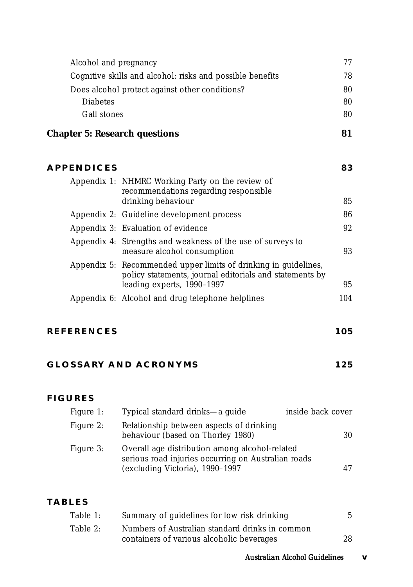| Alcohol and pregnancy                                     | 77 |
|-----------------------------------------------------------|----|
| Cognitive skills and alcohol: risks and possible benefits | 78 |
| Does alcohol protect against other conditions?            | 80 |
| <b>Diabetes</b>                                           | 80 |
| Gall stones                                               | 80 |
|                                                           |    |

## **Chapter 5: Research questions 81**

| <b>APPENDICES</b> |                                                                                                                                                          | 83  |
|-------------------|----------------------------------------------------------------------------------------------------------------------------------------------------------|-----|
|                   | Appendix 1: NHMRC Working Party on the review of<br>recommendations regarding responsible<br>drinking behaviour                                          | 85  |
|                   | Appendix 2: Guideline development process                                                                                                                | 86  |
|                   | Appendix 3: Evaluation of evidence                                                                                                                       | 92  |
|                   | Appendix 4: Strengths and weakness of the use of surveys to<br>measure alcohol consumption                                                               | 93  |
|                   | Appendix 5: Recommended upper limits of drinking in guidelines,<br>policy statements, journal editorials and statements by<br>leading experts, 1990-1997 | 95  |
|                   |                                                                                                                                                          |     |
|                   | Appendix 6: Alcohol and drug telephone helplines                                                                                                         | 104 |

#### **REFERENCES 105**

#### GLOSSARY AND ACRONYMS 125

#### **FIGURES**

| Figure 1: | Typical standard drinks—a guide                                                                                                          | inside back cover |
|-----------|------------------------------------------------------------------------------------------------------------------------------------------|-------------------|
| Figure 2: | Relationship between aspects of drinking<br>behaviour (based on Thorley 1980)                                                            | 30                |
| Figure 3: | Overall age distribution among alcohol-related<br>serious road injuries occurring on Australian roads<br>(excluding Victoria), 1990-1997 | 47                |

## **TABLES**

| Table 1: | Summary of guidelines for low risk drinking     |    |
|----------|-------------------------------------------------|----|
| Table 2: | Numbers of Australian standard drinks in common |    |
|          | containers of various alcoholic beverages       | 28 |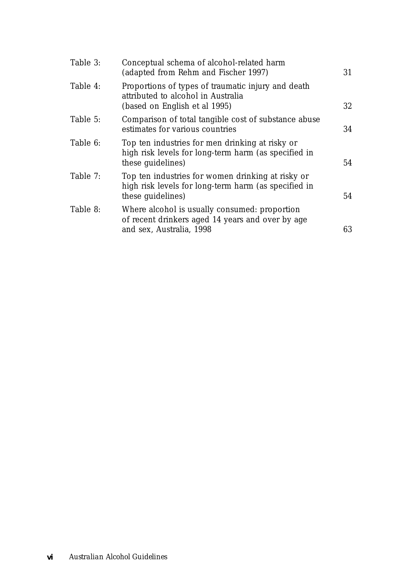| Table 3: | Conceptual schema of alcohol-related harm<br>(adapted from Rehm and Fischer 1997)                                              | 31 |
|----------|--------------------------------------------------------------------------------------------------------------------------------|----|
| Table 4: | Proportions of types of traumatic injury and death<br>attributed to alcohol in Australia<br>(based on English et al 1995)      | 32 |
| Table 5: | Comparison of total tangible cost of substance abuse<br>estimates for various countries                                        | 34 |
| Table 6: | Top ten industries for men drinking at risky or<br>high risk levels for long-term harm (as specified in<br>these guidelines)   | 54 |
| Table 7: | Top ten industries for women drinking at risky or<br>high risk levels for long-term harm (as specified in<br>these guidelines) | 54 |
| Table 8: | Where alcohol is usually consumed: proportion<br>of recent drinkers aged 14 years and over by age<br>and sex, Australia, 1998  | 63 |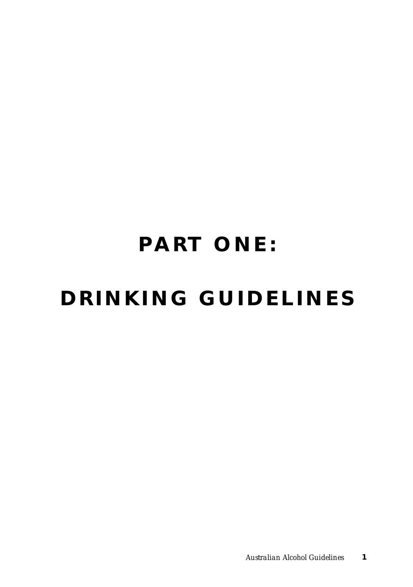# **PART ONE: DRINKING GUIDELINES**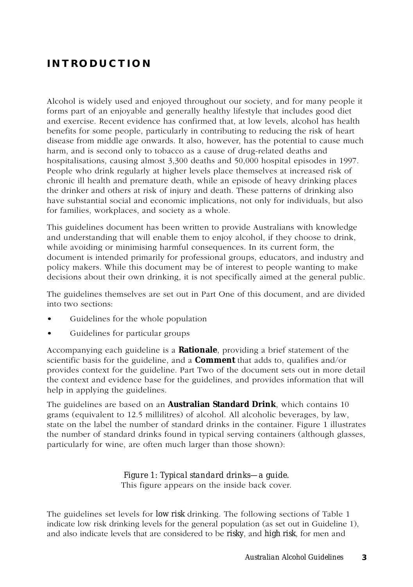## **INTRODUCTION**

Alcohol is widely used and enjoyed throughout our society, and for many people it forms part of an enjoyable and generally healthy lifestyle that includes good diet and exercise. Recent evidence has confirmed that, at low levels, alcohol has health benefits for some people, particularly in contributing to reducing the risk of heart disease from middle age onwards. It also, however, has the potential to cause much harm, and is second only to tobacco as a cause of drug-related deaths and hospitalisations, causing almost 3,300 deaths and 50,000 hospital episodes in 1997. People who drink regularly at higher levels place themselves at increased risk of chronic ill health and premature death, while an episode of heavy drinking places the drinker and others at risk of injury and death. These patterns of drinking also have substantial social and economic implications, not only for individuals, but also for families, workplaces, and society as a whole.

This guidelines document has been written to provide Australians with knowledge and understanding that will enable them to enjoy alcohol, if they choose to drink, while avoiding or minimising harmful consequences. In its current form, the document is intended primarily for professional groups, educators, and industry and policy makers. While this document may be of interest to people wanting to make decisions about their own drinking, it is not specifically aimed at the general public.

The guidelines themselves are set out in Part One of this document, and are divided into two sections:

- Guidelines for the whole population
- Guidelines for particular groups

Accompanying each guideline is a **Rationale**, providing a brief statement of the scientific basis for the guideline, and a **Comment** that adds to, qualifies and/or provides context for the guideline. Part Two of the document sets out in more detail the context and evidence base for the guidelines, and provides information that will help in applying the guidelines.

The guidelines are based on an **Australian Standard Drink**, which contains 10 grams (equivalent to 12.5 millilitres) of alcohol. All alcoholic beverages, by law, state on the label the number of standard drinks in the container. Figure 1 illustrates the number of standard drinks found in typical serving containers (although glasses, particularly for wine, are often much larger than those shown):

#### *Figure 1: Typical standard drinks—a guide.* This figure appears on the inside back cover.

The guidelines set levels for *low risk* drinking. The following sections of Table 1 indicate low risk drinking levels for the general population (as set out in Guideline 1), and also indicate levels that are considered to be *risky*, and *high risk*, for men and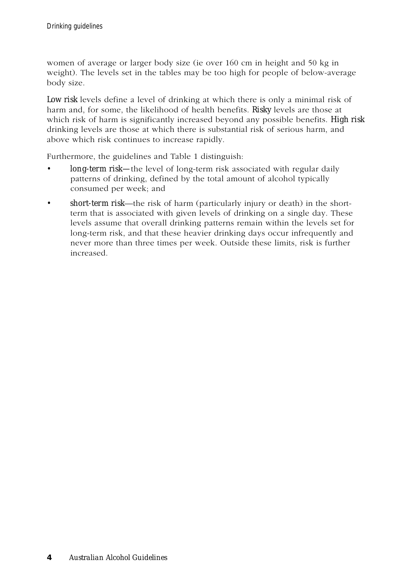women of average or larger body size (ie over 160 cm in height and 50 kg in weight). The levels set in the tables may be too high for people of below-average body size.

*Low risk* levels define a level of drinking at which there is only a minimal risk of harm and, for some, the likelihood of health benefits. *Risky* levels are those at which risk of harm is significantly increased beyond any possible benefits. *High risk* drinking levels are those at which there is substantial risk of serious harm, and above which risk continues to increase rapidly.

Furthermore, the guidelines and Table 1 distinguish:

- *long-term risk—the level of long-term risk associated with regular daily* patterns of drinking, defined by the total amount of alcohol typically consumed per week; and
- *short-term risk*—the risk of harm (particularly injury or death) in the shortterm that is associated with given levels of drinking on a single day. These levels assume that overall drinking patterns remain within the levels set for long-term risk, and that these heavier drinking days occur infrequently and never more than three times per week. Outside these limits, risk is further increased.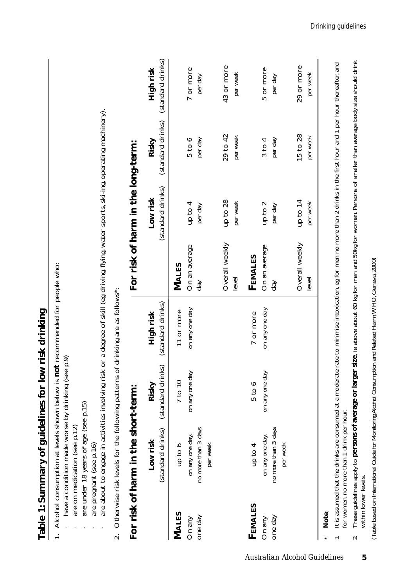| Table 1: Summary of guidelines for low risk drinking | 1. Alcohol consumption at levels shown below is not recommended for people who: | have a condition made worse by drinking (see p.9) |
|------------------------------------------------------|---------------------------------------------------------------------------------|---------------------------------------------------|
|                                                      |                                                                                 |                                                   |

- 1. Alcohol consumption at levels shown below is **not** recommended for people who:
	- have a condition made worse by drinking (see p.9) · have a condition made worse by drinking (see p.9)
		- are on medication (see p.12) · are on medication (see p.12)
			- are under 18 years of age (see p.15) · are under 18 years of age (see p.15)
				- are pregnant (see p.16) · are pregnant (see p.16)
- are about to engage in activities involving risk or a degree of skill (eg driving, flying, water sports, ski-ing, operating machinery). · are about to engage in activities involving risk or a degree of skill (eg driving, flying, water sports, ski-ing, operating machinery).
- Otherwise risk levels for the following patterns of drinking are as follows\*: 2. Otherwise risk levels for the following patterns of drinking are as follows\*:  $\overline{\mathbf{c}}$

|              | For risk of harm in the short-term: |                                              |                |                         | For risk of harm in the long-term: |                                                                |                        |
|--------------|-------------------------------------|----------------------------------------------|----------------|-------------------------|------------------------------------|----------------------------------------------------------------|------------------------|
|              | (standard drinks)<br>Low risk       | (standard drinks) (standard drinks)<br>Risky | High risk      |                         | Low risk                           | (standard drinks) (standard drinks) (standard drinks)<br>Risky | High risk              |
| <b>MALES</b> | qp to 6                             | 7 to 10                                      | 11 or more     | MALES                   |                                    |                                                                |                        |
| On any       | on any one day,                     | on any one day                               | on any one day | On an average           | up to 4                            | $5$ to $6$                                                     | 7 or more              |
| one day      | no more than 3 days<br>per week     |                                              |                | day                     | per day                            | per day                                                        | per day                |
|              |                                     |                                              |                | Overall weekly          | up to 28                           | 29 to 42                                                       | 43 or more             |
|              |                                     |                                              |                | level                   | per week                           | per week                                                       | per week               |
| FEMALES      | 4 up to                             | $5$ to $6$                                   | 7 or more      | FEMALES                 |                                    |                                                                |                        |
| On any       | on any one day,                     | on any one day                               | on any one day | On an average           | up to 2                            | 3 to 4                                                         | 5 or more              |
| one day      | no more than 3 days<br>per week     |                                              |                | day                     | per day                            | per day                                                        | per day                |
|              |                                     |                                              |                | Overall weekly<br>level | up to 14<br>per week               | 15 to 28<br>per week                                           | 29 or more<br>per week |
|              |                                     |                                              |                |                         |                                    |                                                                |                        |

Note: **Note**:

\*

 $\overline{ }$ 

It is assumed that the drinks are consumed at a moderate rate to minimise intoxication, eg for men no more than 2 drinks in the first hour and 1 per hour thereafter, and 1. It is assumed that the drinks are consumed at a moderate rate to minimise intoxication, eg for men no more than 2 drinks in the first hour and 1 per hour thereafter, and for women, no more than 1 drink per hour. for women, no more than 1 drink per hour.

These guidelines apply to persons of average or larger size, ie above about 60 kg for men and 50kg for women. Persons of smaller than average body size should drink 2. These guidelines apply to **persons of average or larger size**, ie above about 60 kg for men and 50kg for women. Persons of smaller than average body size should drink within lower levels. within lower levels.  $\sim$ 

(Table based on International Guide for Monitoring Alcohol Consumption and Related Harm, WHO, Geneva, 2000) (Table based on *International Guide for Monitoring Alcohol Consumption and Related Harm,* WHO, Geneva, 2000)

**5**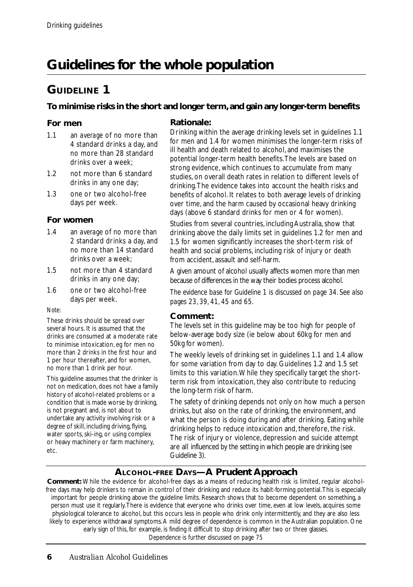## **Guidelines for the whole population**

## **GUIDELINE 1**

#### **To minimise risks in the short and longer term, and gain any longer-term benefits**

#### **For men**

- 1.1 an *average* of no more than 4 standard drinks a day, and no more than 28 standard drinks over a week;
- 1.2 not more than 6 standard drinks in any one day;
- 1.3 one or two alcohol-free days per week.

#### **For women**

- 1.4 an *average* of no more than 2 standard drinks a day, and no more than 14 standard drinks over a week;
- 1.5 not more than 4 standard drinks in any one day;
- 1.6 one or two alcohol-free days per week.

*Note:*

These drinks should be spread over several hours. It is assumed that the drinks are consumed at a moderate rate to minimise intoxication, eg for men no more than 2 drinks in the first hour and 1 per hour thereafter, and for women, no more than 1 drink per hour.

This guideline assumes that the drinker is not on medication, does not have a family history of alcohol-related problems or a condition that is made worse by drinking, is not pregnant and, is not about to undertake any activity involving risk or a degree of skill, including driving, flying, water sports, ski-ing, or using complex or heavy machinery or farm machinery, etc.

#### **Rationale:**

Drinking within the average drinking levels set in guidelines 1.1 for men and 1.4 for women minimises the longer-term risks of ill health and death related to alcohol, and maximises the potential longer-term health benefits. The levels are based on strong evidence, which continues to accumulate from many studies, on overall death rates in relation to different levels of drinking. The evidence takes into account the health risks and benefits of alcohol. It relates to both average levels of drinking over time, and the harm caused by occasional heavy drinking days (above 6 standard drinks for men or 4 for women).

Studies from several countries, including Australia, show that drinking above the daily limits set in guidelines 1.2 for men and 1.5 for women significantly increases the short-term risk of health and social problems, including risk of injury or death from accident, assault and self-harm.

A given amount of alcohol usually affects women more than men because of differences in the way their bodies process alcohol.

*The evidence base for Guideline 1 is discussed on page 34. See also pages 23, 39, 41, 45 and 65.*

#### **Comment:**

The levels set in this guideline may be too high for people of below-average body size (ie below about 60kg for men and 50kg for women).

The weekly levels of drinking set in guidelines 1.1 and 1.4 allow for some variation from day to day. Guidelines 1.2 and 1.5 set limits to this variation. While they specifically target the shortterm risk from intoxication, they also contribute to reducing the long-term risk of harm.

The safety of drinking depends not only on how much a person drinks, but also on the rate of drinking, the environment, and what the person is doing during and after drinking. Eating while drinking helps to reduce intoxication and, therefore, the risk. The risk of injury or violence, depression and suicide attempt are all influenced by the setting in which people are drinking (see Guideline 3).

#### **ALCOHOL-FREE DAYS—A Prudent Approach**

**Comment:** While the evidence for alcohol-free days as a means of reducing health risk is limited, regular alcoholfree days may help drinkers to remain in control of their drinking and reduce its habit-forming potential. This is especially important for people drinking above the guideline limits. Research shows that to become dependent on something, a person must use it regularly. There is evidence that everyone who drinks over time, even at low levels, acquires some physiological tolerance to alcohol, but this occurs less in people who drink only intermittently, and they are also less likely to experience withdrawal symptoms. A mild degree of dependence is common in the Australian population. One early sign of this, for example, is finding it difficult to stop drinking after two or three glasses. *Dependence is further discussed on page 75*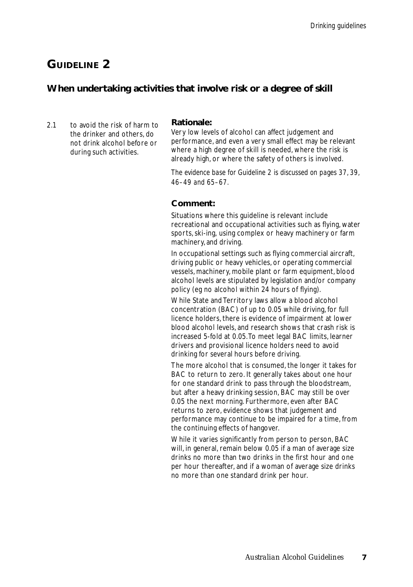#### **When undertaking activities that involve risk or a degree of skill**

2.1 to avoid the risk of harm to the drinker and others, do not drink alcohol before or during such activities.

#### **Rationale:**

Very low levels of alcohol can affect judgement and performance, and even a very small effect may be relevant where a high degree of skill is needed, where the risk is already high, or where the safety of others is involved.

*The evidence base for Guideline 2 is discussed on pages 37, 39, 46–49 and 65–67.*

#### **Comment:**

Situations where this guideline is relevant include recreational and occupational activities such as flying, water sports, ski-ing, using complex or heavy machinery or farm machinery, and driving.

In occupational settings such as flying commercial aircraft, driving public or heavy vehicles, or operating commercial vessels, machinery, mobile plant or farm equipment, blood alcohol levels are stipulated by legislation and/or company policy (eg no alcohol within 24 hours of flying).

While State and Territory laws allow a blood alcohol concentration (BAC) of up to 0.05 while driving, for full licence holders, there is evidence of impairment at lower blood alcohol levels, and research shows that crash risk is increased 5-fold at 0.05. To meet legal BAC limits, learner drivers and provisional licence holders need to avoid drinking for several hours before driving.

The more alcohol that is consumed, the longer it takes for BAC to return to zero. It generally takes about one hour for one standard drink to pass through the bloodstream, but after a heavy drinking session, BAC may still be over 0.05 the next morning. Furthermore, even after BAC returns to zero, evidence shows that judgement and performance may continue to be impaired for a time, from the continuing effects of hangover.

While it varies significantly from person to person, BAC will, in general, remain below 0.05 if a man of average size drinks no more than two drinks in the first hour and one per hour thereafter, and if a woman of average size drinks no more than one standard drink per hour.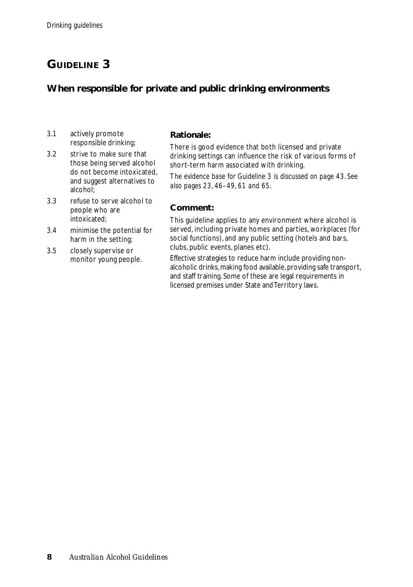#### **When responsible for private and public drinking environments**

- 3.1 actively promote responsible drinking;
- 3.2 strive to make sure that those being served alcohol do not become intoxicated, and suggest alternatives to alcohol;
- 3.3 refuse to serve alcohol to people who are intoxicated;
- 3.4 minimise the potential for harm in the setting;
- 3.5 closely supervise or monitor young people.

#### **Rationale:**

There is good evidence that both licensed and private drinking settings can influence the risk of various forms of short-term harm associated with drinking.

T*he evidence base for Guideline 3 is discussed on page 43. See also pages 23, 46–49, 61 and 65.*

#### **Comment:**

This guideline applies to any environment where alcohol is served, including private homes and parties, workplaces (for social functions), and any public setting (hotels and bars, clubs, public events, planes etc).

Effective strategies to reduce harm include providing nonalcoholic drinks, making food available, providing safe transport, and staff training. Some of these are legal requirements in licensed premises under State and Territory laws.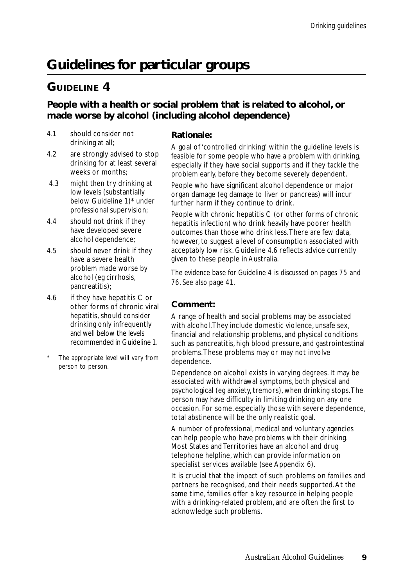## **Guidelines for particular groups**

## **GUIDELINE 4**

#### **People with a health or social problem that is related to alcohol, or made worse by alcohol (including alcohol dependence)**

- 4.1 should consider not drinking at all;
- 4.2 are strongly advised to stop drinking for at least several weeks or months;
- 4.3 might then try drinking at low levels (substantially below Guideline 1)\* under professional supervision;
- 4.4 should not drink if they have developed severe alcohol dependence;
- 4.5 should never drink if they have a severe health problem made worse by alcohol (eg cirrhosis, pancreatitis);
- 4.6 if they have hepatitis C or other forms of chronic viral hepatitis, should consider drinking only infrequently and well below the levels recommended in Guideline 1.
- The appropriate level will vary from person to person.

#### **Rationale:**

A goal of 'controlled drinking' within the guideline levels is feasible for some people who have a problem with drinking, especially if they have social supports and if they tackle the problem early, before they become severely dependent.

People who have significant alcohol dependence or major organ damage (eg damage to liver or pancreas) will incur further harm if they continue to drink.

People with chronic hepatitis C (or other forms of chronic hepatitis infection) who drink heavily have poorer health outcomes than those who drink less. There are few data, however, to suggest a level of consumption associated with acceptably low risk. Guideline 4.6 reflects advice currently given to these people in Australia.

*The evidence base for Guideline 4 is discussed on pages 75 and 76. See also page 41.*

#### **Comment:**

A range of health and social problems may be associated with alcohol. They include domestic violence, unsafe sex, financial and relationship problems, and physical conditions such as pancreatitis, high blood pressure, and gastrointestinal problems. These problems may or may not involve dependence.

Dependence on alcohol exists in varying degrees. It may be associated with withdrawal symptoms, both physical and psychological (eg anxiety, tremors), when drinking stops. The person may have difficulty in limiting drinking on any one occasion. For some, especially those with severe dependence, total abstinence will be the only realistic goal.

A number of professional, medical and voluntary agencies can help people who have problems with their drinking. Most States and Territories have an alcohol and drug telephone helpline, which can provide information on specialist services available (see Appendix 6).

It is crucial that the impact of such problems on families and partners be recognised, and their needs supported. At the same time, families offer a key resource in helping people with a drinking-related problem, and are often the first to acknowledge such problems.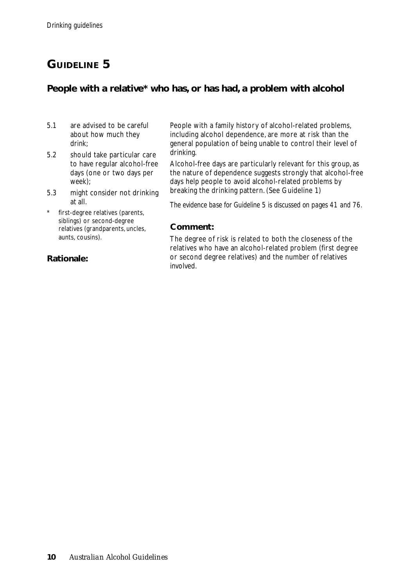#### **People with a relative\* who has, or has had, a problem with alcohol**

- 5.1 are advised to be careful about how much they drink;
- 5.2 should take particular care to have regular alcohol-free days (one or two days per week);
- 5.3 might consider not drinking at all.
- first-degree relatives (parents, siblings) or second-degree relatives (grandparents, uncles, aunts, cousins).

#### **Rationale:**

People with a family history of alcohol-related problems, including alcohol dependence, are more at risk than the general population of being unable to control their level of drinking.

Alcohol-free days are particularly relevant for this group, as the nature of dependence suggests strongly that alcohol-free days help people to avoid alcohol-related problems by breaking the drinking pattern. (See Guideline 1)

*The evidence base for Guideline 5 is discussed on pages 41 and 76.*

#### **Comment:**

The degree of risk is related to both the closeness of the relatives who have an alcohol-related problem (first degree or second degree relatives) and the number of relatives involved.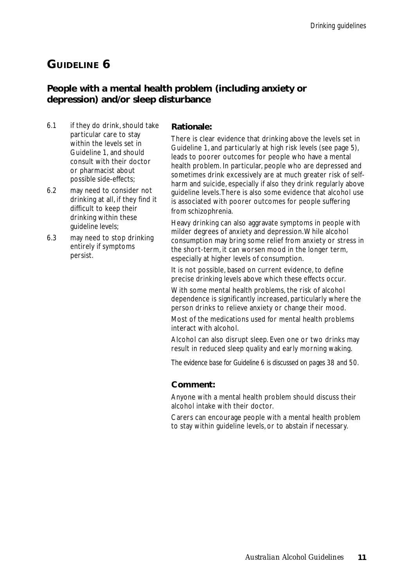#### **People with a mental health problem (including anxiety or depression) and/or sleep disturbance**

- 6.1 if they do drink, should take particular care to stay within the levels set in Guideline 1, and should consult with their doctor or pharmacist about possible side-effects;
- 6.2 may need to consider not drinking at all, if they find it difficult to keep their drinking within these guideline levels;
- 6.3 may need to stop drinking entirely if symptoms persist.

#### **Rationale:**

There is clear evidence that drinking above the levels set in Guideline 1, and particularly at high risk levels (see page 5), leads to poorer outcomes for people who have a mental health problem. In particular, people who are depressed and sometimes drink excessively are at much greater risk of selfharm and suicide, especially if also they drink regularly above guideline levels. There is also some evidence that alcohol use is associated with poorer outcomes for people suffering from schizophrenia.

Heavy drinking can also aggravate symptoms in people with milder degrees of anxiety and depression. While alcohol consumption may bring some relief from anxiety or stress in the short-term, it can worsen mood in the longer term, especially at higher levels of consumption.

It is not possible, based on current evidence, to define precise drinking levels above which these effects occur.

With some mental health problems, the risk of alcohol dependence is significantly increased, particularly where the person drinks to relieve anxiety or change their mood.

Most of the medications used for mental health problems interact with alcohol.

Alcohol can also disrupt sleep. Even one or two drinks may result in reduced sleep quality and early morning waking.

*The evidence base for Guideline 6 is discussed on pages 38 and 50.*

#### **Comment:**

Anyone with a mental health problem should discuss their alcohol intake with their doctor.

Carers can encourage people with a mental health problem to stay within guideline levels, or to abstain if necessary.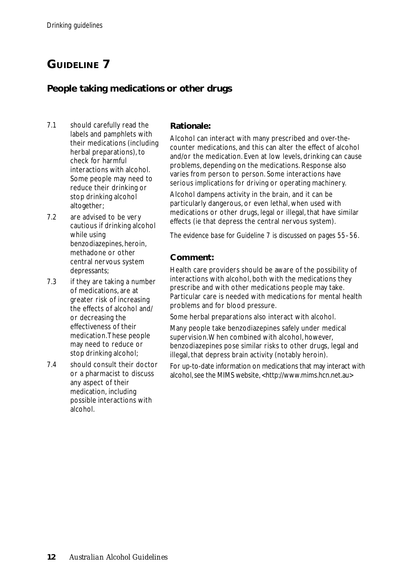#### **People taking medications or other drugs**

- 7.1 should carefully read the labels and pamphlets with their medications (including herbal preparations), to check for harmful interactions with alcohol. Some people may need to reduce their drinking or stop drinking alcohol altogether;
- 7.2 are advised to be very cautious if drinking alcohol while using benzodiazepines, heroin, methadone or other central nervous system depressants;
- 7.3 if they are taking a number of medications, are at greater risk of increasing the effects of alcohol and/ or decreasing the effectiveness of their medication. These people may need to reduce or stop drinking alcohol;
- 7.4 should consult their doctor or a pharmacist to discuss any aspect of their medication, including possible interactions with alcohol.

#### **Rationale:**

Alcohol can interact with many prescribed and over-thecounter medications, and this can alter the effect of alcohol and/or the medication. Even at low levels, drinking can cause problems, depending on the medications. Response also varies from person to person. Some interactions have serious implications for driving or operating machinery.

Alcohol dampens activity in the brain, and it can be particularly dangerous, or even lethal, when used with medications or other drugs, legal or illegal, that have similar effects (ie that depress the central nervous system).

*The evidence base for Guideline 7 is discussed on pages 55–56.*

#### **Comment:**

Health care providers should be aware of the possibility of interactions with alcohol, both with the medications they prescribe and with other medications people may take. Particular care is needed with medications for mental health problems and for blood pressure.

Some herbal preparations also interact with alcohol.

Many people take benzodiazepines safely under medical supervision. When combined with alcohol, however, benzodiazepines pose similar risks to other drugs, legal and illegal, that depress brain activity (notably heroin).

For up-to-date information on medications that may interact with alcohol, see the MIMS website, <http://www.mims.hcn.net.au>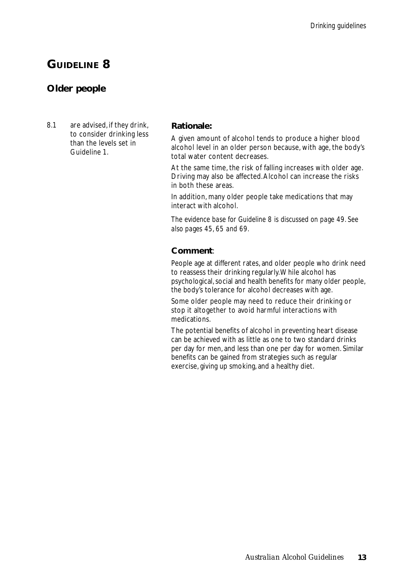#### **Older people**

8.1 are advised, if they drink, to consider drinking less than the levels set in Guideline 1.

#### **Rationale:**

A given amount of alcohol tends to produce a higher blood alcohol level in an older person because, with age, the body's total water content decreases.

At the same time, the risk of falling increases with older age. Driving may also be affected. Alcohol can increase the risks in both these areas.

In addition, many older people take medications that may interact with alcohol.

*The evidence base for Guideline 8 is discussed on page 49. See also pages 45, 65 and 69.*

#### **Comment**:

People age at different rates, and older people who drink need to reassess their drinking regularly. While alcohol has psychological, social and health benefits for many older people, the body's tolerance for alcohol decreases with age.

Some older people may need to reduce their drinking or stop it altogether to avoid harmful interactions with medications.

The potential benefits of alcohol in preventing heart disease can be achieved with as little as one to two standard drinks per day for men, and less than one per day for women. Similar benefits can be gained from strategies such as regular exercise, giving up smoking, and a healthy diet.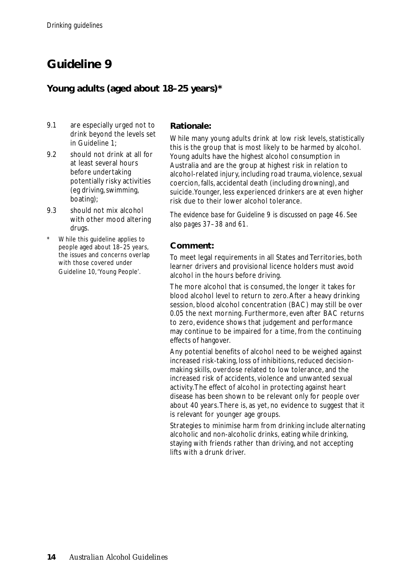## **Guideline 9**

#### **Young adults (aged about 18–25 years)\***

- 9.1 are especially urged not to drink beyond the levels set in Guideline 1;
- 9.2 should not drink at all for at least several hours before undertaking potentially risky activities (eg driving, swimming, boating);
- 9.3 should not mix alcohol with other mood altering drugs.
- While this guideline applies to people aged about 18–25 years, the issues and concerns overlap with those covered under Guideline 10, 'Young People'.

#### **Rationale:**

While many young adults drink at low risk levels, statistically this is the group that is most likely to be harmed by alcohol. Young adults have the highest alcohol consumption in Australia and are the group at highest risk in relation to alcohol-related injury, including road trauma, violence, sexual coercion, falls, accidental death (including drowning), and suicide. Younger, less experienced drinkers are at even higher risk due to their lower alcohol tolerance.

*The evidence base for Guideline 9 is discussed on page 46. See also pages 37–38 and 61.*

#### **Comment:**

To meet legal requirements in all States and Territories, both learner drivers and provisional licence holders must avoid alcohol in the hours before driving.

The more alcohol that is consumed, the longer it takes for blood alcohol level to return to zero. After a heavy drinking session, blood alcohol concentration (BAC) may still be over 0.05 the next morning. Furthermore, even after BAC returns to zero, evidence shows that judgement and performance may continue to be impaired for a time, from the continuing effects of hangover.

Any potential benefits of alcohol need to be weighed against increased risk-taking, loss of inhibitions, reduced decisionmaking skills, overdose related to low tolerance, and the increased risk of accidents, violence and unwanted sexual activity. The effect of alcohol in protecting against heart disease has been shown to be relevant only for people over about 40 years. There is, as yet, no evidence to suggest that it is relevant for younger age groups.

Strategies to minimise harm from drinking include alternating alcoholic and non-alcoholic drinks, eating while drinking, staying with friends rather than driving, and not accepting lifts with a drunk driver.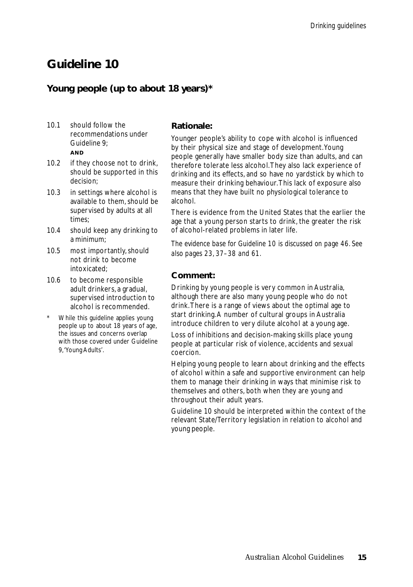## **Guideline 10**

#### **Young people (up to about 18 years)\***

- 10.1 should follow the recommendations under Guideline 9; **AND**
- 10.2 if they choose not to drink, should be supported in this decision;
- 10.3 in settings where alcohol is available to them, should be supervised by adults at all times;
- 10.4 should keep any drinking to a minimum;
- 10.5 most importantly, should not drink to become intoxicated;
- 10.6 to become responsible adult drinkers, a gradual, supervised introduction to alcohol is recommended.
- While this quideline applies young people up to about 18 years of age, the issues and concerns overlap with those covered under Guideline 9, 'Young Adults'.

#### **Rationale:**

Younger people's ability to cope with alcohol is influenced by their physical size and stage of development. Young people generally have smaller body size than adults, and can therefore tolerate less alcohol. They also lack experience of drinking and its effects, and so have no yardstick by which to measure their drinking behaviour. This lack of exposure also means that they have built no physiological tolerance to alcohol.

There is evidence from the United States that the earlier the age that a young person starts to drink, the greater the risk of alcohol-related problems in later life.

*The evidence base for Guideline 10 is discussed on page 46. See also pages 23, 37–38 and 61.*

#### **Comment:**

Drinking by young people is very common in Australia, although there are also many young people who do not drink. There is a range of views about the optimal age to start drinking. A number of cultural groups in Australia introduce children to very dilute alcohol at a young age.

Loss of inhibitions and decision-making skills place young people at particular risk of violence, accidents and sexual coercion.

Helping young people to learn about drinking and the effects of alcohol within a safe and supportive environment can help them to manage their drinking in ways that minimise risk to themselves and others, both when they are young and throughout their adult years.

Guideline 10 should be interpreted within the context of the relevant State/Territory legislation in relation to alcohol and young people.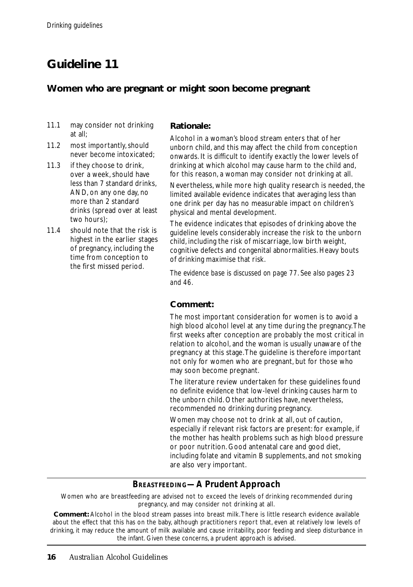## **Guideline 11**

#### **Women who are pregnant or might soon become pregnant**

- 11.1 may consider not drinking at all;
- 11.2 most importantly, should never become intoxicated;
- 11.3 if they choose to drink, over a week, should have less than 7 standard drinks, AND, on any one day, no more than 2 standard drinks (spread over at least two hours);
- 11.4 should note that the risk is highest in the earlier stages of pregnancy, including the time from conception to the first missed period.

#### **Rationale:**

Alcohol in a woman's blood stream enters that of her unborn child, and this may affect the child from conception onwards. It is difficult to identify exactly the lower levels of drinking at which alcohol may cause harm to the child and, for this reason, a woman may consider not drinking at all.

Nevertheless, while more high quality research is needed, the limited available evidence indicates that averaging less than one drink per day has no measurable impact on children's physical and mental development.

The evidence indicates that episodes of drinking above the guideline levels considerably increase the risk to the unborn child, including the risk of miscarriage, low birth weight, cognitive defects and congenital abnormalities. Heavy bouts of drinking maximise that risk.

*The evidence base is discussed on page 77. See also pages 23 and 46.*

#### **Comment:**

The most important consideration for women is to avoid a high blood alcohol level at any time during the pregnancy. The first weeks after conception are probably the most critical in relation to alcohol, and the woman is usually unaware of the pregnancy at this stage. The guideline is therefore important not only for women who are pregnant, but for those who may soon become pregnant.

The literature review undertaken for these guidelines found no definite evidence that low-level drinking causes harm to the unborn child. Other authorities have, nevertheless, recommended no drinking during pregnancy.

Women may choose not to drink at all, out of caution, especially if relevant risk factors are present: for example, if the mother has health problems such as high blood pressure or poor nutrition. Good antenatal care and good diet, including folate and vitamin B supplements, and not smoking are also very important.

#### *BREASTFEEDING—A Prudent Approach*

Women who are breastfeeding are advised not to exceed the levels of drinking recommended during pregnancy, and may consider not drinking at all.

**Comment:** Alcohol in the blood stream passes into breast milk. There is little research evidence available about the effect that this has on the baby, although practitioners report that, even at relatively low levels of drinking, it may reduce the amount of milk available and cause irritability, poor feeding and sleep disturbance in the infant. Given these concerns, a prudent approach is advised.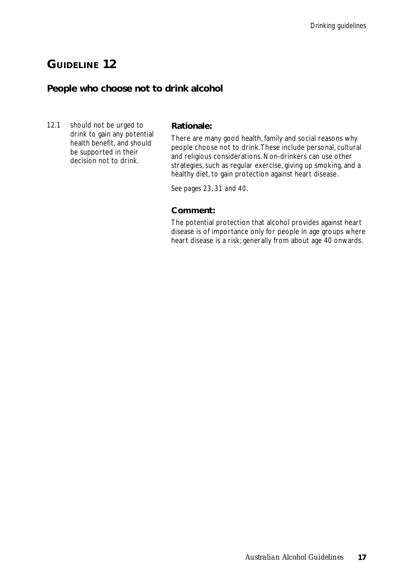#### **People who choose not to drink alcohol**

12.1 should not be urged to drink to gain any potential health benefit, and should be supported in their decision not to drink.

#### **Rationale:**

There are many good health, family and social reasons why people choose not to drink. These include personal, cultural and religious considerations. Non-drinkers can use other strategies, such as regular exercise, giving up smoking, and a healthy diet, to gain protection against heart disease.

*See pages 23, 31 and 40.*

#### **Comment:**

The potential protection that alcohol provides against heart disease is of importance only for people in age groups where heart disease is a risk; generally from about age 40 onwards.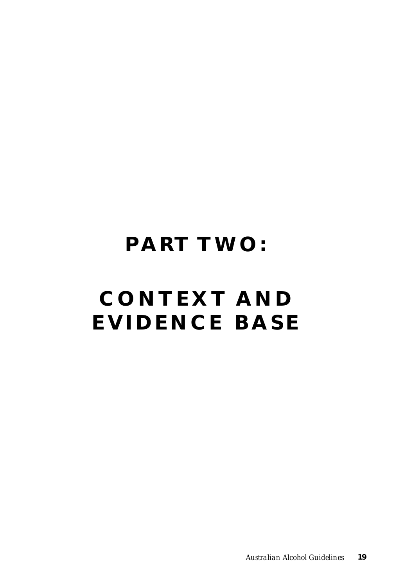## **PART TWO:**

# **CONTEXT AND EVIDENCE BASE**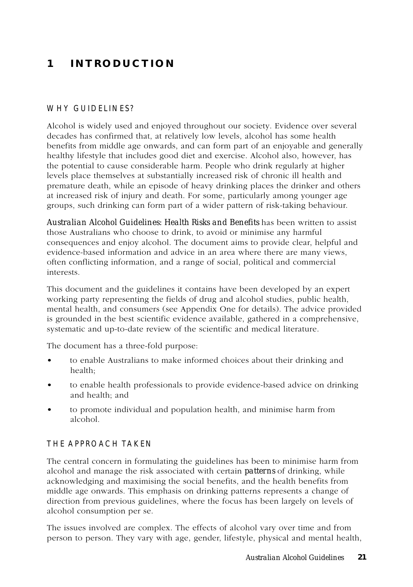## **1 INTRODUCTION**

#### WHY GUIDELINES?

Alcohol is widely used and enjoyed throughout our society. Evidence over several decades has confirmed that, at relatively low levels, alcohol has some health benefits from middle age onwards, and can form part of an enjoyable and generally healthy lifestyle that includes good diet and exercise. Alcohol also, however, has the potential to cause considerable harm. People who drink regularly at higher levels place themselves at substantially increased risk of chronic ill health and premature death, while an episode of heavy drinking places the drinker and others at increased risk of injury and death. For some, particularly among younger age groups, such drinking can form part of a wider pattern of risk-taking behaviour.

*Australian Alcohol Guidelines: Health Risks and Benefits* has been written to assist those Australians who choose to drink, to avoid or minimise any harmful consequences and enjoy alcohol. The document aims to provide clear, helpful and evidence-based information and advice in an area where there are many views, often conflicting information, and a range of social, political and commercial interests.

This document and the guidelines it contains have been developed by an expert working party representing the fields of drug and alcohol studies, public health, mental health, and consumers (see Appendix One for details). The advice provided is grounded in the best scientific evidence available, gathered in a comprehensive, systematic and up-to-date review of the scientific and medical literature.

The document has a three-fold purpose:

- to enable Australians to make informed choices about their drinking and health;
- to enable health professionals to provide evidence-based advice on drinking and health; and
- to promote individual and population health, and minimise harm from alcohol.

#### THE APPROACH TAKEN

The central concern in formulating the guidelines has been to minimise harm from alcohol and manage the risk associated with certain *patterns* of drinking, while acknowledging and maximising the social benefits, and the health benefits from middle age onwards. This emphasis on drinking patterns represents a change of direction from previous guidelines, where the focus has been largely on levels of alcohol consumption per se.

The issues involved are complex. The effects of alcohol vary over time and from person to person. They vary with age, gender, lifestyle, physical and mental health,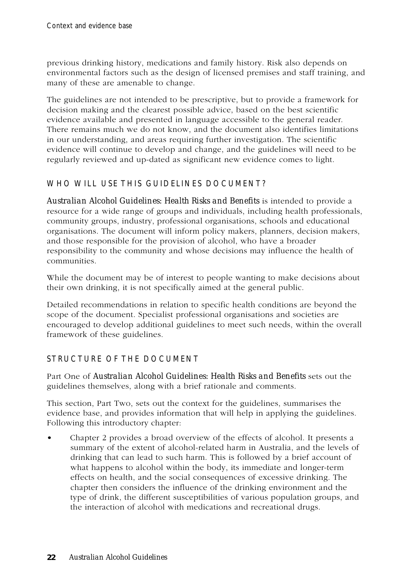previous drinking history, medications and family history. Risk also depends on environmental factors such as the design of licensed premises and staff training, and many of these are amenable to change.

The guidelines are not intended to be prescriptive, but to provide a framework for decision making and the clearest possible advice, based on the best scientific evidence available and presented in language accessible to the general reader. There remains much we do not know, and the document also identifies limitations in our understanding, and areas requiring further investigation. The scientific evidence will continue to develop and change, and the guidelines will need to be regularly reviewed and up-dated as significant new evidence comes to light.

#### WHO WILL USE THIS GUIDELINES DOCUMENT?

*Australian Alcohol Guidelines: Health Risks and Benefits* is intended to provide a resource for a wide range of groups and individuals, including health professionals, community groups, industry, professional organisations, schools and educational organisations. The document will inform policy makers, planners, decision makers, and those responsible for the provision of alcohol, who have a broader responsibility to the community and whose decisions may influence the health of communities.

While the document may be of interest to people wanting to make decisions about their own drinking, it is not specifically aimed at the general public.

Detailed recommendations in relation to specific health conditions are beyond the scope of the document. Specialist professional organisations and societies are encouraged to develop additional guidelines to meet such needs, within the overall framework of these guidelines.

#### STRUCTURE OF THE DOCUMENT

Part One of *Australian Alcohol Guidelines: Health Risks and Benefits* sets out the guidelines themselves, along with a brief rationale and comments.

This section, Part Two, sets out the context for the guidelines, summarises the evidence base, and provides information that will help in applying the guidelines. Following this introductory chapter:

• Chapter 2 provides a broad overview of the effects of alcohol. It presents a summary of the extent of alcohol-related harm in Australia, and the levels of drinking that can lead to such harm. This is followed by a brief account of what happens to alcohol within the body, its immediate and longer-term effects on health, and the social consequences of excessive drinking. The chapter then considers the influence of the drinking environment and the type of drink, the different susceptibilities of various population groups, and the interaction of alcohol with medications and recreational drugs.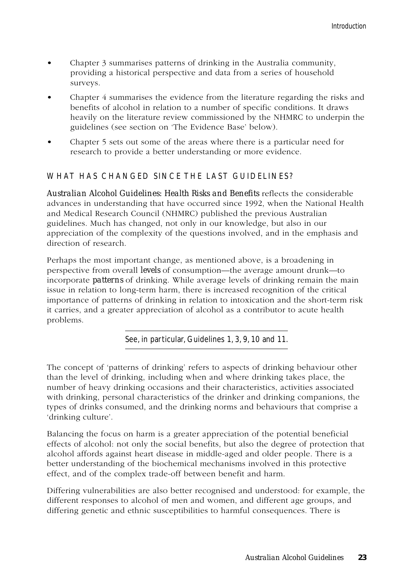- Chapter 3 summarises patterns of drinking in the Australia community, providing a historical perspective and data from a series of household surveys.
- Chapter 4 summarises the evidence from the literature regarding the risks and benefits of alcohol in relation to a number of specific conditions. It draws heavily on the literature review commissioned by the NHMRC to underpin the guidelines (see section on 'The Evidence Base' below).
- Chapter 5 sets out some of the areas where there is a particular need for research to provide a better understanding or more evidence.

#### WHAT HAS CHANGED SINCE THE LAST GUIDELINES?

*Australian Alcohol Guidelines: Health Risks and Benefits* reflects the considerable advances in understanding that have occurred since 1992, when the National Health and Medical Research Council (NHMRC) published the previous Australian guidelines. Much has changed, not only in our knowledge, but also in our appreciation of the complexity of the questions involved, and in the emphasis and direction of research.

Perhaps the most important change, as mentioned above, is a broadening in perspective from overall *levels* of consumption—the average amount drunk—to incorporate *patterns* of drinking. While average levels of drinking remain the main issue in relation to long-term harm, there is increased recognition of the critical importance of patterns of drinking in relation to intoxication and the short-term risk it carries, and a greater appreciation of alcohol as a contributor to acute health problems.

See, in particular, Guidelines 1, 3, 9, 10 and 11.

The concept of 'patterns of drinking' refers to aspects of drinking behaviour other than the level of drinking, including when and where drinking takes place, the number of heavy drinking occasions and their characteristics, activities associated with drinking, personal characteristics of the drinker and drinking companions, the types of drinks consumed, and the drinking norms and behaviours that comprise a 'drinking culture'.

Balancing the focus on harm is a greater appreciation of the potential beneficial effects of alcohol: not only the social benefits, but also the degree of protection that alcohol affords against heart disease in middle-aged and older people. There is a better understanding of the biochemical mechanisms involved in this protective effect, and of the complex trade-off between benefit and harm.

Differing vulnerabilities are also better recognised and understood: for example, the different responses to alcohol of men and women, and different age groups, and differing genetic and ethnic susceptibilities to harmful consequences. There is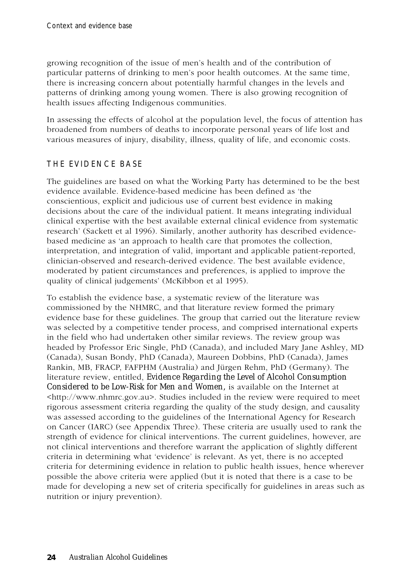growing recognition of the issue of men's health and of the contribution of particular patterns of drinking to men's poor health outcomes. At the same time, there is increasing concern about potentially harmful changes in the levels and patterns of drinking among young women. There is also growing recognition of health issues affecting Indigenous communities.

In assessing the effects of alcohol at the population level, the focus of attention has broadened from numbers of deaths to incorporate personal years of life lost and various measures of injury, disability, illness, quality of life, and economic costs.

#### THE EVIDENCE BASE

The guidelines are based on what the Working Party has determined to be the best evidence available. Evidence-based medicine has been defined as 'the conscientious, explicit and judicious use of current best evidence in making decisions about the care of the individual patient. It means integrating individual clinical expertise with the best available external clinical evidence from systematic research' (Sackett et al 1996). Similarly, another authority has described evidencebased medicine as 'an approach to health care that promotes the collection, interpretation, and integration of valid, important and applicable patient-reported, clinician-observed and research-derived evidence. The best available evidence, moderated by patient circumstances and preferences, is applied to improve the quality of clinical judgements' (McKibbon et al 1995).

To establish the evidence base, a systematic review of the literature was commissioned by the NHMRC, and that literature review formed the primary evidence base for these guidelines. The group that carried out the literature review was selected by a competitive tender process, and comprised international experts in the field who had undertaken other similar reviews. The review group was headed by Professor Eric Single, PhD (Canada), and included Mary Jane Ashley, MD (Canada), Susan Bondy, PhD (Canada), Maureen Dobbins, PhD (Canada), James Rankin, MB, FRACP, FAFPHM (Australia) and Jürgen Rehm, PhD (Germany). The literature review, entitled, *Evidence Regarding the Level of Alcohol Consumption Considered to be Low-Risk for Men and Women,* is available on the Internet at <http://www.nhmrc.gov.au>. Studies included in the review were required to meet rigorous assessment criteria regarding the quality of the study design, and causality was assessed according to the guidelines of the International Agency for Research on Cancer (IARC) (see Appendix Three). These criteria are usually used to rank the strength of evidence for clinical interventions. The current guidelines, however, are not clinical interventions and therefore warrant the application of slightly different criteria in determining what 'evidence' is relevant. As yet, there is no accepted criteria for determining evidence in relation to public health issues, hence wherever possible the above criteria were applied (but it is noted that there is a case to be made for developing a new set of criteria specifically for guidelines in areas such as nutrition or injury prevention).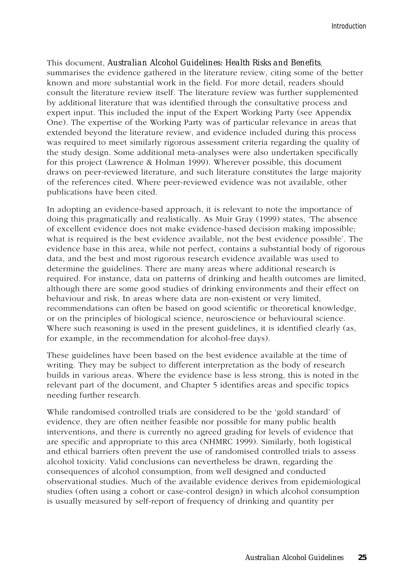This document, *Australian Alcohol Guidelines: Health Risks and Benefits*, summarises the evidence gathered in the literature review, citing some of the better known and more substantial work in the field. For more detail, readers should consult the literature review itself. The literature review was further supplemented by additional literature that was identified through the consultative process and expert input. This included the input of the Expert Working Party (see Appendix One). The expertise of the Working Party was of particular relevance in areas that extended beyond the literature review, and evidence included during this process was required to meet similarly rigorous assessment criteria regarding the quality of the study design. Some additional meta-analyses were also undertaken specifically for this project (Lawrence & Holman 1999). Wherever possible, this document draws on peer-reviewed literature, and such literature constitutes the large majority of the references cited. Where peer-reviewed evidence was not available, other publications have been cited.

In adopting an evidence-based approach, it is relevant to note the importance of doing this pragmatically and realistically. As Muir Gray (1999) states, 'The absence of excellent evidence does not make evidence-based decision making impossible; what is required is the best evidence available, not the best evidence possible'. The evidence base in this area, while not perfect, contains a substantial body of rigorous data, and the best and most rigorous research evidence available was used to determine the guidelines. There are many areas where additional research is required. For instance, data on patterns of drinking and health outcomes are limited, although there are some good studies of drinking environments and their effect on behaviour and risk. In areas where data are non-existent or very limited, recommendations can often be based on good scientific or theoretical knowledge, or on the principles of biological science, neuroscience or behavioural science. Where such reasoning is used in the present guidelines, it is identified clearly (as, for example, in the recommendation for alcohol-free days).

These guidelines have been based on the best evidence available at the time of writing. They may be subject to different interpretation as the body of research builds in various areas. Where the evidence base is less strong, this is noted in the relevant part of the document, and Chapter 5 identifies areas and specific topics needing further research.

While randomised controlled trials are considered to be the 'gold standard' of evidence, they are often neither feasible nor possible for many public health interventions, and there is currently no agreed grading for levels of evidence that are specific and appropriate to this area (NHMRC 1999). Similarly, both logistical and ethical barriers often prevent the use of randomised controlled trials to assess alcohol toxicity. Valid conclusions can nevertheless be drawn, regarding the consequences of alcohol consumption, from well designed and conducted observational studies. Much of the available evidence derives from epidemiological studies (often using a cohort or case-control design) in which alcohol consumption is usually measured by self-report of frequency of drinking and quantity per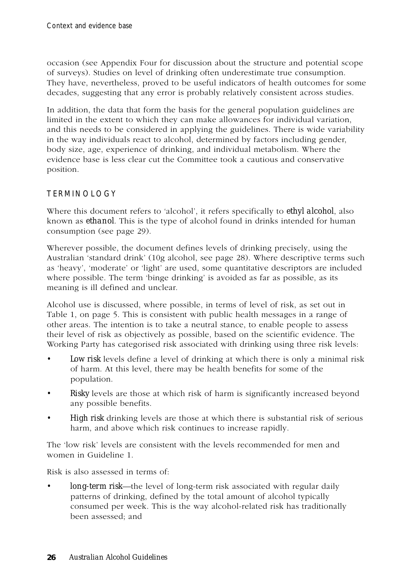occasion (see Appendix Four for discussion about the structure and potential scope of surveys). Studies on level of drinking often underestimate true consumption. They have, nevertheless, proved to be useful indicators of health outcomes for some decades, suggesting that any error is probably relatively consistent across studies.

In addition, the data that form the basis for the general population guidelines are limited in the extent to which they can make allowances for individual variation, and this needs to be considered in applying the guidelines. There is wide variability in the way individuals react to alcohol, determined by factors including gender, body size, age, experience of drinking, and individual metabolism. Where the evidence base is less clear cut the Committee took a cautious and conservative position.

#### TERMINOLOGY

Where this document refers to 'alcohol', it refers specifically to *ethyl alcohol*, also known as *ethanol*. This is the type of alcohol found in drinks intended for human consumption (see page 29).

Wherever possible, the document defines levels of drinking precisely, using the Australian 'standard drink' (10g alcohol, see page 28). Where descriptive terms such as 'heavy', 'moderate' or 'light' are used, some quantitative descriptors are included where possible. The term 'binge drinking' is avoided as far as possible, as its meaning is ill defined and unclear.

Alcohol use is discussed, where possible, in terms of level of risk, as set out in Table 1, on page 5. This is consistent with public health messages in a range of other areas. The intention is to take a neutral stance, to enable people to assess their level of risk as objectively as possible, based on the scientific evidence. The Working Party has categorised risk associated with drinking using three risk levels:

- *Low risk* levels define a level of drinking at which there is only a minimal risk of harm. At this level, there may be health benefits for some of the population.
- *Risky* levels are those at which risk of harm is significantly increased beyond any possible benefits.
- *High risk* drinking levels are those at which there is substantial risk of serious harm, and above which risk continues to increase rapidly.

The 'low risk' levels are consistent with the levels recommended for men and women in Guideline 1.

Risk is also assessed in terms of:

*• long-term risk*—the level of long-term risk associated with regular daily patterns of drinking, defined by the total amount of alcohol typically consumed per week. This is the way alcohol-related risk has traditionally been assessed; and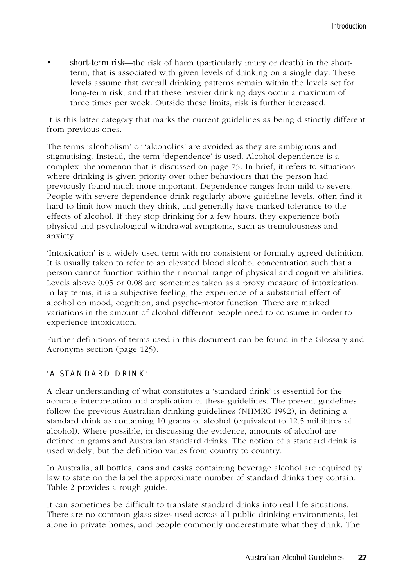*• short-term risk*—the risk of harm (particularly injury or death) in the shortterm, that is associated with given levels of drinking on a single day. These levels assume that overall drinking patterns remain within the levels set for long-term risk, and that these heavier drinking days occur a maximum of three times per week. Outside these limits, risk is further increased.

It is this latter category that marks the current guidelines as being distinctly different from previous ones.

The terms 'alcoholism' or 'alcoholics' are avoided as they are ambiguous and stigmatising. Instead, the term 'dependence' is used. Alcohol dependence is a complex phenomenon that is discussed on page 75. In brief, it refers to situations where drinking is given priority over other behaviours that the person had previously found much more important. Dependence ranges from mild to severe. People with severe dependence drink regularly above guideline levels, often find it hard to limit how much they drink, and generally have marked tolerance to the effects of alcohol. If they stop drinking for a few hours, they experience both physical and psychological withdrawal symptoms, such as tremulousness and anxiety.

'Intoxication' is a widely used term with no consistent or formally agreed definition. It is usually taken to refer to an elevated blood alcohol concentration such that a person cannot function within their normal range of physical and cognitive abilities. Levels above 0.05 or 0.08 are sometimes taken as a proxy measure of intoxication. In lay terms, it is a subjective feeling, the experience of a substantial effect of alcohol on mood, cognition, and psycho-motor function. There are marked variations in the amount of alcohol different people need to consume in order to experience intoxication.

Further definitions of terms used in this document can be found in the Glossary and Acronyms section (page 125).

#### 'A STANDARD DRINK'

A clear understanding of what constitutes a 'standard drink' is essential for the accurate interpretation and application of these guidelines. The present guidelines follow the previous Australian drinking guidelines (NHMRC 1992), in defining a standard drink as containing 10 grams of alcohol (equivalent to 12.5 millilitres of alcohol). Where possible, in discussing the evidence, amounts of alcohol are defined in grams and Australian standard drinks. The notion of a standard drink is used widely, but the definition varies from country to country.

In Australia, all bottles, cans and casks containing beverage alcohol are required by law to state on the label the approximate number of standard drinks they contain. Table 2 provides a rough guide.

It can sometimes be difficult to translate standard drinks into real life situations. There are no common glass sizes used across all public drinking environments, let alone in private homes, and people commonly underestimate what they drink. The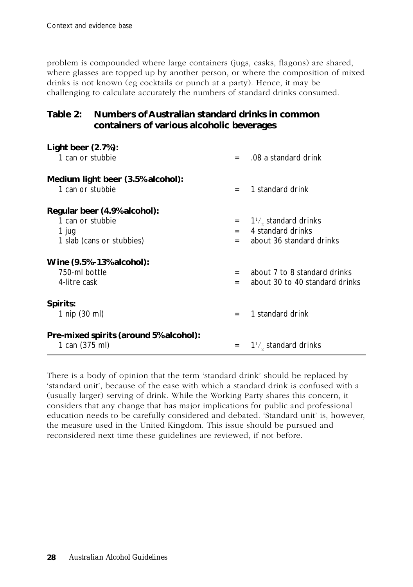problem is compounded where large containers (jugs, casks, flagons) are shared, where glasses are topped up by another person, or where the composition of mixed drinks is not known (eg cocktails or punch at a party). Hence, it may be challenging to calculate accurately the numbers of standard drinks consumed.

#### **Table 2: Numbers of Australian standard drinks in common containers of various alcoholic beverages**

| Light beer $(2.7%)$ :                  |     |                                  |
|----------------------------------------|-----|----------------------------------|
| 1 can or stubbie                       | $=$ | .08 a standard drink             |
| Medium light beer (3.5% alcohol):      |     |                                  |
| 1 can or stubbie                       | $=$ | 1 standard drink                 |
| Regular beer (4.9% alcohol):           |     |                                  |
| 1 can or stubbie                       | $=$ | $1\frac{1}{2}$ , standard drinks |
| 1 jug                                  | $=$ | 4 standard drinks                |
| 1 slab (cans or stubbies)              | $=$ | about 36 standard drinks         |
| Wine (9.5%-13% alcohol):               |     |                                  |
| 750-ml bottle                          | $=$ | about 7 to 8 standard drinks     |
| 4-litre cask                           | $=$ | about 30 to 40 standard drinks   |
| Spirits:                               |     |                                  |
| 1 nip (30 ml)                          | $=$ | 1 standard drink                 |
| Pre-mixed spirits (around 5% alcohol): |     |                                  |
| 1 can (375 ml)                         | $=$ | $1\frac{1}{2}$ , standard drinks |

There is a body of opinion that the term 'standard drink' should be replaced by 'standard unit', because of the ease with which a standard drink is confused with a (usually larger) serving of drink. While the Working Party shares this concern, it considers that any change that has major implications for public and professional education needs to be carefully considered and debated. 'Standard unit' is, however, the measure used in the United Kingdom. This issue should be pursued and reconsidered next time these guidelines are reviewed, if not before.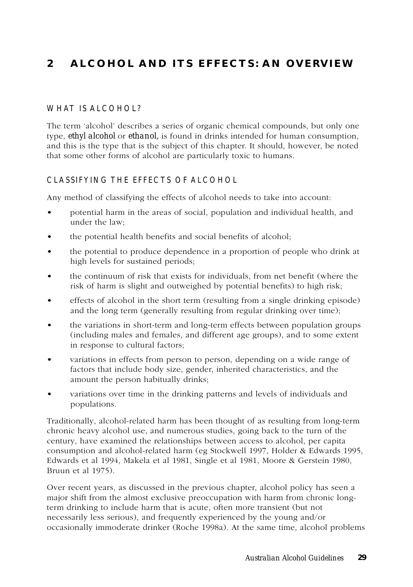## **2 ALCOHOL AND ITS EFFECTS: AN OVERVIEW**

#### WHAT IS ALCOHOL?

The term 'alcohol' describes a series of organic chemical compounds, but only one type, *ethyl alcohol* or *ethanol,* is found in drinks intended for human consumption, and this is the type that is the subject of this chapter. It should, however, be noted that some other forms of alcohol are particularly toxic to humans.

#### CLASSIFYING THE EFFECTS OF ALCOHOL

Any method of classifying the effects of alcohol needs to take into account:

- potential harm in the areas of social, population and individual health, and under the law;
- the potential health benefits and social benefits of alcohol;
- the potential to produce dependence in a proportion of people who drink at high levels for sustained periods;
- the continuum of risk that exists for individuals, from net benefit (where the risk of harm is slight and outweighed by potential benefits) to high risk;
- effects of alcohol in the short term (resulting from a single drinking episode) and the long term (generally resulting from regular drinking over time);
- the variations in short-term and long-term effects between population groups (including males and females, and different age groups), and to some extent in response to cultural factors;
- variations in effects from person to person, depending on a wide range of factors that include body size, gender, inherited characteristics, and the amount the person habitually drinks;
- variations over time in the drinking patterns and levels of individuals and populations.

Traditionally, alcohol-related harm has been thought of as resulting from long-term chronic heavy alcohol use, and numerous studies, going back to the turn of the century, have examined the relationships between access to alcohol, per capita consumption and alcohol-related harm (eg Stockwell 1997, Holder & Edwards 1995, Edwards et al 1994, Makela et al 1981, Single et al 1981, Moore & Gerstein 1980, Bruun et al 1975).

Over recent years, as discussed in the previous chapter, alcohol policy has seen a major shift from the almost exclusive preoccupation with harm from chronic longterm drinking to include harm that is acute, often more transient (but not necessarily less serious), and frequently experienced by the young and/or occasionally immoderate drinker (Roche 1998a). At the same time, alcohol problems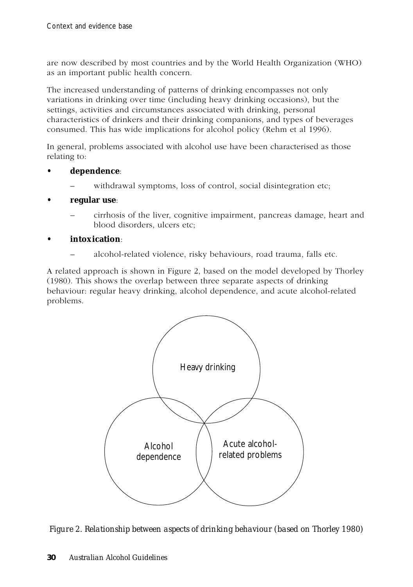are now described by most countries and by the World Health Organization (WHO) as an important public health concern.

The increased understanding of patterns of drinking encompasses not only variations in drinking over time (including heavy drinking occasions), but the settings, activities and circumstances associated with drinking, personal characteristics of drinkers and their drinking companions, and types of beverages consumed. This has wide implications for alcohol policy (Rehm et al 1996).

In general, problems associated with alcohol use have been characterised as those relating to:

- **dependence**:
	- withdrawal symptoms, loss of control, social disintegration etc;
- **regular use**:
	- cirrhosis of the liver, cognitive impairment, pancreas damage, heart and blood disorders, ulcers etc;

#### **• intoxication**:

– alcohol-related violence, risky behaviours, road trauma, falls etc.

A related approach is shown in Figure 2, based on the model developed by Thorley (1980). This shows the overlap between three separate aspects of drinking behaviour: regular heavy drinking, alcohol dependence, and acute alcohol-related problems.



*Figure 2. Relationship between aspects of drinking behaviour (based on Thorley 1980)*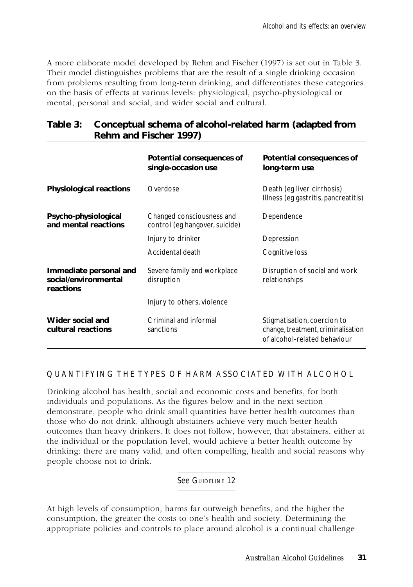A more elaborate model developed by Rehm and Fischer (1997) is set out in Table 3. Their model distinguishes problems that are the result of a single drinking occasion from problems resulting from long-term drinking, and differentiates these categories on the basis of effects at various levels: physiological, psycho-physiological or mental, personal and social, and wider social and cultural.

| Table 3: Conceptual schema of alcohol-related harm (adapted from |
|------------------------------------------------------------------|
| Rehm and Fischer 1997)                                           |

|                                                             | Potential consequences of<br>single-occasion use            | Potential consequences of<br>long-term use                                                        |
|-------------------------------------------------------------|-------------------------------------------------------------|---------------------------------------------------------------------------------------------------|
| <b>Physiological reactions</b>                              | Overdose                                                    | Death (eq liver cirrhosis)<br>Illness (eg gastritis, pancreatitis)                                |
| Psycho-physiological<br>and mental reactions                | Changed consciousness and<br>control (eg hangover, suicide) | Dependence                                                                                        |
|                                                             | Injury to drinker                                           | Depression                                                                                        |
|                                                             | Accidental death                                            | Cognitive loss                                                                                    |
| Immediate personal and<br>social/environmental<br>reactions | Severe family and workplace<br>disruption                   | Disruption of social and work<br>relationships                                                    |
|                                                             | Injury to others, violence                                  |                                                                                                   |
| Wider social and<br>cultural reactions                      | Criminal and informal<br>sanctions                          | Stigmatisation, coercion to<br>change, treatment, criminalisation<br>of alcohol-related behaviour |

#### QUANTIFYING THE TYPES OF HARM ASSOCIATED WITH ALCOHOL

Drinking alcohol has health, social and economic costs and benefits, for both individuals and populations. As the figures below and in the next section demonstrate, people who drink small quantities have better health outcomes than those who do not drink, although abstainers achieve very much better health outcomes than heavy drinkers. It does not follow, however, that abstainers, either at the individual or the population level, would achieve a better health outcome by drinking: there are many valid, and often compelling, health and social reasons why people choose not to drink.

#### See GUIDELINE 12

At high levels of consumption, harms far outweigh benefits, and the higher the consumption, the greater the costs to one's health and society. Determining the appropriate policies and controls to place around alcohol is a continual challenge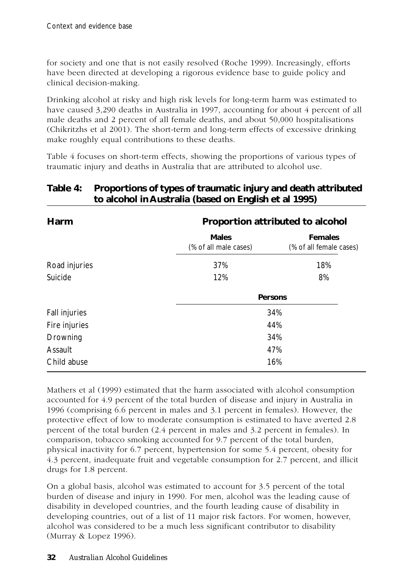for society and one that is not easily resolved (Roche 1999). Increasingly, efforts have been directed at developing a rigorous evidence base to guide policy and clinical decision-making.

Drinking alcohol at risky and high risk levels for long-term harm was estimated to have caused 3,290 deaths in Australia in 1997, accounting for about 4 percent of all male deaths and 2 percent of all female deaths, and about 50,000 hospitalisations (Chikritzhs et al 2001). The short-term and long-term effects of excessive drinking make roughly equal contributions to these deaths.

Table 4 focuses on short-term effects, showing the proportions of various types of traumatic injury and deaths in Australia that are attributed to alcohol use.

| Harm                 | Proportion attributed to alcohol      |                                           |  |  |
|----------------------|---------------------------------------|-------------------------------------------|--|--|
|                      | <b>Males</b><br>(% of all male cases) | <b>Females</b><br>(% of all female cases) |  |  |
| Road injuries        | 37%                                   | 18%                                       |  |  |
| Suicide              | 12%                                   | 8%                                        |  |  |
|                      |                                       | <b>Persons</b>                            |  |  |
| <b>Fall injuries</b> |                                       | 34%                                       |  |  |
| Fire injuries        | 44%                                   |                                           |  |  |
| Drowning             |                                       | 34%                                       |  |  |
| Assault              |                                       | 47%                                       |  |  |
| Child abuse          |                                       | 16%                                       |  |  |

# **Table 4: Proportions of types of traumatic injury and death attributed to alcohol in Australia (based on English et al 1995)**

Mathers et al (1999) estimated that the harm associated with alcohol consumption accounted for 4.9 percent of the total burden of disease and injury in Australia in 1996 (comprising 6.6 percent in males and 3.1 percent in females). However, the protective effect of low to moderate consumption is estimated to have averted 2.8 percent of the total burden (2.4 percent in males and 3.2 percent in females). In comparison, tobacco smoking accounted for 9.7 percent of the total burden, physical inactivity for 6.7 percent, hypertension for some 5.4 percent, obesity for 4.3 percent, inadequate fruit and vegetable consumption for 2.7 percent, and illicit drugs for 1.8 percent.

On a global basis, alcohol was estimated to account for 3.5 percent of the total burden of disease and injury in 1990. For men, alcohol was the leading cause of disability in developed countries, and the fourth leading cause of disability in developing countries, out of a list of 11 major risk factors. For women, however, alcohol was considered to be a much less significant contributor to disability (Murray & Lopez 1996).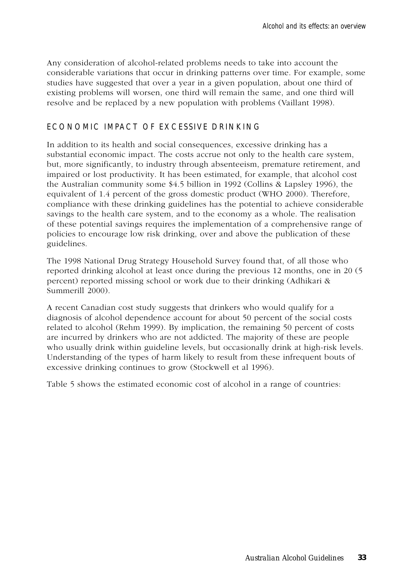Any consideration of alcohol-related problems needs to take into account the considerable variations that occur in drinking patterns over time. For example, some studies have suggested that over a year in a given population, about one third of existing problems will worsen, one third will remain the same, and one third will resolve and be replaced by a new population with problems (Vaillant 1998).

### ECONOMIC IMPACT OF EXCESSIVE DRINKING

In addition to its health and social consequences, excessive drinking has a substantial economic impact. The costs accrue not only to the health care system, but, more significantly, to industry through absenteeism, premature retirement, and impaired or lost productivity. It has been estimated, for example, that alcohol cost the Australian community some \$4.5 billion in 1992 (Collins & Lapsley 1996), the equivalent of 1.4 percent of the gross domestic product (WHO 2000). Therefore, compliance with these drinking guidelines has the potential to achieve considerable savings to the health care system, and to the economy as a whole. The realisation of these potential savings requires the implementation of a comprehensive range of policies to encourage low risk drinking, over and above the publication of these guidelines.

The 1998 National Drug Strategy Household Survey found that, of all those who reported drinking alcohol at least once during the previous 12 months, one in 20 (5 percent) reported missing school or work due to their drinking (Adhikari & Summerill 2000).

A recent Canadian cost study suggests that drinkers who would qualify for a diagnosis of alcohol dependence account for about 50 percent of the social costs related to alcohol (Rehm 1999). By implication, the remaining 50 percent of costs are incurred by drinkers who are not addicted. The majority of these are people who usually drink within guideline levels, but occasionally drink at high-risk levels. Understanding of the types of harm likely to result from these infrequent bouts of excessive drinking continues to grow (Stockwell et al 1996).

Table 5 shows the estimated economic cost of alcohol in a range of countries: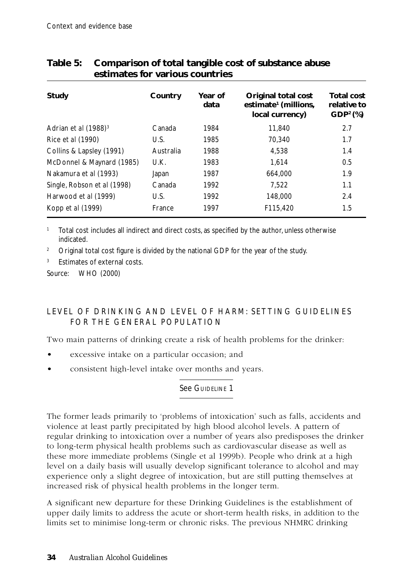| Study                       | Country   | Year of<br>data | Original total cost<br>estimate <sup>1</sup> (millions,<br>local currency) | <b>Total cost</b><br>relative to<br>GDP <sup>2</sup> (%) |
|-----------------------------|-----------|-----------------|----------------------------------------------------------------------------|----------------------------------------------------------|
| Adrian et al $(1988)^3$     | Canada    | 1984            | 11,840                                                                     | 2.7                                                      |
| Rice et al (1990)           | U.S.      | 1985            | 70.340                                                                     | 1.7                                                      |
| Collins & Lapsley (1991)    | Australia | 1988            | 4.538                                                                      | 1.4                                                      |
| McDonnel & Maynard (1985)   | U.K.      | 1983            | 1.614                                                                      | 0.5                                                      |
| Nakamura et al (1993)       | Japan     | 1987            | 664.000                                                                    | 1.9                                                      |
| Single, Robson et al (1998) | Canada    | 1992            | 7.522                                                                      | 1.1                                                      |
| Harwood et al (1999)        | U.S.      | 1992            | 148,000                                                                    | 2.4                                                      |
| Kopp <i>et al</i> (1999)    | France    | 1997            | F115,420                                                                   | 1.5                                                      |

# **Table 5: Comparison of total tangible cost of substance abuse estimates for various countries**

<sup>1</sup> Total cost includes all indirect and direct costs, as specified by the author, unless otherwise indicated.

<sup>2</sup> Original total cost figure is divided by the national GDP for the year of the study.

<sup>3</sup> Estimates of external costs.

Source: WHO (2000)

# LEVEL OF DRINKING AND LEVEL OF HARM: SETTING GUIDELINES FOR THE GENERAL POPULATION

Two main patterns of drinking create a risk of health problems for the drinker:

- excessive intake on a particular occasion; and
- consistent high-level intake over months and years.

### See GUIDELINE 1

The former leads primarily to 'problems of intoxication' such as falls, accidents and violence at least partly precipitated by high blood alcohol levels. A pattern of regular drinking to intoxication over a number of years also predisposes the drinker to long-term physical health problems such as cardiovascular disease as well as these more immediate problems (Single et al 1999b). People who drink at a high level on a daily basis will usually develop significant tolerance to alcohol and may experience only a slight degree of intoxication, but are still putting themselves at increased risk of physical health problems in the longer term.

A significant new departure for these Drinking Guidelines is the establishment of upper daily limits to address the acute or short-term health risks, in addition to the limits set to minimise long-term or chronic risks. The previous NHMRC drinking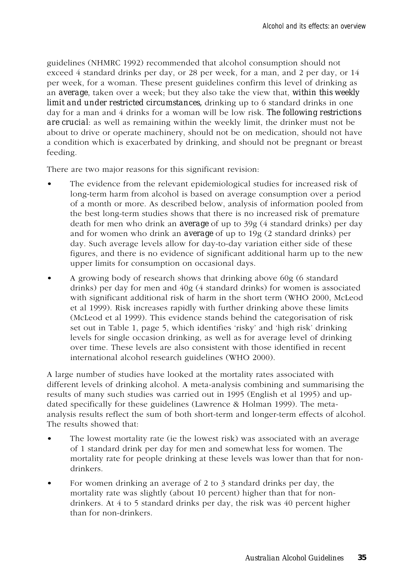guidelines (NHMRC 1992) recommended that alcohol consumption should not exceed 4 standard drinks per day, or 28 per week, for a man, and 2 per day, or 14 per week, for a woman. These present guidelines confirm this level of drinking as an *average*, taken over a week; but they also take the view that, *within this weekly limit and under restricted circumstances, drinking up to 6 standard drinks in one* day for a man and 4 drinks for a woman will be low risk. *The following restrictions are crucial*: as well as remaining within the weekly limit, the drinker must not be about to drive or operate machinery, should not be on medication, should not have a condition which is exacerbated by drinking, and should not be pregnant or breast feeding.

There are two major reasons for this significant revision:

- The evidence from the relevant epidemiological studies for increased risk of long-term harm from alcohol is based on average consumption over a period of a month or more. As described below, analysis of information pooled from the best long-term studies shows that there is no increased risk of premature death for men who drink an *average* of up to 39g (4 standard drinks) per day and for women who drink an *average* of up to 19g (2 standard drinks) per day. Such average levels allow for day-to-day variation either side of these figures, and there is no evidence of significant additional harm up to the new upper limits for consumption on occasional days.
- A growing body of research shows that drinking above 60g (6 standard drinks) per day for men and 40g (4 standard drinks) for women is associated with significant additional risk of harm in the short term (WHO 2000, McLeod et al 1999). Risk increases rapidly with further drinking above these limits (McLeod et al 1999). This evidence stands behind the categorisation of risk set out in Table 1, page 5, which identifies 'risky' and 'high risk' drinking levels for single occasion drinking, as well as for average level of drinking over time. These levels are also consistent with those identified in recent international alcohol research guidelines (WHO 2000).

A large number of studies have looked at the mortality rates associated with different levels of drinking alcohol. A meta-analysis combining and summarising the results of many such studies was carried out in 1995 (English et al 1995) and updated specifically for these guidelines (Lawrence & Holman 1999). The metaanalysis results reflect the sum of both short-term and longer-term effects of alcohol. The results showed that:

- The lowest mortality rate (ie the lowest risk) was associated with an average of 1 standard drink per day for men and somewhat less for women. The mortality rate for people drinking at these levels was lower than that for nondrinkers.
- For women drinking an average of 2 to 3 standard drinks per day, the mortality rate was slightly (about 10 percent) higher than that for nondrinkers. At 4 to 5 standard drinks per day, the risk was 40 percent higher than for non-drinkers.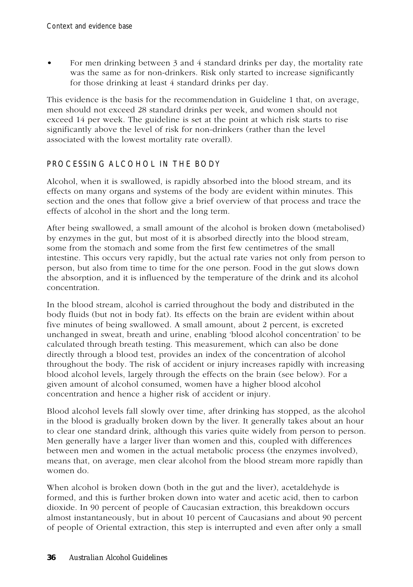• For men drinking between 3 and 4 standard drinks per day, the mortality rate was the same as for non-drinkers. Risk only started to increase significantly for those drinking at least 4 standard drinks per day.

This evidence is the basis for the recommendation in Guideline 1 that, on average, men should not exceed 28 standard drinks per week, and women should not exceed 14 per week. The guideline is set at the point at which risk starts to rise significantly above the level of risk for non-drinkers (rather than the level associated with the lowest mortality rate overall).

# PROCESSING ALCOHOL IN THE BODY

Alcohol, when it is swallowed, is rapidly absorbed into the blood stream, and its effects on many organs and systems of the body are evident within minutes. This section and the ones that follow give a brief overview of that process and trace the effects of alcohol in the short and the long term.

After being swallowed, a small amount of the alcohol is broken down (metabolised) by enzymes in the gut, but most of it is absorbed directly into the blood stream, some from the stomach and some from the first few centimetres of the small intestine. This occurs very rapidly, but the actual rate varies not only from person to person, but also from time to time for the one person. Food in the gut slows down the absorption, and it is influenced by the temperature of the drink and its alcohol concentration.

In the blood stream, alcohol is carried throughout the body and distributed in the body fluids (but not in body fat). Its effects on the brain are evident within about five minutes of being swallowed. A small amount, about 2 percent, is excreted unchanged in sweat, breath and urine, enabling 'blood alcohol concentration' to be calculated through breath testing. This measurement, which can also be done directly through a blood test, provides an index of the concentration of alcohol throughout the body. The risk of accident or injury increases rapidly with increasing blood alcohol levels, largely through the effects on the brain (see below). For a given amount of alcohol consumed, women have a higher blood alcohol concentration and hence a higher risk of accident or injury.

Blood alcohol levels fall slowly over time, after drinking has stopped, as the alcohol in the blood is gradually broken down by the liver. It generally takes about an hour to clear one standard drink, although this varies quite widely from person to person. Men generally have a larger liver than women and this, coupled with differences between men and women in the actual metabolic process (the enzymes involved), means that, on average, men clear alcohol from the blood stream more rapidly than women do.

When alcohol is broken down (both in the gut and the liver), acetaldehyde is formed, and this is further broken down into water and acetic acid, then to carbon dioxide. In 90 percent of people of Caucasian extraction, this breakdown occurs almost instantaneously, but in about 10 percent of Caucasians and about 90 percent of people of Oriental extraction, this step is interrupted and even after only a small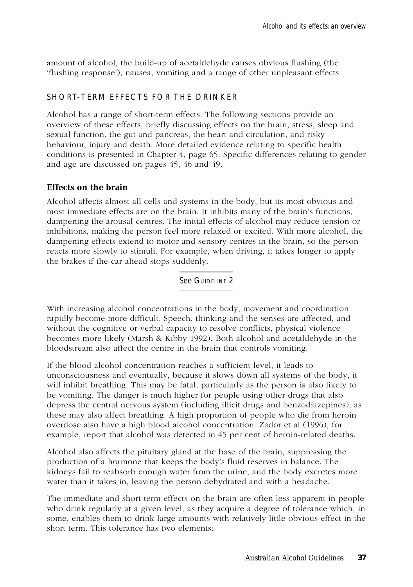amount of alcohol, the build-up of acetaldehyde causes obvious flushing (the 'flushing response'), nausea, vomiting and a range of other unpleasant effects.

# SHORT-TERM EFFECTS FOR THE DRINKER

Alcohol has a range of short-term effects. The following sections provide an overview of these effects, briefly discussing effects on the brain, stress, sleep and sexual function, the gut and pancreas, the heart and circulation, and risky behaviour, injury and death. More detailed evidence relating to specific health conditions is presented in Chapter 4, page 65. Specific differences relating to gender and age are discussed on pages 45, 46 and 49.

#### **Effects on the brain**

Alcohol affects almost all cells and systems in the body, but its most obvious and most immediate effects are on the brain. It inhibits many of the brain's functions, dampening the arousal centres. The initial effects of alcohol may reduce tension or inhibitions, making the person feel more relaxed or excited. With more alcohol, the dampening effects extend to motor and sensory centres in the brain, so the person reacts more slowly to stimuli. For example, when driving, it takes longer to apply the brakes if the car ahead stops suddenly.

See GUIDELINE 2

With increasing alcohol concentrations in the body, movement and coordination rapidly become more difficult. Speech, thinking and the senses are affected, and without the cognitive or verbal capacity to resolve conflicts, physical violence becomes more likely (Marsh & Kibby 1992). Both alcohol and acetaldehyde in the bloodstream also affect the centre in the brain that controls vomiting.

If the blood alcohol concentration reaches a sufficient level, it leads to unconsciousness and eventually, because it slows down all systems of the body, it will inhibit breathing. This may be fatal, particularly as the person is also likely to be vomiting. The danger is much higher for people using other drugs that also depress the central nervous system (including illicit drugs and benzodiazepines), as these may also affect breathing. A high proportion of people who die from heroin overdose also have a high blood alcohol concentration. Zador et al (1996), for example, report that alcohol was detected in 45 per cent of heroin-related deaths.

Alcohol also affects the pituitary gland at the base of the brain, suppressing the production of a hormone that keeps the body's fluid reserves in balance. The kidneys fail to reabsorb enough water from the urine, and the body excretes more water than it takes in, leaving the person dehydrated and with a headache.

The immediate and short-term effects on the brain are often less apparent in people who drink regularly at a given level, as they acquire a degree of tolerance which, in some, enables them to drink large amounts with relatively little obvious effect in the short term. This tolerance has two elements: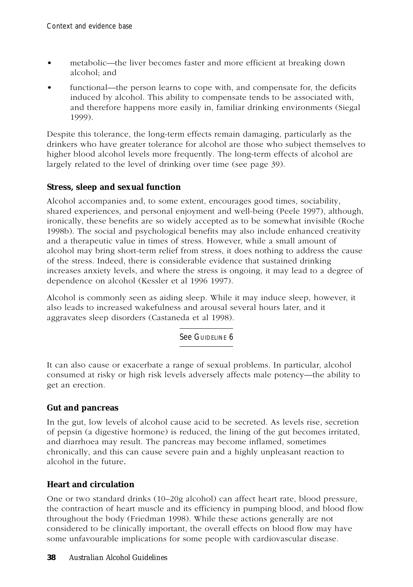- metabolic—the liver becomes faster and more efficient at breaking down alcohol; and
- functional—the person learns to cope with, and compensate for, the deficits induced by alcohol. This ability to compensate tends to be associated with, and therefore happens more easily in, familiar drinking environments (Siegal 1999).

Despite this tolerance, the long-term effects remain damaging, particularly as the drinkers who have greater tolerance for alcohol are those who subject themselves to higher blood alcohol levels more frequently. The long-term effects of alcohol are largely related to the level of drinking over time (see page 39).

# **Stress, sleep and sexual function**

Alcohol accompanies and, to some extent, encourages good times, sociability, shared experiences, and personal enjoyment and well-being (Peele 1997), although, ironically, these benefits are so widely accepted as to be somewhat invisible (Roche 1998b). The social and psychological benefits may also include enhanced creativity and a therapeutic value in times of stress. However, while a small amount of alcohol may bring short-term relief from stress, it does nothing to address the cause of the stress. Indeed, there is considerable evidence that sustained drinking increases anxiety levels, and where the stress is ongoing, it may lead to a degree of dependence on alcohol (Kessler et al 1996 1997).

Alcohol is commonly seen as aiding sleep. While it may induce sleep, however, it also leads to increased wakefulness and arousal several hours later, and it aggravates sleep disorders (Castaneda et al 1998).

See GUIDELINE 6

It can also cause or exacerbate a range of sexual problems. In particular, alcohol consumed at risky or high risk levels adversely affects male potency—the ability to get an erection.

### **Gut and pancreas**

In the gut, low levels of alcohol cause acid to be secreted. As levels rise, secretion of pepsin (a digestive hormone) is reduced, the lining of the gut becomes irritated, and diarrhoea may result. The pancreas may become inflamed, sometimes chronically, and this can cause severe pain and a highly unpleasant reaction to alcohol in the future*.*

### **Heart and circulation**

One or two standard drinks (10–20g alcohol) can affect heart rate, blood pressure, the contraction of heart muscle and its efficiency in pumping blood, and blood flow throughout the body (Friedman 1998). While these actions generally are not considered to be clinically important, the overall effects on blood flow may have some unfavourable implications for some people with cardiovascular disease.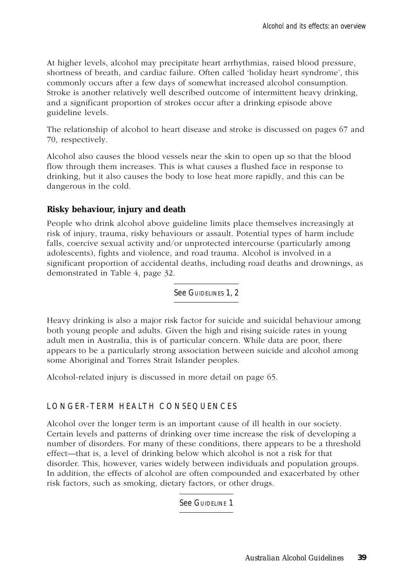At higher levels, alcohol may precipitate heart arrhythmias, raised blood pressure, shortness of breath, and cardiac failure. Often called 'holiday heart syndrome', this commonly occurs after a few days of somewhat increased alcohol consumption. Stroke is another relatively well described outcome of intermittent heavy drinking, and a significant proportion of strokes occur after a drinking episode above guideline levels.

The relationship of alcohol to heart disease and stroke is discussed on pages 67 and 70, respectively.

Alcohol also causes the blood vessels near the skin to open up so that the blood flow through them increases. This is what causes a flushed face in response to drinking, but it also causes the body to lose heat more rapidly, and this can be dangerous in the cold.

#### **Risky behaviour, injury and death**

People who drink alcohol above guideline limits place themselves increasingly at risk of injury, trauma, risky behaviours or assault. Potential types of harm include falls, coercive sexual activity and/or unprotected intercourse (particularly among adolescents), fights and violence, and road trauma. Alcohol is involved in a significant proportion of accidental deaths, including road deaths and drownings, as demonstrated in Table 4, page 32.

See GUIDELINES 1, 2

Heavy drinking is also a major risk factor for suicide and suicidal behaviour among both young people and adults. Given the high and rising suicide rates in young adult men in Australia, this is of particular concern. While data are poor, there appears to be a particularly strong association between suicide and alcohol among some Aboriginal and Torres Strait Islander peoples.

Alcohol-related injury is discussed in more detail on page 65.

#### LONGER-TERM HEALTH CONSEQUENCES

Alcohol over the longer term is an important cause of ill health in our society. Certain levels and patterns of drinking over time increase the risk of developing a number of disorders. For many of these conditions, there appears to be a threshold effect—that is, a level of drinking below which alcohol is not a risk for that disorder. This, however, varies widely between individuals and population groups. In addition, the effects of alcohol are often compounded and exacerbated by other risk factors, such as smoking, dietary factors, or other drugs.

See GUIDELINE 1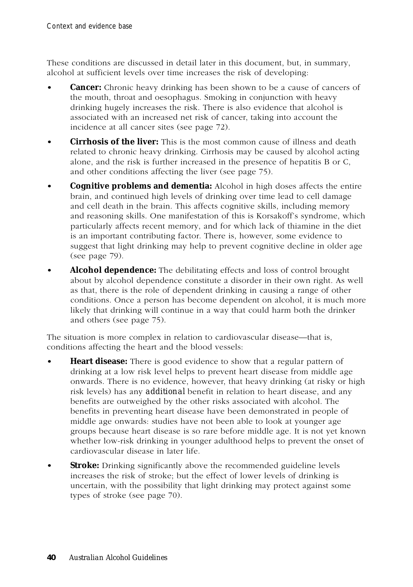These conditions are discussed in detail later in this document, but, in summary, alcohol at sufficient levels over time increases the risk of developing:

- **Cancer:** Chronic heavy drinking has been shown to be a cause of cancers of the mouth, throat and oesophagus. Smoking in conjunction with heavy drinking hugely increases the risk. There is also evidence that alcohol is associated with an increased net risk of cancer, taking into account the incidence at all cancer sites (see page 72).
- **Cirrhosis of the liver:** This is the most common cause of illness and death related to chronic heavy drinking. Cirrhosis may be caused by alcohol acting alone, and the risk is further increased in the presence of hepatitis B or C, and other conditions affecting the liver (see page 75).
- **Cognitive problems and dementia:** Alcohol in high doses affects the entire brain, and continued high levels of drinking over time lead to cell damage and cell death in the brain. This affects cognitive skills, including memory and reasoning skills. One manifestation of this is Korsakoff's syndrome, which particularly affects recent memory, and for which lack of thiamine in the diet is an important contributing factor. There is, however, some evidence to suggest that light drinking may help to prevent cognitive decline in older age (see page 79).
- **Alcohol dependence:** The debilitating effects and loss of control brought about by alcohol dependence constitute a disorder in their own right. As well as that, there is the role of dependent drinking in causing a range of other conditions. Once a person has become dependent on alcohol, it is much more likely that drinking will continue in a way that could harm both the drinker and others (see page 75).

The situation is more complex in relation to cardiovascular disease—that is, conditions affecting the heart and the blood vessels:

- **Heart disease:** There is good evidence to show that a regular pattern of drinking at a low risk level helps to prevent heart disease from middle age onwards. There is no evidence, however, that heavy drinking (at risky or high risk levels) has any *additional* benefit in relation to heart disease, and any benefits are outweighed by the other risks associated with alcohol. The benefits in preventing heart disease have been demonstrated in people of middle age onwards: studies have not been able to look at younger age groups because heart disease is so rare before middle age. It is not yet known whether low-risk drinking in younger adulthood helps to prevent the onset of cardiovascular disease in later life.
- **Stroke:** Drinking significantly above the recommended guideline levels increases the risk of stroke; but the effect of lower levels of drinking is uncertain, with the possibility that light drinking may protect against some types of stroke (see page 70).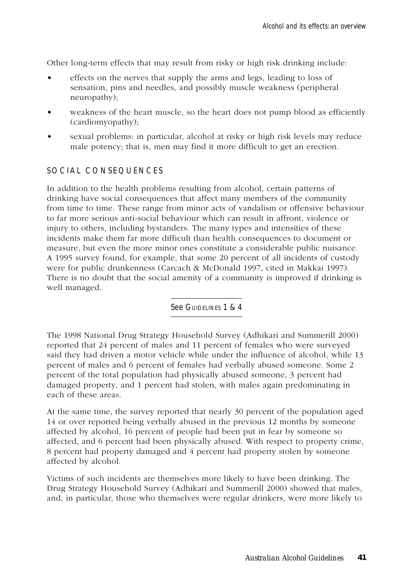Other long-term effects that may result from risky or high risk drinking include:

- effects on the nerves that supply the arms and legs, leading to loss of sensation, pins and needles, and possibly muscle weakness (peripheral neuropathy);
- weakness of the heart muscle, so the heart does not pump blood as efficiently (cardiomyopathy);
- sexual problems: in particular, alcohol at risky or high risk levels may reduce male potency; that is, men may find it more difficult to get an erection.

#### SOCIAL CONSEQUENCES

In addition to the health problems resulting from alcohol, certain patterns of drinking have social consequences that affect many members of the community from time to time. These range from minor acts of vandalism or offensive behaviour to far more serious anti-social behaviour which can result in affront, violence or injury to others, including bystanders. The many types and intensities of these incidents make them far more difficult than health consequences to document or measure, but even the more minor ones constitute a considerable public nuisance. A 1995 survey found, for example, that some 20 percent of all incidents of custody were for public drunkenness (Carcach & McDonald 1997, cited in Makkai 1997). There is no doubt that the social amenity of a community is improved if drinking is well managed.

See GUIDELINES 1 & 4

The 1998 National Drug Strategy Household Survey (Adhikari and Summerill 2000) reported that 24 percent of males and 11 percent of females who were surveyed said they had driven a motor vehicle while under the influence of alcohol, while 13 percent of males and 6 percent of females had verbally abused someone. Some 2 percent of the total population had physically abused someone, 3 percent had damaged property, and 1 percent had stolen, with males again predominating in each of these areas.

At the same time, the survey reported that nearly 30 percent of the population aged 14 or over reported being verbally abused in the previous 12 months by someone affected by alcohol, 16 percent of people had been put in fear by someone so affected, and 6 percent had been physically abused. With respect to property crime, 8 percent had property damaged and 4 percent had property stolen by someone affected by alcohol.

Victims of such incidents are themselves more likely to have been drinking. The Drug Strategy Household Survey (Adhikari and Summerill 2000) showed that males, and, in particular, those who themselves were regular drinkers, were more likely to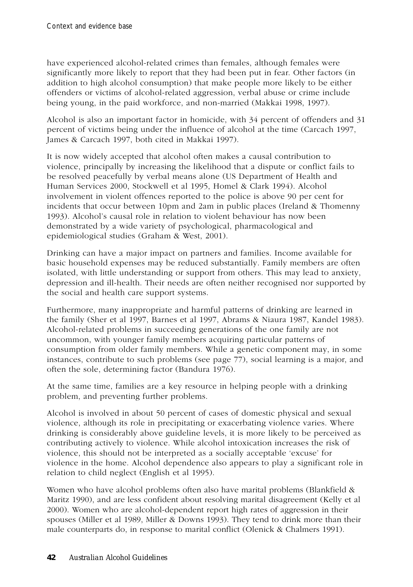have experienced alcohol-related crimes than females, although females were significantly more likely to report that they had been put in fear. Other factors (in addition to high alcohol consumption) that make people more likely to be either offenders or victims of alcohol-related aggression, verbal abuse or crime include being young, in the paid workforce, and non-married (Makkai 1998, 1997).

Alcohol is also an important factor in homicide, with 34 percent of offenders and 31 percent of victims being under the influence of alcohol at the time (Carcach 1997, James & Carcach 1997, both cited in Makkai 1997).

It is now widely accepted that alcohol often makes a causal contribution to violence, principally by increasing the likelihood that a dispute or conflict fails to be resolved peacefully by verbal means alone (US Department of Health and Human Services 2000, Stockwell et al 1995, Homel & Clark 1994). Alcohol involvement in violent offences reported to the police is above 90 per cent for incidents that occur between 10pm and 2am in public places (Ireland & Thomenny 1993). Alcohol's causal role in relation to violent behaviour has now been demonstrated by a wide variety of psychological, pharmacological and epidemiological studies (Graham & West, 2001).

Drinking can have a major impact on partners and families. Income available for basic household expenses may be reduced substantially. Family members are often isolated, with little understanding or support from others. This may lead to anxiety, depression and ill-health. Their needs are often neither recognised nor supported by the social and health care support systems.

Furthermore, many inappropriate and harmful patterns of drinking are learned in the family (Sher et al 1997, Barnes et al 1997, Abrams & Niaura 1987, Kandel 1983). Alcohol-related problems in succeeding generations of the one family are not uncommon, with younger family members acquiring particular patterns of consumption from older family members. While a genetic component may, in some instances, contribute to such problems (see page 77), social learning is a major, and often the sole, determining factor (Bandura 1976).

At the same time, families are a key resource in helping people with a drinking problem, and preventing further problems.

Alcohol is involved in about 50 percent of cases of domestic physical and sexual violence, although its role in precipitating or exacerbating violence varies. Where drinking is considerably above guideline levels, it is more likely to be perceived as contributing actively to violence. While alcohol intoxication increases the risk of violence, this should not be interpreted as a socially acceptable 'excuse' for violence in the home. Alcohol dependence also appears to play a significant role in relation to child neglect (English et al 1995).

Women who have alcohol problems often also have marital problems (Blankfield & Maritz 1990), and are less confident about resolving marital disagreement (Kelly et al 2000). Women who are alcohol-dependent report high rates of aggression in their spouses (Miller et al 1989, Miller & Downs 1993). They tend to drink more than their male counterparts do, in response to marital conflict (Olenick & Chalmers 1991).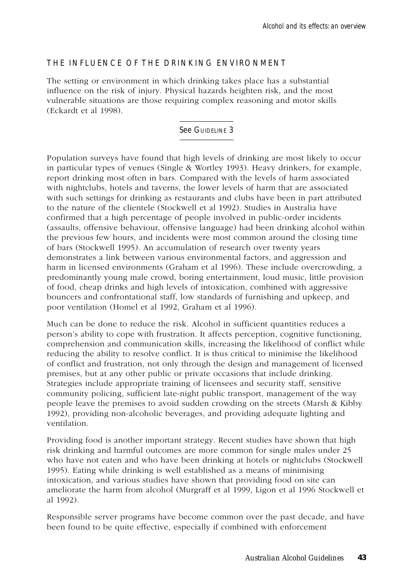# THE INFLUENCE OF THE DRINKING ENVIRONMENT

The setting or environment in which drinking takes place has a substantial influence on the risk of injury. Physical hazards heighten risk, and the most vulnerable situations are those requiring complex reasoning and motor skills (Eckardt et al 1998).

#### See GUIDELINE 3

Population surveys have found that high levels of drinking are most likely to occur in particular types of venues (Single & Wortley 1993). Heavy drinkers, for example, report drinking most often in bars. Compared with the levels of harm associated with nightclubs, hotels and taverns, the lower levels of harm that are associated with such settings for drinking as restaurants and clubs have been in part attributed to the nature of the clientele (Stockwell et al 1992). Studies in Australia have confirmed that a high percentage of people involved in public-order incidents (assaults, offensive behaviour, offensive language) had been drinking alcohol within the previous few hours, and incidents were most common around the closing time of bars (Stockwell 1995). An accumulation of research over twenty years demonstrates a link between various environmental factors, and aggression and harm in licensed environments (Graham et al 1996). These include overcrowding, a predominantly young male crowd, boring entertainment, loud music, little provision of food, cheap drinks and high levels of intoxication, combined with aggressive bouncers and confrontational staff, low standards of furnishing and upkeep, and poor ventilation (Homel et al 1992, Graham et al 1996).

Much can be done to reduce the risk. Alcohol in sufficient quantities reduces a person's ability to cope with frustration. It affects perception, cognitive functioning, comprehension and communication skills, increasing the likelihood of conflict while reducing the ability to resolve conflict. It is thus critical to minimise the likelihood of conflict and frustration, not only through the design and management of licensed premises, but at any other public or private occasions that include drinking. Strategies include appropriate training of licensees and security staff, sensitive community policing, sufficient late-night public transport, management of the way people leave the premises to avoid sudden crowding on the streets (Marsh & Kibby 1992), providing non-alcoholic beverages, and providing adequate lighting and ventilation.

Providing food is another important strategy. Recent studies have shown that high risk drinking and harmful outcomes are more common for single males under 25 who have not eaten and who have been drinking at hotels or nightclubs (Stockwell 1995). Eating while drinking is well established as a means of minimising intoxication, and various studies have shown that providing food on site can ameliorate the harm from alcohol (Murgraff et al 1999, Ligon et al 1996 Stockwell et al 1992).

Responsible server programs have become common over the past decade, and have been found to be quite effective, especially if combined with enforcement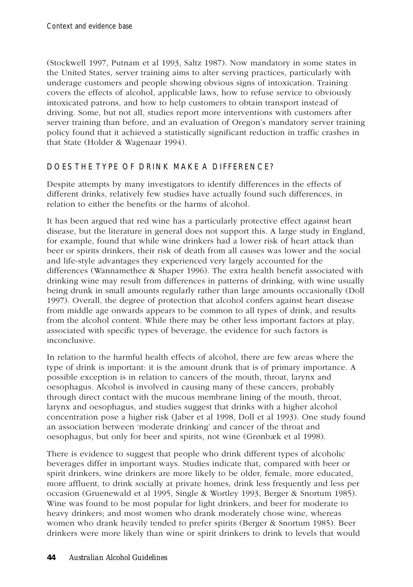(Stockwell 1997, Putnam et al 1993, Saltz 1987). Now mandatory in some states in the United States, server training aims to alter serving practices, particularly with underage customers and people showing obvious signs of intoxication. Training covers the effects of alcohol, applicable laws, how to refuse service to obviously intoxicated patrons, and how to help customers to obtain transport instead of driving. Some, but not all, studies report more interventions with customers after server training than before, and an evaluation of Oregon's mandatory server training policy found that it achieved a statistically significant reduction in traffic crashes in that State (Holder & Wagenaar 1994).

# DOES THE TYPE OF DRINK MAKE A DIFFERENCE?

Despite attempts by many investigators to identify differences in the effects of different drinks, relatively few studies have actually found such differences, in relation to either the benefits or the harms of alcohol.

It has been argued that red wine has a particularly protective effect against heart disease, but the literature in general does not support this. A large study in England, for example, found that while wine drinkers had a lower risk of heart attack than beer or spirits drinkers, their risk of death from all causes was lower and the social and life-style advantages they experienced very largely accounted for the differences (Wannamethee & Shaper 1996). The extra health benefit associated with drinking wine may result from differences in patterns of drinking, with wine usually being drunk in small amounts regularly rather than large amounts occasionally (Doll 1997). Overall, the degree of protection that alcohol confers against heart disease from middle age onwards appears to be common to all types of drink, and results from the alcohol content. While there may be other less important factors at play, associated with specific types of beverage, the evidence for such factors is inconclusive.

In relation to the harmful health effects of alcohol, there are few areas where the type of drink is important: it is the amount drunk that is of primary importance. A possible exception is in relation to cancers of the mouth, throat, larynx and oesophagus. Alcohol is involved in causing many of these cancers, probably through direct contact with the mucous membrane lining of the mouth, throat, larynx and oesophagus, and studies suggest that drinks with a higher alcohol concentration pose a higher risk (Jaber et al 1998, Doll et al 1993). One study found an association between 'moderate drinking' and cancer of the throat and oesophagus, but only for beer and spirits, not wine (Grønbæk et al 1998).

There is evidence to suggest that people who drink different types of alcoholic beverages differ in important ways. Studies indicate that, compared with beer or spirit drinkers, wine drinkers are more likely to be older, female, more educated, more affluent, to drink socially at private homes, drink less frequently and less per occasion (Gruenewald et al 1995, Single & Wortley 1993, Berger & Snortum 1985). Wine was found to be most popular for light drinkers, and beer for moderate to heavy drinkers; and most women who drank moderately chose wine, whereas women who drank heavily tended to prefer spirits (Berger & Snortum 1985). Beer drinkers were more likely than wine or spirit drinkers to drink to levels that would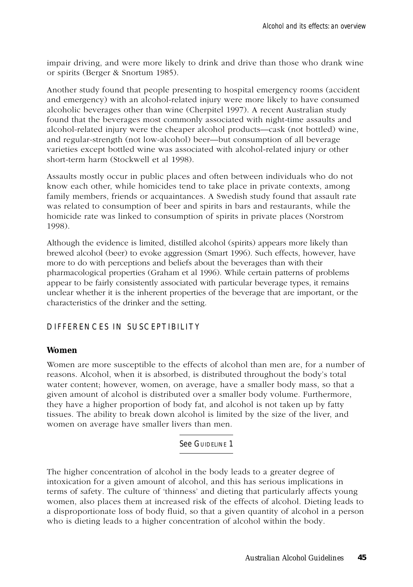impair driving, and were more likely to drink and drive than those who drank wine or spirits (Berger & Snortum 1985).

Another study found that people presenting to hospital emergency rooms (accident and emergency) with an alcohol-related injury were more likely to have consumed alcoholic beverages other than wine (Cherpitel 1997). A recent Australian study found that the beverages most commonly associated with night-time assaults and alcohol-related injury were the cheaper alcohol products—cask (not bottled) wine, and regular-strength (not low-alcohol) beer—but consumption of all beverage varieties except bottled wine was associated with alcohol-related injury or other short-term harm (Stockwell et al 1998).

Assaults mostly occur in public places and often between individuals who do not know each other, while homicides tend to take place in private contexts, among family members, friends or acquaintances. A Swedish study found that assault rate was related to consumption of beer and spirits in bars and restaurants, while the homicide rate was linked to consumption of spirits in private places (Norstrom 1998).

Although the evidence is limited, distilled alcohol (spirits) appears more likely than brewed alcohol (beer) to evoke aggression (Smart 1996). Such effects, however, have more to do with perceptions and beliefs about the beverages than with their pharmacological properties (Graham et al 1996). While certain patterns of problems appear to be fairly consistently associated with particular beverage types, it remains unclear whether it is the inherent properties of the beverage that are important, or the characteristics of the drinker and the setting.

#### DIFFERENCES IN SUSCEPTIBILITY

#### **Women**

Women are more susceptible to the effects of alcohol than men are, for a number of reasons. Alcohol, when it is absorbed, is distributed throughout the body's total water content; however, women, on average, have a smaller body mass, so that a given amount of alcohol is distributed over a smaller body volume. Furthermore, they have a higher proportion of body fat, and alcohol is not taken up by fatty tissues. The ability to break down alcohol is limited by the size of the liver, and women on average have smaller livers than men.

See GUIDELINE 1

The higher concentration of alcohol in the body leads to a greater degree of intoxication for a given amount of alcohol, and this has serious implications in terms of safety. The culture of 'thinness' and dieting that particularly affects young women, also places them at increased risk of the effects of alcohol. Dieting leads to a disproportionate loss of body fluid, so that a given quantity of alcohol in a person who is dieting leads to a higher concentration of alcohol within the body.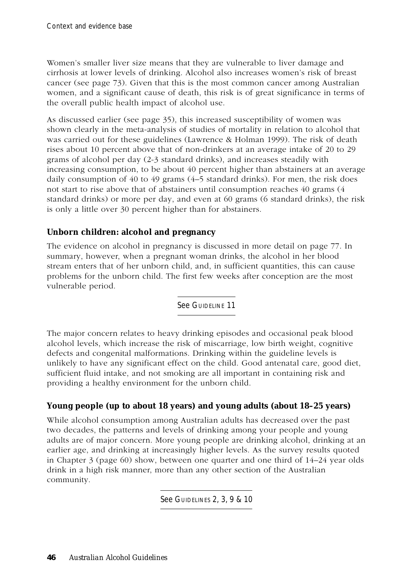Women's smaller liver size means that they are vulnerable to liver damage and cirrhosis at lower levels of drinking. Alcohol also increases women's risk of breast cancer (see page 73). Given that this is the most common cancer among Australian women, and a significant cause of death, this risk is of great significance in terms of the overall public health impact of alcohol use.

As discussed earlier (see page 35), this increased susceptibility of women was shown clearly in the meta-analysis of studies of mortality in relation to alcohol that was carried out for these guidelines (Lawrence & Holman 1999). The risk of death rises about 10 percent above that of non-drinkers at an average intake of 20 to 29 grams of alcohol per day (2-3 standard drinks), and increases steadily with increasing consumption, to be about 40 percent higher than abstainers at an average daily consumption of 40 to 49 grams (4–5 standard drinks). For men, the risk does not start to rise above that of abstainers until consumption reaches 40 grams (4 standard drinks) or more per day, and even at 60 grams (6 standard drinks), the risk is only a little over 30 percent higher than for abstainers.

### **Unborn children: alcohol and pregnancy**

The evidence on alcohol in pregnancy is discussed in more detail on page 77. In summary, however, when a pregnant woman drinks, the alcohol in her blood stream enters that of her unborn child, and, in sufficient quantities, this can cause problems for the unborn child. The first few weeks after conception are the most vulnerable period.

See GUIDELINE 11

The major concern relates to heavy drinking episodes and occasional peak blood alcohol levels, which increase the risk of miscarriage, low birth weight, cognitive defects and congenital malformations. Drinking within the guideline levels is unlikely to have any significant effect on the child. Good antenatal care, good diet, sufficient fluid intake, and not smoking are all important in containing risk and providing a healthy environment for the unborn child.

### **Young people (up to about 18 years) and young adults (about 18–25 years)**

While alcohol consumption among Australian adults has decreased over the past two decades, the patterns and levels of drinking among your people and young adults are of major concern. More young people are drinking alcohol, drinking at an earlier age, and drinking at increasingly higher levels. As the survey results quoted in Chapter 3 (page 60) show, between one quarter and one third of 14–24 year olds drink in a high risk manner, more than any other section of the Australian community.

**See GUIDELINES 2, 3, 9 & 10**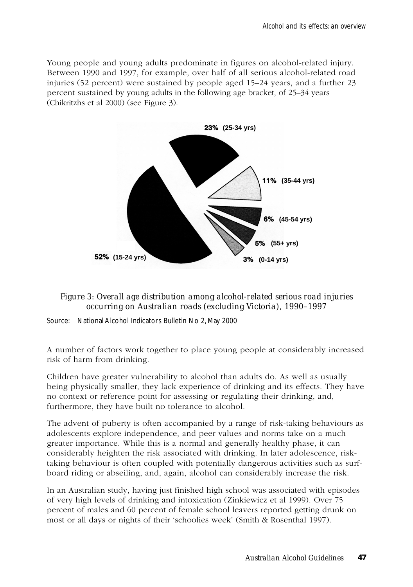Young people and young adults predominate in figures on alcohol-related injury. Between 1990 and 1997, for example, over half of all serious alcohol-related road injuries (52 percent) were sustained by people aged 15–24 years, and a further 23 percent sustained by young adults in the following age bracket, of 25–34 years (Chikritzhs et al 2000) (see Figure 3).



*Figure 3: Overall age distribution among alcohol-related serious road injuries occurring on Australian roads (excluding Victoria), 1990–1997*

Source: National Alcohol Indicators Bulletin No 2, May 2000

A number of factors work together to place young people at considerably increased risk of harm from drinking.

Children have greater vulnerability to alcohol than adults do. As well as usually being physically smaller, they lack experience of drinking and its effects. They have no context or reference point for assessing or regulating their drinking, and, furthermore, they have built no tolerance to alcohol.

The advent of puberty is often accompanied by a range of risk-taking behaviours as adolescents explore independence, and peer values and norms take on a much greater importance. While this is a normal and generally healthy phase, it can considerably heighten the risk associated with drinking. In later adolescence, risktaking behaviour is often coupled with potentially dangerous activities such as surfboard riding or abseiling, and, again, alcohol can considerably increase the risk.

In an Australian study, having just finished high school was associated with episodes of very high levels of drinking and intoxication (Zinkiewicz et al 1999). Over 75 percent of males and 60 percent of female school leavers reported getting drunk on most or all days or nights of their 'schoolies week' (Smith & Rosenthal 1997).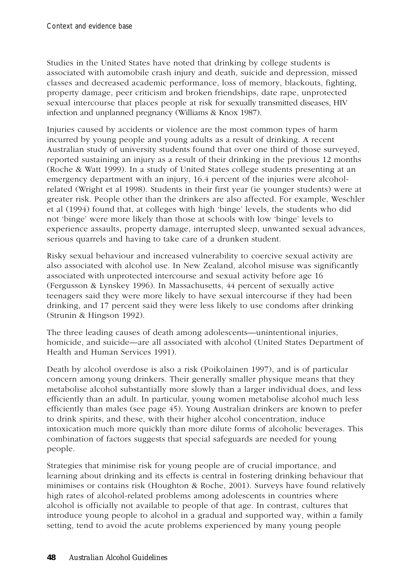Studies in the United States have noted that drinking by college students is associated with automobile crash injury and death, suicide and depression, missed classes and decreased academic performance, loss of memory, blackouts, fighting, property damage, peer criticism and broken friendships, date rape, unprotected sexual intercourse that places people at risk for sexually transmitted diseases, HIV infection and unplanned pregnancy (Williams & Knox 1987).

Injuries caused by accidents or violence are the most common types of harm incurred by young people and young adults as a result of drinking. A recent Australian study of university students found that over one third of those surveyed, reported sustaining an injury as a result of their drinking in the previous 12 months (Roche & Watt 1999). In a study of United States college students presenting at an emergency department with an injury, 16.4 percent of the injuries were alcoholrelated (Wright et al 1998). Students in their first year (ie younger students) were at greater risk. People other than the drinkers are also affected. For example, Weschler et al (1994) found that, at colleges with high 'binge' levels, the students who did not 'binge' were more likely than those at schools with low 'binge' levels to experience assaults, property damage, interrupted sleep, unwanted sexual advances, serious quarrels and having to take care of a drunken student.

Risky sexual behaviour and increased vulnerability to coercive sexual activity are also associated with alcohol use. In New Zealand, alcohol misuse was significantly associated with unprotected intercourse and sexual activity before age 16 (Fergusson & Lynskey 1996). In Massachusetts, 44 percent of sexually active teenagers said they were more likely to have sexual intercourse if they had been drinking, and 17 percent said they were less likely to use condoms after drinking (Strunin & Hingson 1992).

The three leading causes of death among adolescents—unintentional injuries, homicide, and suicide—are all associated with alcohol (United States Department of Health and Human Services 1991).

Death by alcohol overdose is also a risk (Poikolainen 1997), and is of particular concern among young drinkers. Their generally smaller physique means that they metabolise alcohol substantially more slowly than a larger individual does, and less efficiently than an adult. In particular, young women metabolise alcohol much less efficiently than males (see page 45). Young Australian drinkers are known to prefer to drink spirits, and these, with their higher alcohol concentration, induce intoxication much more quickly than more dilute forms of alcoholic beverages. This combination of factors suggests that special safeguards are needed for young people.

Strategies that minimise risk for young people are of crucial importance, and learning about drinking and its effects is central in fostering drinking behaviour that minimises or contains risk (Houghton & Roche, 2001). Surveys have found relatively high rates of alcohol-related problems among adolescents in countries where alcohol is officially not available to people of that age. In contrast, cultures that introduce young people to alcohol in a gradual and supported way, within a family setting, tend to avoid the acute problems experienced by many young people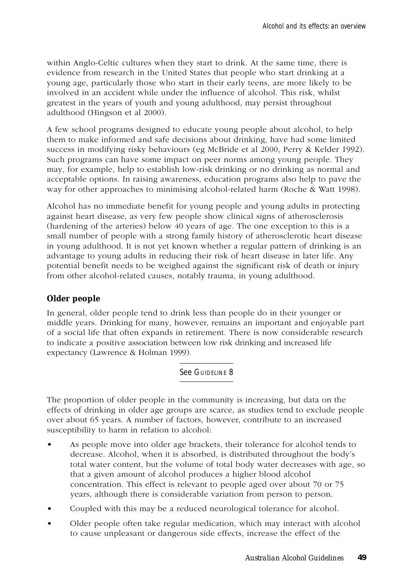within Anglo-Celtic cultures when they start to drink. At the same time, there is evidence from research in the United States that people who start drinking at a young age, particularly those who start in their early teens, are more likely to be involved in an accident while under the influence of alcohol. This risk, whilst greatest in the years of youth and young adulthood, may persist throughout adulthood (Hingson et al 2000).

A few school programs designed to educate young people about alcohol, to help them to make informed and safe decisions about drinking, have had some limited success in modifying risky behaviours (eg McBride et al 2000, Perry & Kelder 1992). Such programs can have some impact on peer norms among young people. They may, for example, help to establish low-risk drinking or no drinking as normal and acceptable options. In raising awareness, education programs also help to pave the way for other approaches to minimising alcohol-related harm (Roche & Watt 1998).

Alcohol has no immediate benefit for young people and young adults in protecting against heart disease, as very few people show clinical signs of atherosclerosis (hardening of the arteries) below 40 years of age. The one exception to this is a small number of people with a strong family history of atherosclerotic heart disease in young adulthood. It is not yet known whether a regular pattern of drinking is an advantage to young adults in reducing their risk of heart disease in later life. Any potential benefit needs to be weighed against the significant risk of death or injury from other alcohol-related causes, notably trauma, in young adulthood.

# **Older people**

In general, older people tend to drink less than people do in their younger or middle years. Drinking for many, however, remains an important and enjoyable part of a social life that often expands in retirement. There is now considerable research to indicate a positive association between low risk drinking and increased life expectancy (Lawrence & Holman 1999).

See GUIDELINE 8

The proportion of older people in the community is increasing, but data on the effects of drinking in older age groups are scarce, as studies tend to exclude people over about 65 years. A number of factors, however, contribute to an increased susceptibility to harm in relation to alcohol:

- As people move into older age brackets, their tolerance for alcohol tends to decrease. Alcohol, when it is absorbed, is distributed throughout the body's total water content, but the volume of total body water decreases with age, so that a given amount of alcohol produces a higher blood alcohol concentration. This effect is relevant to people aged over about 70 or 75 years, although there is considerable variation from person to person.
- Coupled with this may be a reduced neurological tolerance for alcohol.
- Older people often take regular medication, which may interact with alcohol to cause unpleasant or dangerous side effects, increase the effect of the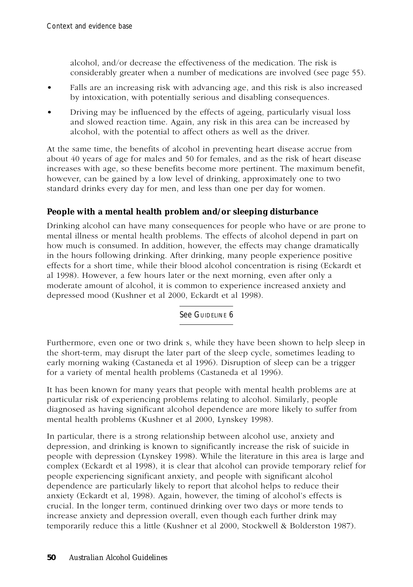alcohol, and/or decrease the effectiveness of the medication. The risk is considerably greater when a number of medications are involved (see page 55).

- Falls are an increasing risk with advancing age, and this risk is also increased by intoxication, with potentially serious and disabling consequences.
- Driving may be influenced by the effects of ageing, particularly visual loss and slowed reaction time. Again, any risk in this area can be increased by alcohol, with the potential to affect others as well as the driver.

At the same time, the benefits of alcohol in preventing heart disease accrue from about 40 years of age for males and 50 for females, and as the risk of heart disease increases with age, so these benefits become more pertinent. The maximum benefit, however, can be gained by a low level of drinking, approximately one to two standard drinks every day for men, and less than one per day for women.

### **People with a mental health problem and/or sleeping disturbance**

Drinking alcohol can have many consequences for people who have or are prone to mental illness or mental health problems. The effects of alcohol depend in part on how much is consumed. In addition, however, the effects may change dramatically in the hours following drinking. After drinking, many people experience positive effects for a short time, while their blood alcohol concentration is rising (Eckardt et al 1998). However, a few hours later or the next morning, even after only a moderate amount of alcohol, it is common to experience increased anxiety and depressed mood (Kushner et al 2000, Eckardt et al 1998).

See GUIDELINE 6

Furthermore, even one or two drink s, while they have been shown to help sleep in the short-term, may disrupt the later part of the sleep cycle, sometimes leading to early morning waking (Castaneda et al 1996). Disruption of sleep can be a trigger for a variety of mental health problems (Castaneda et al 1996).

It has been known for many years that people with mental health problems are at particular risk of experiencing problems relating to alcohol. Similarly, people diagnosed as having significant alcohol dependence are more likely to suffer from mental health problems (Kushner et al 2000, Lynskey 1998).

In particular, there is a strong relationship between alcohol use, anxiety and depression, and drinking is known to significantly increase the risk of suicide in people with depression (Lynskey 1998). While the literature in this area is large and complex (Eckardt et al 1998), it is clear that alcohol can provide temporary relief for people experiencing significant anxiety, and people with significant alcohol dependence are particularly likely to report that alcohol helps to reduce their anxiety (Eckardt et al, 1998). Again, however, the timing of alcohol's effects is crucial. In the longer term, continued drinking over two days or more tends to increase anxiety and depression overall, even though each further drink may temporarily reduce this a little (Kushner et al 2000, Stockwell & Bolderston 1987).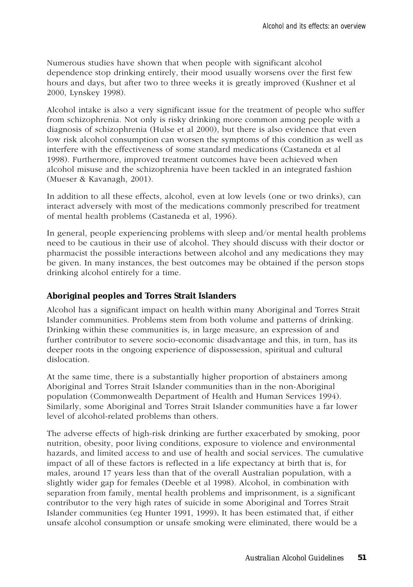Numerous studies have shown that when people with significant alcohol dependence stop drinking entirely, their mood usually worsens over the first few hours and days, but after two to three weeks it is greatly improved (Kushner et al 2000, Lynskey 1998).

Alcohol intake is also a very significant issue for the treatment of people who suffer from schizophrenia. Not only is risky drinking more common among people with a diagnosis of schizophrenia (Hulse et al 2000), but there is also evidence that even low risk alcohol consumption can worsen the symptoms of this condition as well as interfere with the effectiveness of some standard medications (Castaneda et al 1998). Furthermore, improved treatment outcomes have been achieved when alcohol misuse and the schizophrenia have been tackled in an integrated fashion (Mueser & Kavanagh, 2001).

In addition to all these effects, alcohol, even at low levels (one or two drinks), can interact adversely with most of the medications commonly prescribed for treatment of mental health problems (Castaneda et al, 1996).

In general, people experiencing problems with sleep and/or mental health problems need to be cautious in their use of alcohol. They should discuss with their doctor or pharmacist the possible interactions between alcohol and any medications they may be given. In many instances, the best outcomes may be obtained if the person stops drinking alcohol entirely for a time.

#### **Aboriginal peoples and Torres Strait Islanders**

Alcohol has a significant impact on health within many Aboriginal and Torres Strait Islander communities. Problems stem from both volume and patterns of drinking. Drinking within these communities is, in large measure, an expression of and further contributor to severe socio-economic disadvantage and this, in turn, has its deeper roots in the ongoing experience of dispossession, spiritual and cultural dislocation.

At the same time, there is a substantially higher proportion of abstainers among Aboriginal and Torres Strait Islander communities than in the non-Aboriginal population (Commonwealth Department of Health and Human Services 1994). Similarly, some Aboriginal and Torres Strait Islander communities have a far lower level of alcohol-related problems than others.

The adverse effects of high-risk drinking are further exacerbated by smoking, poor nutrition, obesity, poor living conditions, exposure to violence and environmental hazards, and limited access to and use of health and social services. The cumulative impact of all of these factors is reflected in a life expectancy at birth that is, for males, around 17 years less than that of the overall Australian population, with a slightly wider gap for females (Deeble et al 1998). Alcohol, in combination with separation from family, mental health problems and imprisonment, is a significant contributor to the very high rates of suicide in some Aboriginal and Torres Strait Islander communities (eg Hunter 1991, 1999)*.* It has been estimated that, if either unsafe alcohol consumption or unsafe smoking were eliminated, there would be a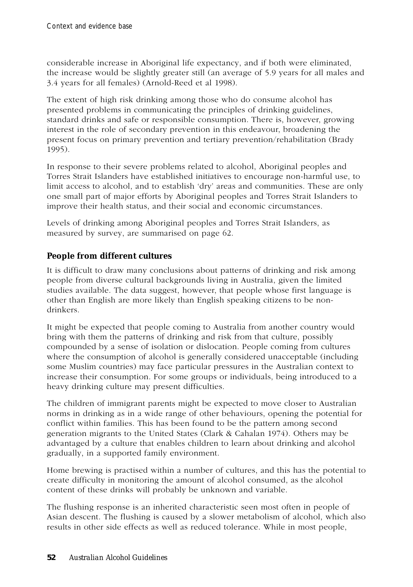considerable increase in Aboriginal life expectancy, and if both were eliminated, the increase would be slightly greater still (an average of 5.9 years for all males and 3.4 years for all females) (Arnold-Reed et al 1998).

The extent of high risk drinking among those who do consume alcohol has presented problems in communicating the principles of drinking guidelines, standard drinks and safe or responsible consumption. There is, however, growing interest in the role of secondary prevention in this endeavour, broadening the present focus on primary prevention and tertiary prevention/rehabilitation (Brady 1995).

In response to their severe problems related to alcohol, Aboriginal peoples and Torres Strait Islanders have established initiatives to encourage non-harmful use, to limit access to alcohol, and to establish 'dry' areas and communities. These are only one small part of major efforts by Aboriginal peoples and Torres Strait Islanders to improve their health status, and their social and economic circumstances.

Levels of drinking among Aboriginal peoples and Torres Strait Islanders, as measured by survey, are summarised on page 62.

# **People from different cultures**

It is difficult to draw many conclusions about patterns of drinking and risk among people from diverse cultural backgrounds living in Australia, given the limited studies available. The data suggest, however, that people whose first language is other than English are more likely than English speaking citizens to be nondrinkers.

It might be expected that people coming to Australia from another country would bring with them the patterns of drinking and risk from that culture, possibly compounded by a sense of isolation or dislocation. People coming from cultures where the consumption of alcohol is generally considered unacceptable (including some Muslim countries) may face particular pressures in the Australian context to increase their consumption. For some groups or individuals, being introduced to a heavy drinking culture may present difficulties.

The children of immigrant parents might be expected to move closer to Australian norms in drinking as in a wide range of other behaviours, opening the potential for conflict within families. This has been found to be the pattern among second generation migrants to the United States (Clark & Cahalan 1974). Others may be advantaged by a culture that enables children to learn about drinking and alcohol gradually, in a supported family environment.

Home brewing is practised within a number of cultures, and this has the potential to create difficulty in monitoring the amount of alcohol consumed, as the alcohol content of these drinks will probably be unknown and variable.

The flushing response is an inherited characteristic seen most often in people of Asian descent. The flushing is caused by a slower metabolism of alcohol, which also results in other side effects as well as reduced tolerance. While in most people,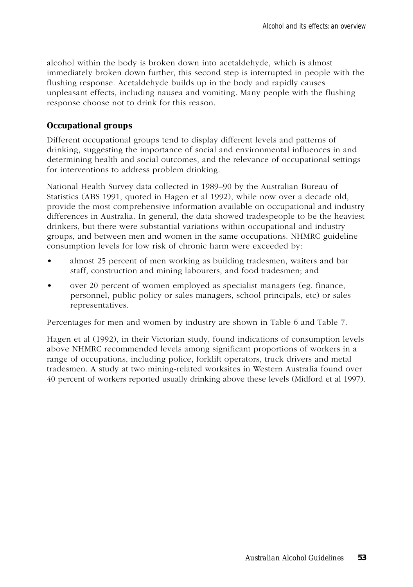alcohol within the body is broken down into acetaldehyde, which is almost immediately broken down further, this second step is interrupted in people with the flushing response. Acetaldehyde builds up in the body and rapidly causes unpleasant effects, including nausea and vomiting. Many people with the flushing response choose not to drink for this reason.

#### **Occupational groups**

Different occupational groups tend to display different levels and patterns of drinking, suggesting the importance of social and environmental influences in and determining health and social outcomes, and the relevance of occupational settings for interventions to address problem drinking.

National Health Survey data collected in 1989–90 by the Australian Bureau of Statistics (ABS 1991, quoted in Hagen et al 1992), while now over a decade old, provide the most comprehensive information available on occupational and industry differences in Australia. In general, the data showed tradespeople to be the heaviest drinkers, but there were substantial variations within occupational and industry groups, and between men and women in the same occupations. NHMRC guideline consumption levels for low risk of chronic harm were exceeded by:

- almost 25 percent of men working as building tradesmen, waiters and bar staff, construction and mining labourers, and food tradesmen; and
- over 20 percent of women employed as specialist managers (eg. finance, personnel, public policy or sales managers, school principals, etc) or sales representatives.

Percentages for men and women by industry are shown in Table 6 and Table 7.

Hagen et al (1992), in their Victorian study, found indications of consumption levels above NHMRC recommended levels among significant proportions of workers in a range of occupations, including police, forklift operators, truck drivers and metal tradesmen. A study at two mining-related worksites in Western Australia found over 40 percent of workers reported usually drinking above these levels (Midford et al 1997).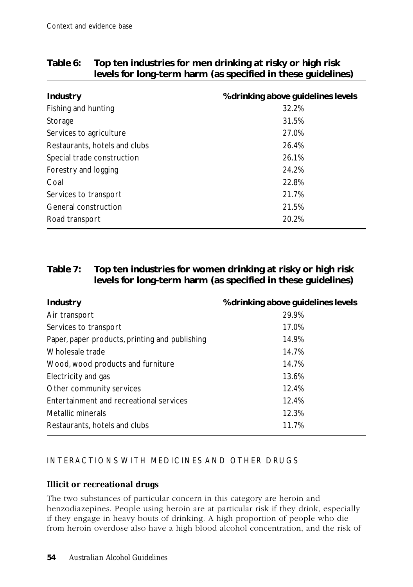| Industry                      | % drinking above guidelines levels |  |  |  |
|-------------------------------|------------------------------------|--|--|--|
| Fishing and hunting           | 32.2%                              |  |  |  |
| Storage                       | 31.5%                              |  |  |  |
| Services to agriculture       | 27.0%                              |  |  |  |
| Restaurants, hotels and clubs | 26.4%                              |  |  |  |
| Special trade construction    | 26.1%                              |  |  |  |
| Forestry and logging          | 24.2%                              |  |  |  |
| Coal                          | 22.8%                              |  |  |  |
| Services to transport         | 21.7%                              |  |  |  |
| General construction          | 21.5%                              |  |  |  |
| Road transport                | 20.2%                              |  |  |  |

# **Table 6: Top ten industries for men drinking at risky or high risk levels for long-term harm (as specified in these guidelines)**

# **Table 7: Top ten industries for women drinking at risky or high risk levels for long-term harm (as specified in these guidelines)**

| Industry                                       | % drinking above guidelines levels |
|------------------------------------------------|------------------------------------|
| Air transport                                  | 29.9%                              |
| Services to transport                          | 17.0%                              |
| Paper, paper products, printing and publishing | 14.9%                              |
| Wholesale trade                                | 14.7%                              |
| Wood, wood products and furniture              | 14.7%                              |
| Electricity and gas                            | 13.6%                              |
| Other community services                       | 12.4%                              |
| Entertainment and recreational services        | 12.4%                              |
| Metallic minerals                              | 12.3%                              |
| Restaurants, hotels and clubs                  | 11.7%                              |

# INTERACTIONS WITH MEDICINES AND OTHER DRUGS

# **Illicit or recreational drugs**

The two substances of particular concern in this category are heroin and benzodiazepines. People using heroin are at particular risk if they drink, especially if they engage in heavy bouts of drinking. A high proportion of people who die from heroin overdose also have a high blood alcohol concentration, and the risk of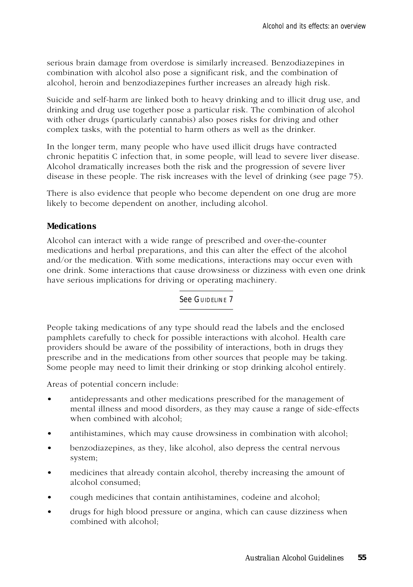serious brain damage from overdose is similarly increased. Benzodiazepines in combination with alcohol also pose a significant risk, and the combination of alcohol, heroin and benzodiazepines further increases an already high risk.

Suicide and self-harm are linked both to heavy drinking and to illicit drug use, and drinking and drug use together pose a particular risk. The combination of alcohol with other drugs (particularly cannabis) also poses risks for driving and other complex tasks, with the potential to harm others as well as the drinker.

In the longer term, many people who have used illicit drugs have contracted chronic hepatitis C infection that, in some people, will lead to severe liver disease. Alcohol dramatically increases both the risk and the progression of severe liver disease in these people. The risk increases with the level of drinking (see page 75).

There is also evidence that people who become dependent on one drug are more likely to become dependent on another, including alcohol.

### **Medications**

Alcohol can interact with a wide range of prescribed and over-the-counter medications and herbal preparations, and this can alter the effect of the alcohol and/or the medication. With some medications, interactions may occur even with one drink. Some interactions that cause drowsiness or dizziness with even one drink have serious implications for driving or operating machinery.

See GUIDELINE 7

People taking medications of any type should read the labels and the enclosed pamphlets carefully to check for possible interactions with alcohol. Health care providers should be aware of the possibility of interactions, both in drugs they prescribe and in the medications from other sources that people may be taking. Some people may need to limit their drinking or stop drinking alcohol entirely.

Areas of potential concern include:

- antidepressants and other medications prescribed for the management of mental illness and mood disorders, as they may cause a range of side-effects when combined with alcohol;
- antihistamines, which may cause drowsiness in combination with alcohol;
- benzodiazepines, as they, like alcohol, also depress the central nervous system;
- medicines that already contain alcohol, thereby increasing the amount of alcohol consumed;
- cough medicines that contain antihistamines, codeine and alcohol;
- drugs for high blood pressure or angina, which can cause dizziness when combined with alcohol;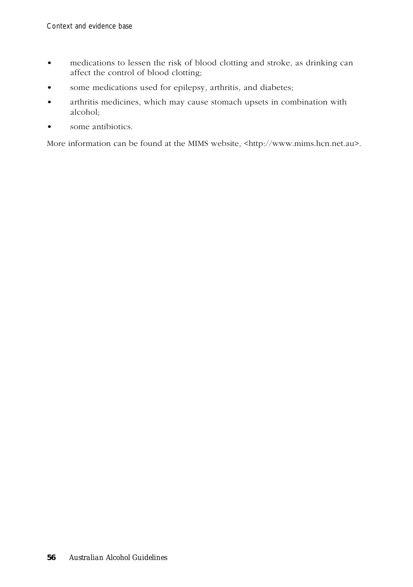- medications to lessen the risk of blood clotting and stroke, as drinking can affect the control of blood clotting;
- some medications used for epilepsy, arthritis, and diabetes;
- arthritis medicines, which may cause stomach upsets in combination with alcohol;
- some antibiotics.

More information can be found at the MIMS website, <http://www.mims.hcn.net.au>.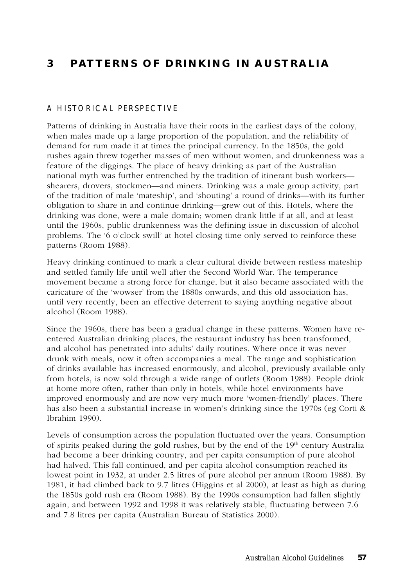# **3 PATTERNS OF DRINKING IN AUSTRALIA**

#### A HISTORICAL PERSPECTIVE

Patterns of drinking in Australia have their roots in the earliest days of the colony, when males made up a large proportion of the population, and the reliability of demand for rum made it at times the principal currency. In the 1850s, the gold rushes again threw together masses of men without women, and drunkenness was a feature of the diggings. The place of heavy drinking as part of the Australian national myth was further entrenched by the tradition of itinerant bush workers shearers, drovers, stockmen—and miners. Drinking was a male group activity, part of the tradition of male 'mateship', and 'shouting' a round of drinks—with its further obligation to share in and continue drinking—grew out of this. Hotels, where the drinking was done, were a male domain; women drank little if at all, and at least until the 1960s, public drunkenness was the defining issue in discussion of alcohol problems. The '6 o'clock swill' at hotel closing time only served to reinforce these patterns (Room 1988).

Heavy drinking continued to mark a clear cultural divide between restless mateship and settled family life until well after the Second World War. The temperance movement became a strong force for change, but it also became associated with the caricature of the 'wowser' from the 1880s onwards, and this old association has, until very recently, been an effective deterrent to saying anything negative about alcohol (Room 1988).

Since the 1960s, there has been a gradual change in these patterns. Women have reentered Australian drinking places, the restaurant industry has been transformed, and alcohol has penetrated into adults' daily routines. Where once it was never drunk with meals, now it often accompanies a meal. The range and sophistication of drinks available has increased enormously, and alcohol, previously available only from hotels, is now sold through a wide range of outlets (Room 1988). People drink at home more often, rather than only in hotels, while hotel environments have improved enormously and are now very much more 'women-friendly' places. There has also been a substantial increase in women's drinking since the 1970s (eg Corti & Ibrahim 1990).

Levels of consumption across the population fluctuated over the years. Consumption of spirits peaked during the gold rushes, but by the end of the  $19<sup>th</sup>$  century Australia had become a beer drinking country, and per capita consumption of pure alcohol had halved. This fall continued, and per capita alcohol consumption reached its lowest point in 1932, at under 2.5 litres of pure alcohol per annum (Room 1988). By 1981, it had climbed back to 9.7 litres (Higgins et al 2000), at least as high as during the 1850s gold rush era (Room 1988). By the 1990s consumption had fallen slightly again, and between 1992 and 1998 it was relatively stable, fluctuating between 7.6 and 7.8 litres per capita (Australian Bureau of Statistics 2000).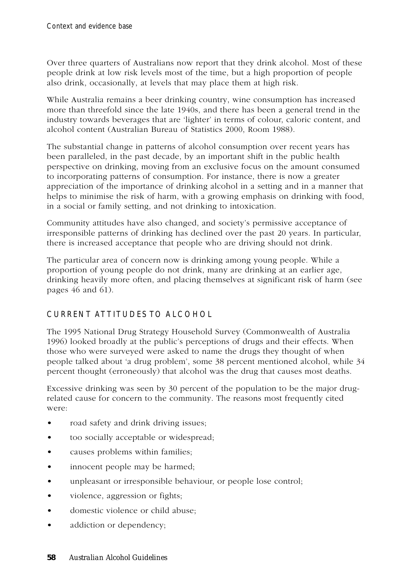Over three quarters of Australians now report that they drink alcohol. Most of these people drink at low risk levels most of the time, but a high proportion of people also drink, occasionally, at levels that may place them at high risk.

While Australia remains a beer drinking country, wine consumption has increased more than threefold since the late 1940s, and there has been a general trend in the industry towards beverages that are 'lighter' in terms of colour, caloric content, and alcohol content (Australian Bureau of Statistics 2000, Room 1988).

The substantial change in patterns of alcohol consumption over recent years has been paralleled, in the past decade, by an important shift in the public health perspective on drinking, moving from an exclusive focus on the amount consumed to incorporating patterns of consumption. For instance, there is now a greater appreciation of the importance of drinking alcohol in a setting and in a manner that helps to minimise the risk of harm, with a growing emphasis on drinking with food, in a social or family setting, and not drinking to intoxication.

Community attitudes have also changed, and society's permissive acceptance of irresponsible patterns of drinking has declined over the past 20 years. In particular, there is increased acceptance that people who are driving should not drink.

The particular area of concern now is drinking among young people. While a proportion of young people do not drink, many are drinking at an earlier age, drinking heavily more often, and placing themselves at significant risk of harm (see pages 46 and 61).

# CURRENT ATTITUDES TO ALCOHOL

The 1995 National Drug Strategy Household Survey (Commonwealth of Australia 1996) looked broadly at the public's perceptions of drugs and their effects. When those who were surveyed were asked to name the drugs they thought of when people talked about 'a drug problem', some 38 percent mentioned alcohol, while 34 percent thought (erroneously) that alcohol was the drug that causes most deaths.

Excessive drinking was seen by 30 percent of the population to be the major drugrelated cause for concern to the community. The reasons most frequently cited were:

- road safety and drink driving issues;
- too socially acceptable or widespread;
- causes problems within families;
- innocent people may be harmed;
- unpleasant or irresponsible behaviour, or people lose control;
- violence, aggression or fights;
- domestic violence or child abuse;
- addiction or dependency;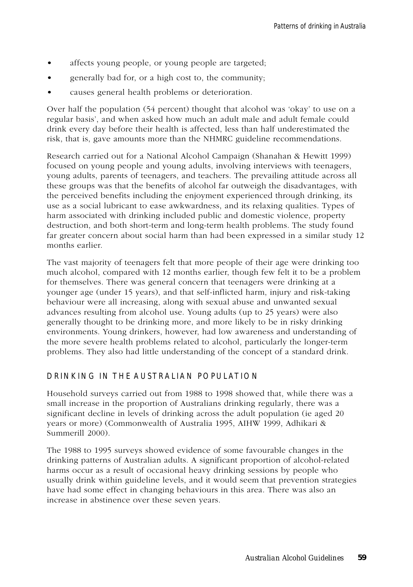- affects young people, or young people are targeted;
- generally bad for, or a high cost to, the community;
- causes general health problems or deterioration.

Over half the population (54 percent) thought that alcohol was 'okay' to use on a regular basis', and when asked how much an adult male and adult female could drink every day before their health is affected, less than half underestimated the risk, that is, gave amounts more than the NHMRC guideline recommendations.

Research carried out for a National Alcohol Campaign (Shanahan & Hewitt 1999) focused on young people and young adults, involving interviews with teenagers, young adults, parents of teenagers, and teachers. The prevailing attitude across all these groups was that the benefits of alcohol far outweigh the disadvantages, with the perceived benefits including the enjoyment experienced through drinking, its use as a social lubricant to ease awkwardness, and its relaxing qualities. Types of harm associated with drinking included public and domestic violence, property destruction, and both short-term and long-term health problems. The study found far greater concern about social harm than had been expressed in a similar study 12 months earlier.

The vast majority of teenagers felt that more people of their age were drinking too much alcohol, compared with 12 months earlier, though few felt it to be a problem for themselves. There was general concern that teenagers were drinking at a younger age (under 15 years), and that self-inflicted harm, injury and risk-taking behaviour were all increasing, along with sexual abuse and unwanted sexual advances resulting from alcohol use. Young adults (up to 25 years) were also generally thought to be drinking more, and more likely to be in risky drinking environments. Young drinkers, however, had low awareness and understanding of the more severe health problems related to alcohol, particularly the longer-term problems. They also had little understanding of the concept of a standard drink.

#### DRINKING IN THE AUSTRALIAN POPULATION

Household surveys carried out from 1988 to 1998 showed that, while there was a small increase in the proportion of Australians drinking regularly, there was a significant decline in levels of drinking across the adult population (ie aged 20 years or more) (Commonwealth of Australia 1995, AIHW 1999, Adhikari & Summerill 2000).

The 1988 to 1995 surveys showed evidence of some favourable changes in the drinking patterns of Australian adults. A significant proportion of alcohol-related harms occur as a result of occasional heavy drinking sessions by people who usually drink within guideline levels, and it would seem that prevention strategies have had some effect in changing behaviours in this area. There was also an increase in abstinence over these seven years.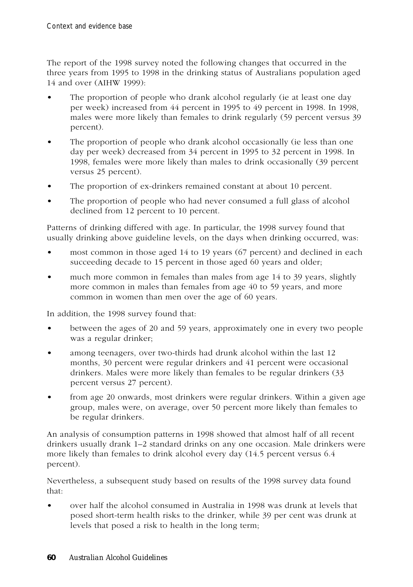The report of the 1998 survey noted the following changes that occurred in the three years from 1995 to 1998 in the drinking status of Australians population aged 14 and over (AIHW 1999):

- The proportion of people who drank alcohol regularly (ie at least one day per week) increased from 44 percent in 1995 to 49 percent in 1998. In 1998, males were more likely than females to drink regularly (59 percent versus 39 percent).
- The proportion of people who drank alcohol occasionally (ie less than one day per week) decreased from 34 percent in 1995 to 32 percent in 1998. In 1998, females were more likely than males to drink occasionally (39 percent versus 25 percent).
- The proportion of ex-drinkers remained constant at about 10 percent.
- The proportion of people who had never consumed a full glass of alcohol declined from 12 percent to 10 percent.

Patterns of drinking differed with age. In particular, the 1998 survey found that usually drinking above guideline levels, on the days when drinking occurred, was:

- most common in those aged 14 to 19 years (67 percent) and declined in each succeeding decade to 15 percent in those aged 60 years and older;
- much more common in females than males from age 14 to 39 years, slightly more common in males than females from age 40 to 59 years, and more common in women than men over the age of 60 years.

In addition, the 1998 survey found that:

- between the ages of 20 and 59 years, approximately one in every two people was a regular drinker;
- among teenagers, over two-thirds had drunk alcohol within the last 12 months, 30 percent were regular drinkers and 41 percent were occasional drinkers. Males were more likely than females to be regular drinkers (33 percent versus 27 percent).
- from age 20 onwards, most drinkers were regular drinkers. Within a given age group, males were, on average, over 50 percent more likely than females to be regular drinkers.

An analysis of consumption patterns in 1998 showed that almost half of all recent drinkers usually drank 1–2 standard drinks on any one occasion. Male drinkers were more likely than females to drink alcohol every day (14.5 percent versus 6.4 percent).

Nevertheless, a subsequent study based on results of the 1998 survey data found that:

• over half the alcohol consumed in Australia in 1998 was drunk at levels that posed short-term health risks to the drinker, while 39 per cent was drunk at levels that posed a risk to health in the long term;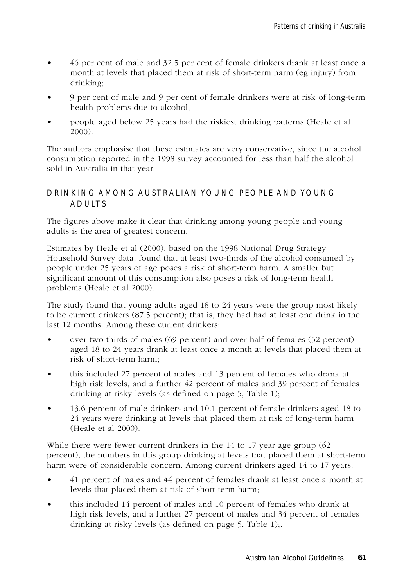- 46 per cent of male and 32.5 per cent of female drinkers drank at least once a month at levels that placed them at risk of short-term harm (eg injury) from drinking;
- 9 per cent of male and 9 per cent of female drinkers were at risk of long-term health problems due to alcohol;
- people aged below 25 years had the riskiest drinking patterns (Heale et al 2000).

The authors emphasise that these estimates are very conservative, since the alcohol consumption reported in the 1998 survey accounted for less than half the alcohol sold in Australia in that year.

#### DRINKING AMONG AUSTRALIAN YOUNG PEOPLE AND YOUNG ADULTS

The figures above make it clear that drinking among young people and young adults is the area of greatest concern.

Estimates by Heale et al (2000), based on the 1998 National Drug Strategy Household Survey data, found that at least two-thirds of the alcohol consumed by people under 25 years of age poses a risk of short-term harm. A smaller but significant amount of this consumption also poses a risk of long-term health problems (Heale et al 2000).

The study found that young adults aged 18 to 24 years were the group most likely to be current drinkers (87.5 percent); that is, they had had at least one drink in the last 12 months. Among these current drinkers:

- over two-thirds of males (69 percent) and over half of females (52 percent) aged 18 to 24 years drank at least once a month at levels that placed them at risk of short-term harm;
- this included 27 percent of males and 13 percent of females who drank at high risk levels, and a further 42 percent of males and 39 percent of females drinking at risky levels (as defined on page 5, Table 1);
- 13.6 percent of male drinkers and 10.1 percent of female drinkers aged 18 to 24 years were drinking at levels that placed them at risk of long-term harm (Heale et al 2000).

While there were fewer current drinkers in the 14 to 17 year age group (62 percent), the numbers in this group drinking at levels that placed them at short-term harm were of considerable concern. Among current drinkers aged 14 to 17 years:

- 41 percent of males and 44 percent of females drank at least once a month at levels that placed them at risk of short-term harm;
- this included 14 percent of males and 10 percent of females who drank at high risk levels, and a further 27 percent of males and 34 percent of females drinking at risky levels (as defined on page 5, Table 1);.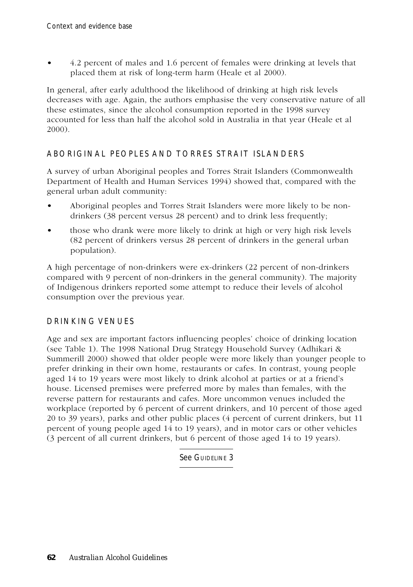• 4.2 percent of males and 1.6 percent of females were drinking at levels that placed them at risk of long-term harm (Heale et al 2000).

In general, after early adulthood the likelihood of drinking at high risk levels decreases with age. Again, the authors emphasise the very conservative nature of all these estimates, since the alcohol consumption reported in the 1998 survey accounted for less than half the alcohol sold in Australia in that year (Heale et al 2000).

# ABORIGINAL PEOPLES AND TORRES STRAIT ISLANDERS

A survey of urban Aboriginal peoples and Torres Strait Islanders (Commonwealth Department of Health and Human Services 1994) showed that, compared with the general urban adult community:

- Aboriginal peoples and Torres Strait Islanders were more likely to be nondrinkers (38 percent versus 28 percent) and to drink less frequently;
- those who drank were more likely to drink at high or very high risk levels (82 percent of drinkers versus 28 percent of drinkers in the general urban population).

A high percentage of non-drinkers were ex-drinkers (22 percent of non-drinkers compared with 9 percent of non-drinkers in the general community). The majority of Indigenous drinkers reported some attempt to reduce their levels of alcohol consumption over the previous year.

# DRINKING VENUES

Age and sex are important factors influencing peoples' choice of drinking location (see Table 1). The 1998 National Drug Strategy Household Survey (Adhikari & Summerill 2000) showed that older people were more likely than younger people to prefer drinking in their own home, restaurants or cafes. In contrast, young people aged 14 to 19 years were most likely to drink alcohol at parties or at a friend's house. Licensed premises were preferred more by males than females, with the reverse pattern for restaurants and cafes. More uncommon venues included the workplace (reported by 6 percent of current drinkers, and 10 percent of those aged 20 to 39 years), parks and other public places (4 percent of current drinkers, but 11 percent of young people aged 14 to 19 years), and in motor cars or other vehicles (3 percent of all current drinkers, but 6 percent of those aged 14 to 19 years).

See GUIDELINE 3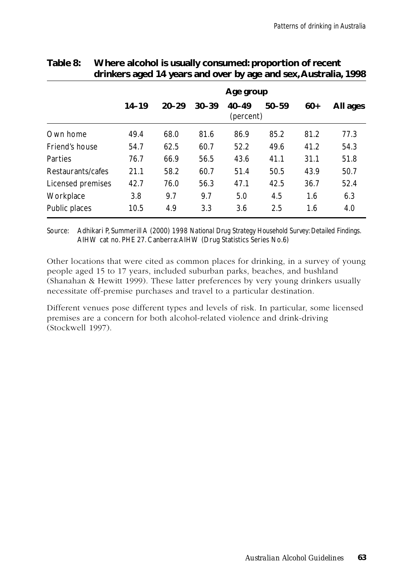|                   | Age group |           |           |                        |           |       |          |
|-------------------|-----------|-----------|-----------|------------------------|-----------|-------|----------|
|                   | $14 - 19$ | $20 - 29$ | $30 - 39$ | $40 - 49$<br>(percent) | $50 - 59$ | $60+$ | All ages |
| Own home          | 49.4      | 68.0      | 81.6      | 86.9                   | 85.2      | 81.2  | 77.3     |
| Friend's house    | 54.7      | 62.5      | 60.7      | 52.2                   | 49.6      | 41.2  | 54.3     |
| Parties           | 76.7      | 66.9      | 56.5      | 43.6                   | 41.1      | 31.1  | 51.8     |
| Restaurants/cafes | 21.1      | 58.2      | 60.7      | 51.4                   | 50.5      | 43.9  | 50.7     |
| Licensed premises | 42.7      | 76.0      | 56.3      | 47.1                   | 42.5      | 36.7  | 52.4     |
| Workplace         | 3.8       | 9.7       | 9.7       | 5.0                    | 4.5       | 1.6   | 6.3      |
| Public places     | 10.5      | 4.9       | 3.3       | 3.6                    | 2.5       | 1.6   | 4.0      |

# **Table 8: Where alcohol is usually consumed: proportion of recent drinkers aged 14 years and over by age and sex, Australia, 1998**

Source: Adhikari P, Summerill A (2000) *1998 National Drug Strategy Household Survey: Detailed Findings.* AIHW cat no. PHE 27. Canberra: AIHW (Drug Statistics Series No.6)

Other locations that were cited as common places for drinking, in a survey of young people aged 15 to 17 years, included suburban parks, beaches, and bushland (Shanahan & Hewitt 1999). These latter preferences by very young drinkers usually necessitate off-premise purchases and travel to a particular destination.

Different venues pose different types and levels of risk. In particular, some licensed premises are a concern for both alcohol-related violence and drink-driving (Stockwell 1997).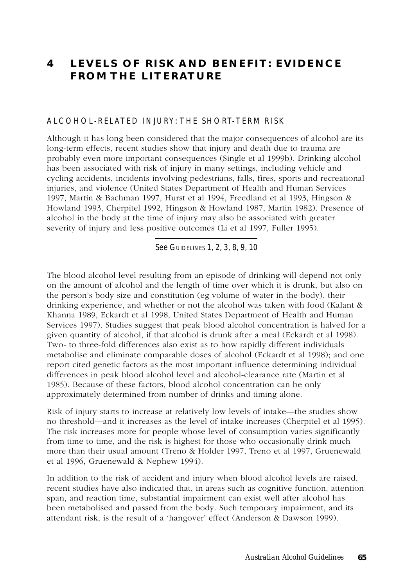# **4 LEVELS OF RISK AND BENEFIT: EVIDENCE FROM THE LITERATURE**

#### ALCOHOL-RELATED INJURY: THE SHORT-TERM RISK

Although it has long been considered that the major consequences of alcohol are its long-term effects, recent studies show that injury and death due to trauma are probably even more important consequences (Single et al 1999b). Drinking alcohol has been associated with risk of injury in many settings, including vehicle and cycling accidents, incidents involving pedestrians, falls, fires, sports and recreational injuries, and violence (United States Department of Health and Human Services 1997, Martin & Bachman 1997, Hurst et al 1994, Freedland et al 1993, Hingson & Howland 1993, Cherpitel 1992, Hingson & Howland 1987, Martin 1982). Presence of alcohol in the body at the time of injury may also be associated with greater severity of injury and less positive outcomes (Li et al 1997, Fuller 1995).

See GUIDELINES 1, 2, 3, 8, 9, 10

The blood alcohol level resulting from an episode of drinking will depend not only on the amount of alcohol and the length of time over which it is drunk, but also on the person's body size and constitution (eg volume of water in the body), their drinking experience, and whether or not the alcohol was taken with food (Kalant & Khanna 1989, Eckardt et al 1998, United States Department of Health and Human Services 1997). Studies suggest that peak blood alcohol concentration is halved for a given quantity of alcohol, if that alcohol is drunk after a meal (Eckardt et al 1998). Two- to three-fold differences also exist as to how rapidly different individuals metabolise and eliminate comparable doses of alcohol (Eckardt et al 1998); and one report cited genetic factors as the most important influence determining individual differences in peak blood alcohol level and alcohol-clearance rate (Martin et al 1985). Because of these factors, blood alcohol concentration can be only approximately determined from number of drinks and timing alone.

Risk of injury starts to increase at relatively low levels of intake—the studies show no threshold—and it increases as the level of intake increases (Cherpitel et al 1995). The risk increases more for people whose level of consumption varies significantly from time to time, and the risk is highest for those who occasionally drink much more than their usual amount (Treno & Holder 1997, Treno et al 1997, Gruenewald et al 1996, Gruenewald & Nephew 1994).

In addition to the risk of accident and injury when blood alcohol levels are raised, recent studies have also indicated that, in areas such as cognitive function, attention span, and reaction time, substantial impairment can exist well after alcohol has been metabolised and passed from the body. Such temporary impairment, and its attendant risk, is the result of a 'hangover' effect (Anderson & Dawson 1999).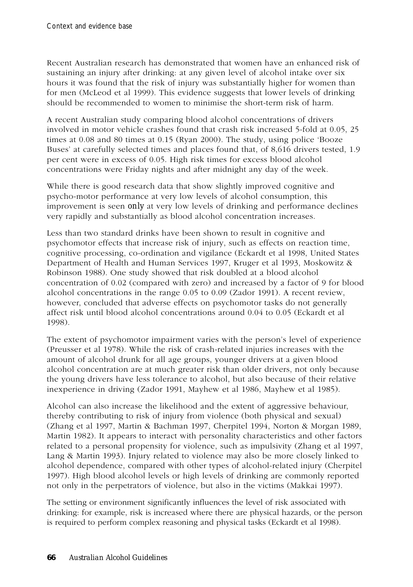Recent Australian research has demonstrated that women have an enhanced risk of sustaining an injury after drinking: at any given level of alcohol intake over six hours it was found that the risk of injury was substantially higher for women than for men (McLeod et al 1999). This evidence suggests that lower levels of drinking should be recommended to women to minimise the short-term risk of harm.

A recent Australian study comparing blood alcohol concentrations of drivers involved in motor vehicle crashes found that crash risk increased 5-fold at 0.05, 25 times at 0.08 and 80 times at 0.15 (Ryan 2000). The study, using police 'Booze Buses' at carefully selected times and places found that, of 8,616 drivers tested, 1.9 per cent were in excess of 0.05. High risk times for excess blood alcohol concentrations were Friday nights and after midnight any day of the week.

While there is good research data that show slightly improved cognitive and psycho-motor performance at very low levels of alcohol consumption, this improvement is seen *only* at very low levels of drinking and performance declines very rapidly and substantially as blood alcohol concentration increases.

Less than two standard drinks have been shown to result in cognitive and psychomotor effects that increase risk of injury, such as effects on reaction time, cognitive processing, co-ordination and vigilance (Eckardt et al 1998, United States Department of Health and Human Services 1997, Kruger et al 1993, Moskowitz & Robinson 1988). One study showed that risk doubled at a blood alcohol concentration of 0.02 (compared with zero) and increased by a factor of 9 for blood alcohol concentrations in the range 0.05 to 0.09 (Zador 1991). A recent review, however, concluded that adverse effects on psychomotor tasks do not generally affect risk until blood alcohol concentrations around 0.04 to 0.05 (Eckardt et al 1998).

The extent of psychomotor impairment varies with the person's level of experience (Preusser et al 1978). While the risk of crash-related injuries increases with the amount of alcohol drunk for all age groups, younger drivers at a given blood alcohol concentration are at much greater risk than older drivers, not only because the young drivers have less tolerance to alcohol, but also because of their relative inexperience in driving (Zador 1991, Mayhew et al 1986, Mayhew et al 1985).

Alcohol can also increase the likelihood and the extent of aggressive behaviour, thereby contributing to risk of injury from violence (both physical and sexual) (Zhang et al 1997, Martin & Bachman 1997, Cherpitel 1994, Norton & Morgan 1989, Martin 1982). It appears to interact with personality characteristics and other factors related to a personal propensity for violence, such as impulsivity (Zhang et al 1997, Lang & Martin 1993). Injury related to violence may also be more closely linked to alcohol dependence, compared with other types of alcohol-related injury (Cherpitel 1997). High blood alcohol levels or high levels of drinking are commonly reported not only in the perpetrators of violence, but also in the victims (Makkai 1997).

The setting or environment significantly influences the level of risk associated with drinking: for example, risk is increased where there are physical hazards, or the person is required to perform complex reasoning and physical tasks (Eckardt et al 1998).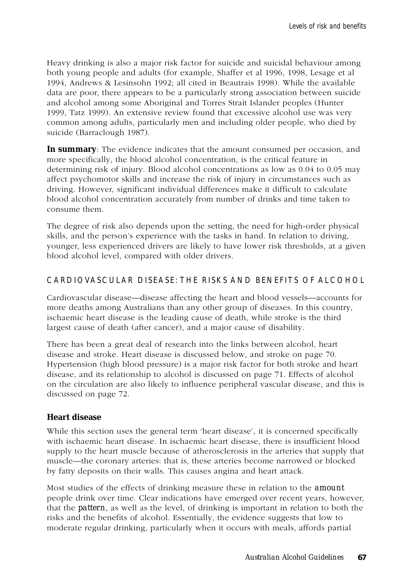Heavy drinking is also a major risk factor for suicide and suicidal behaviour among both young people and adults (for example, Shaffer et al 1996, 1998, Lesage et al 1994, Andrews & Lesinsohn 1992; all cited in Beautrais 1998). While the available data are poor, there appears to be a particularly strong association between suicide and alcohol among some Aboriginal and Torres Strait Islander peoples (Hunter 1999, Tatz 1999). An extensive review found that excessive alcohol use was very common among adults, particularly men and including older people, who died by suicide (Barraclough 1987).

**In summary**: The evidence indicates that the amount consumed per occasion, and more specifically, the blood alcohol concentration, is the critical feature in determining risk of injury. Blood alcohol concentrations as low as 0.04 to 0.05 may affect psychomotor skills and increase the risk of injury in circumstances such as driving. However, significant individual differences make it difficult to calculate blood alcohol concentration accurately from number of drinks and time taken to consume them.

The degree of risk also depends upon the setting, the need for high-order physical skills, and the person's experience with the tasks in hand. In relation to driving, younger, less experienced drivers are likely to have lower risk thresholds, at a given blood alcohol level, compared with older drivers.

### CARDIOVASCULAR DISEASE: THE RISKS AND BENEFITS OF ALCOHOL

Cardiovascular disease—disease affecting the heart and blood vessels—accounts for more deaths among Australians than any other group of diseases. In this country, ischaemic heart disease is the leading cause of death, while stroke is the third largest cause of death (after cancer), and a major cause of disability.

There has been a great deal of research into the links between alcohol, heart disease and stroke. Heart disease is discussed below, and stroke on page 70. Hypertension (high blood pressure) is a major risk factor for both stroke and heart disease, and its relationship to alcohol is discussed on page 71. Effects of alcohol on the circulation are also likely to influence peripheral vascular disease, and this is discussed on page 72.

### **Heart disease**

While this section uses the general term 'heart disease', it is concerned specifically with ischaemic heart disease. In ischaemic heart disease, there is insufficient blood supply to the heart muscle because of atherosclerosis in the arteries that supply that muscle—the coronary arteries: that is, these arteries become narrowed or blocked by fatty deposits on their walls. This causes angina and heart attack.

Most studies of the effects of drinking measure these in relation to the *amount* people drink over time. Clear indications have emerged over recent years, however, that the *pattern*, as well as the level, of drinking is important in relation to both the risks and the benefits of alcohol. Essentially, the evidence suggests that low to moderate regular drinking, particularly when it occurs with meals, affords partial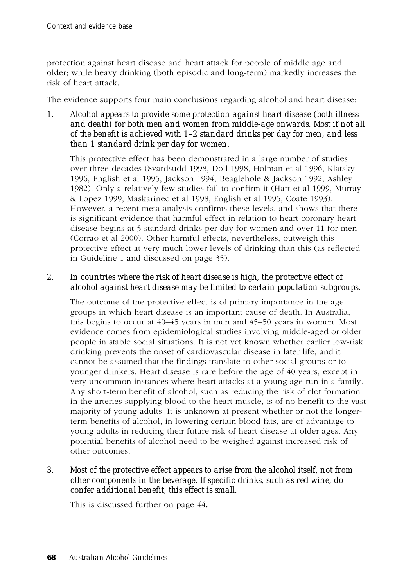protection against heart disease and heart attack for people of middle age and older; while heavy drinking (both episodic and long-term) markedly increases the risk of heart attack*.*

The evidence supports four main conclusions regarding alcohol and heart disease:

*1. Alcohol appears to provide some protection against heart disease (both illness and death) for both men and women from middle-age onwards. Most if not all of the benefit is achieved with 1–2 standard drinks per day for men, and less than 1 standard drink per day for women.*

This protective effect has been demonstrated in a large number of studies over three decades (Svardsudd 1998, Doll 1998, Holman et al 1996, Klatsky 1996, English et al 1995, Jackson 1994, Beaglehole & Jackson 1992, Ashley 1982). Only a relatively few studies fail to confirm it (Hart et al 1999, Murray & Lopez 1999, Maskarinec et al 1998, English et al 1995, Coate 1993). However, a recent meta-analysis confirms these levels, and shows that there is significant evidence that harmful effect in relation to heart coronary heart disease begins at 5 standard drinks per day for women and over 11 for men (Corrao et al 2000). Other harmful effects, nevertheless, outweigh this protective effect at very much lower levels of drinking than this (as reflected in Guideline 1 and discussed on page 35).

# *2. In countries where the risk of heart disease is high, the protective effect of alcohol against heart disease may be limited to certain population subgroups.*

The outcome of the protective effect is of primary importance in the age groups in which heart disease is an important cause of death. In Australia, this begins to occur at 40–45 years in men and 45–50 years in women. Most evidence comes from epidemiological studies involving middle-aged or older people in stable social situations. It is not yet known whether earlier low-risk drinking prevents the onset of cardiovascular disease in later life, and it cannot be assumed that the findings translate to other social groups or to younger drinkers. Heart disease is rare before the age of 40 years, except in very uncommon instances where heart attacks at a young age run in a family. Any short-term benefit of alcohol, such as reducing the risk of clot formation in the arteries supplying blood to the heart muscle, is of no benefit to the vast majority of young adults. It is unknown at present whether or not the longerterm benefits of alcohol, in lowering certain blood fats, are of advantage to young adults in reducing their future risk of heart disease at older ages. Any potential benefits of alcohol need to be weighed against increased risk of other outcomes.

### *3. Most of the protective effect appears to arise from the alcohol itself, not from other components in the beverage. If specific drinks, such as red wine, do confer additional benefit, this effect is small.*

This is discussed further on page 44*.*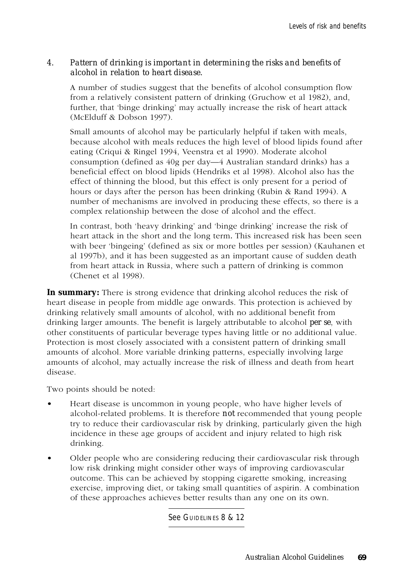#### *4. Pattern of drinking is important in determining the risks and benefits of alcohol in relation to heart disease.*

A number of studies suggest that the benefits of alcohol consumption flow from a relatively consistent pattern of drinking (Gruchow et al 1982), and, further, that 'binge drinking' may actually increase the risk of heart attack (McElduff & Dobson 1997).

Small amounts of alcohol may be particularly helpful if taken with meals, because alcohol with meals reduces the high level of blood lipids found after eating (Criqui & Ringel 1994, Veenstra et al 1990). Moderate alcohol consumption (defined as 40g per day—4 Australian standard drinks) has a beneficial effect on blood lipids (Hendriks et al 1998). Alcohol also has the effect of thinning the blood, but this effect is only present for a period of hours or days after the person has been drinking (Rubin & Rand 1994). A number of mechanisms are involved in producing these effects, so there is a complex relationship between the dose of alcohol and the effect.

In contrast, both 'heavy drinking' and 'binge drinking' increase the risk of heart attack in the short and the long term*.* This increased risk has been seen with beer 'bingeing' (defined as six or more bottles per session) (Kauhanen et al 1997b), and it has been suggested as an important cause of sudden death from heart attack in Russia, where such a pattern of drinking is common (Chenet et al 1998).

**In summary:** There is strong evidence that drinking alcohol reduces the risk of heart disease in people from middle age onwards. This protection is achieved by drinking relatively small amounts of alcohol, with no additional benefit from drinking larger amounts. The benefit is largely attributable to alcohol *per se*, with other constituents of particular beverage types having little or no additional value. Protection is most closely associated with a consistent pattern of drinking small amounts of alcohol. More variable drinking patterns, especially involving large amounts of alcohol, may actually increase the risk of illness and death from heart disease.

Two points should be noted:

- Heart disease is uncommon in young people, who have higher levels of alcohol-related problems. It is therefore *not* recommended that young people try to reduce their cardiovascular risk by drinking, particularly given the high incidence in these age groups of accident and injury related to high risk drinking.
- Older people who are considering reducing their cardiovascular risk through low risk drinking might consider other ways of improving cardiovascular outcome. This can be achieved by stopping cigarette smoking, increasing exercise, improving diet, or taking small quantities of aspirin. A combination of these approaches achieves better results than any one on its own.

See GUIDELINES 8 & 12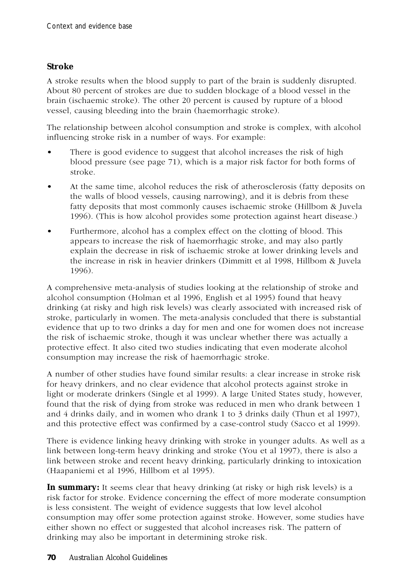#### **Stroke**

A stroke results when the blood supply to part of the brain is suddenly disrupted. About 80 percent of strokes are due to sudden blockage of a blood vessel in the brain (ischaemic stroke). The other 20 percent is caused by rupture of a blood vessel, causing bleeding into the brain (haemorrhagic stroke).

The relationship between alcohol consumption and stroke is complex, with alcohol influencing stroke risk in a number of ways. For example:

- There is good evidence to suggest that alcohol increases the risk of high blood pressure (see page 71), which is a major risk factor for both forms of stroke.
- At the same time, alcohol reduces the risk of atherosclerosis (fatty deposits on the walls of blood vessels, causing narrowing), and it is debris from these fatty deposits that most commonly causes ischaemic stroke (Hillbom & Juvela 1996). (This is how alcohol provides some protection against heart disease.)
- Furthermore, alcohol has a complex effect on the clotting of blood. This appears to increase the risk of haemorrhagic stroke, and may also partly explain the decrease in risk of ischaemic stroke at lower drinking levels and the increase in risk in heavier drinkers (Dimmitt et al 1998, Hillbom & Juvela 1996).

A comprehensive meta-analysis of studies looking at the relationship of stroke and alcohol consumption (Holman et al 1996, English et al 1995) found that heavy drinking (at risky and high risk levels) was clearly associated with increased risk of stroke, particularly in women. The meta-analysis concluded that there is substantial evidence that up to two drinks a day for men and one for women does not increase the risk of ischaemic stroke, though it was unclear whether there was actually a protective effect. It also cited two studies indicating that even moderate alcohol consumption may increase the risk of haemorrhagic stroke.

A number of other studies have found similar results: a clear increase in stroke risk for heavy drinkers, and no clear evidence that alcohol protects against stroke in light or moderate drinkers (Single et al 1999). A large United States study, however, found that the risk of dying from stroke was reduced in men who drank between 1 and 4 drinks daily, and in women who drank 1 to 3 drinks daily (Thun et al 1997), and this protective effect was confirmed by a case-control study (Sacco et al 1999).

There is evidence linking heavy drinking with stroke in younger adults. As well as a link between long-term heavy drinking and stroke (You et al 1997), there is also a link between stroke and recent heavy drinking, particularly drinking to intoxication (Haapaniemi et al 1996, Hillbom et al 1995).

**In summary:** It seems clear that heavy drinking (at risky or high risk levels) is a risk factor for stroke. Evidence concerning the effect of more moderate consumption is less consistent. The weight of evidence suggests that low level alcohol consumption may offer some protection against stroke. However, some studies have either shown no effect or suggested that alcohol increases risk. The pattern of drinking may also be important in determining stroke risk.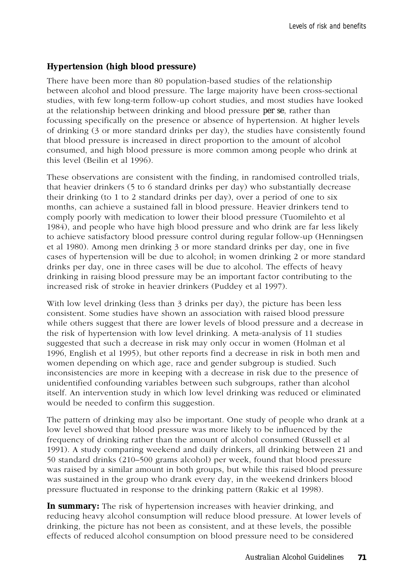## **Hypertension (high blood pressure)**

There have been more than 80 population-based studies of the relationship between alcohol and blood pressure. The large majority have been cross-sectional studies, with few long-term follow-up cohort studies, and most studies have looked at the relationship between drinking and blood pressure *per se*, rather than focussing specifically on the presence or absence of hypertension. At higher levels of drinking (3 or more standard drinks per day), the studies have consistently found that blood pressure is increased in direct proportion to the amount of alcohol consumed, and high blood pressure is more common among people who drink at this level (Beilin et al 1996).

These observations are consistent with the finding, in randomised controlled trials, that heavier drinkers (5 to 6 standard drinks per day) who substantially decrease their drinking (to 1 to 2 standard drinks per day), over a period of one to six months, can achieve a sustained fall in blood pressure. Heavier drinkers tend to comply poorly with medication to lower their blood pressure (Tuomilehto et al 1984), and people who have high blood pressure and who drink are far less likely to achieve satisfactory blood pressure control during regular follow-up (Henningsen et al 1980). Among men drinking 3 or more standard drinks per day, one in five cases of hypertension will be due to alcohol; in women drinking 2 or more standard drinks per day, one in three cases will be due to alcohol. The effects of heavy drinking in raising blood pressure may be an important factor contributing to the increased risk of stroke in heavier drinkers (Puddey et al 1997).

With low level drinking (less than 3 drinks per day), the picture has been less consistent. Some studies have shown an association with raised blood pressure while others suggest that there are lower levels of blood pressure and a decrease in the risk of hypertension with low level drinking. A meta-analysis of 11 studies suggested that such a decrease in risk may only occur in women (Holman et al 1996, English et al 1995), but other reports find a decrease in risk in both men and women depending on which age, race and gender subgroup is studied. Such inconsistencies are more in keeping with a decrease in risk due to the presence of unidentified confounding variables between such subgroups, rather than alcohol itself. An intervention study in which low level drinking was reduced or eliminated would be needed to confirm this suggestion.

The pattern of drinking may also be important. One study of people who drank at a low level showed that blood pressure was more likely to be influenced by the frequency of drinking rather than the amount of alcohol consumed (Russell et al 1991). A study comparing weekend and daily drinkers, all drinking between 21 and 50 standard drinks (210–500 grams alcohol) per week, found that blood pressure was raised by a similar amount in both groups, but while this raised blood pressure was sustained in the group who drank every day, in the weekend drinkers blood pressure fluctuated in response to the drinking pattern (Rakic et al 1998).

**In summary:** The risk of hypertension increases with heavier drinking, and reducing heavy alcohol consumption will reduce blood pressure. At lower levels of drinking, the picture has not been as consistent, and at these levels, the possible effects of reduced alcohol consumption on blood pressure need to be considered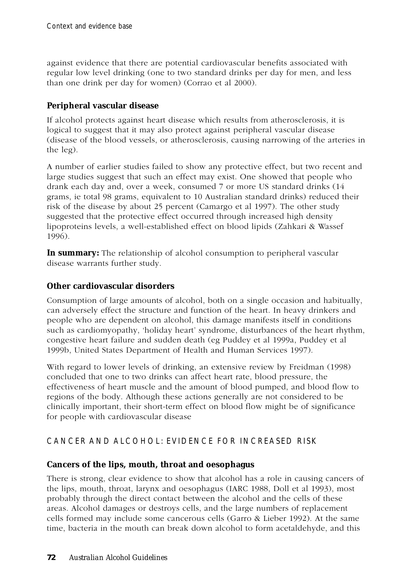against evidence that there are potential cardiovascular benefits associated with regular low level drinking (one to two standard drinks per day for men, and less than one drink per day for women) (Corrao et al 2000).

## **Peripheral vascular disease**

If alcohol protects against heart disease which results from atherosclerosis, it is logical to suggest that it may also protect against peripheral vascular disease (disease of the blood vessels, or atherosclerosis, causing narrowing of the arteries in the leg).

A number of earlier studies failed to show any protective effect, but two recent and large studies suggest that such an effect may exist. One showed that people who drank each day and, over a week, consumed 7 or more US standard drinks (14 grams, ie total 98 grams, equivalent to 10 Australian standard drinks) reduced their risk of the disease by about 25 percent (Camargo et al 1997). The other study suggested that the protective effect occurred through increased high density lipoproteins levels, a well-established effect on blood lipids (Zahkari & Wassef 1996).

**In summary:** The relationship of alcohol consumption to peripheral vascular disease warrants further study.

## **Other cardiovascular disorders**

Consumption of large amounts of alcohol, both on a single occasion and habitually, can adversely effect the structure and function of the heart. In heavy drinkers and people who are dependent on alcohol, this damage manifests itself in conditions such as cardiomyopathy, 'holiday heart' syndrome, disturbances of the heart rhythm, congestive heart failure and sudden death (eg Puddey et al 1999a, Puddey et al 1999b, United States Department of Health and Human Services 1997).

With regard to lower levels of drinking, an extensive review by Freidman (1998) concluded that one to two drinks can affect heart rate, blood pressure, the effectiveness of heart muscle and the amount of blood pumped, and blood flow to regions of the body. Although these actions generally are not considered to be clinically important, their short-term effect on blood flow might be of significance for people with cardiovascular disease

# CANCER AND ALCOHOL: EVIDENCE FOR INCREASED RISK

# **Cancers of the lips, mouth, throat and oesophagus**

There is strong, clear evidence to show that alcohol has a role in causing cancers of the lips, mouth, throat, larynx and oesophagus (IARC 1988, Doll et al 1993), most probably through the direct contact between the alcohol and the cells of these areas. Alcohol damages or destroys cells, and the large numbers of replacement cells formed may include some cancerous cells (Garro & Lieber 1992). At the same time, bacteria in the mouth can break down alcohol to form acetaldehyde, and this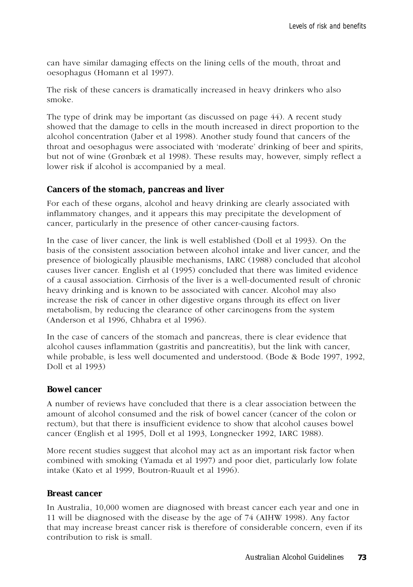can have similar damaging effects on the lining cells of the mouth, throat and oesophagus (Homann et al 1997).

The risk of these cancers is dramatically increased in heavy drinkers who also smoke.

The type of drink may be important (as discussed on page 44). A recent study showed that the damage to cells in the mouth increased in direct proportion to the alcohol concentration (Jaber et al 1998). Another study found that cancers of the throat and oesophagus were associated with 'moderate' drinking of beer and spirits, but not of wine (Grønbæk et al 1998). These results may, however, simply reflect a lower risk if alcohol is accompanied by a meal.

#### **Cancers of the stomach, pancreas and liver**

For each of these organs, alcohol and heavy drinking are clearly associated with inflammatory changes, and it appears this may precipitate the development of cancer, particularly in the presence of other cancer-causing factors.

In the case of liver cancer, the link is well established (Doll et al 1993). On the basis of the consistent association between alcohol intake and liver cancer, and the presence of biologically plausible mechanisms, IARC (1988) concluded that alcohol causes liver cancer. English et al (1995) concluded that there was limited evidence of a causal association. Cirrhosis of the liver is a well-documented result of chronic heavy drinking and is known to be associated with cancer. Alcohol may also increase the risk of cancer in other digestive organs through its effect on liver metabolism, by reducing the clearance of other carcinogens from the system (Anderson et al 1996, Chhabra et al 1996).

In the case of cancers of the stomach and pancreas, there is clear evidence that alcohol causes inflammation (gastritis and pancreatitis), but the link with cancer, while probable, is less well documented and understood. (Bode & Bode 1997, 1992, Doll et al 1993)

#### **Bowel cancer**

A number of reviews have concluded that there is a clear association between the amount of alcohol consumed and the risk of bowel cancer (cancer of the colon or rectum), but that there is insufficient evidence to show that alcohol causes bowel cancer (English et al 1995, Doll et al 1993, Longnecker 1992, IARC 1988).

More recent studies suggest that alcohol may act as an important risk factor when combined with smoking (Yamada et al 1997) and poor diet, particularly low folate intake (Kato et al 1999, Boutron-Ruault et al 1996).

#### **Breast cancer**

In Australia, 10,000 women are diagnosed with breast cancer each year and one in 11 will be diagnosed with the disease by the age of 74 (AIHW 1998). Any factor that may increase breast cancer risk is therefore of considerable concern, even if its contribution to risk is small.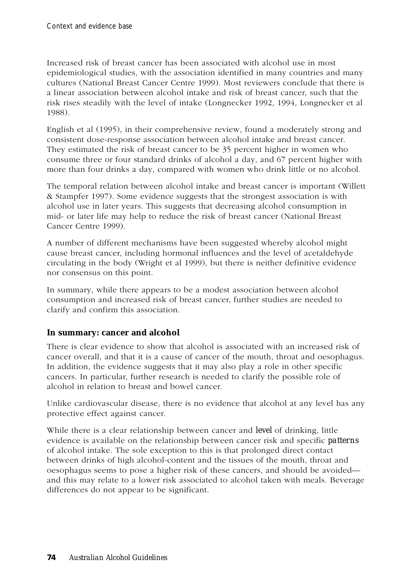Increased risk of breast cancer has been associated with alcohol use in most epidemiological studies, with the association identified in many countries and many cultures (National Breast Cancer Centre 1999). Most reviewers conclude that there is a linear association between alcohol intake and risk of breast cancer, such that the risk rises steadily with the level of intake (Longnecker 1992, 1994, Longnecker et al 1988).

English et al (1995), in their comprehensive review, found a moderately strong and consistent dose-response association between alcohol intake and breast cancer. They estimated the risk of breast cancer to be 35 percent higher in women who consume three or four standard drinks of alcohol a day, and 67 percent higher with more than four drinks a day, compared with women who drink little or no alcohol.

The temporal relation between alcohol intake and breast cancer is important (Willett & Stampfer 1997). Some evidence suggests that the strongest association is with alcohol use in later years. This suggests that decreasing alcohol consumption in mid- or later life may help to reduce the risk of breast cancer (National Breast Cancer Centre 1999).

A number of different mechanisms have been suggested whereby alcohol might cause breast cancer, including hormonal influences and the level of acetaldehyde circulating in the body (Wright et al 1999), but there is neither definitive evidence nor consensus on this point.

In summary, while there appears to be a modest association between alcohol consumption and increased risk of breast cancer, further studies are needed to clarify and confirm this association.

#### **In summary: cancer and alcohol**

There is clear evidence to show that alcohol is associated with an increased risk of cancer overall, and that it is a cause of cancer of the mouth, throat and oesophagus. In addition, the evidence suggests that it may also play a role in other specific cancers. In particular, further research is needed to clarify the possible role of alcohol in relation to breast and bowel cancer.

Unlike cardiovascular disease, there is no evidence that alcohol at any level has any protective effect against cancer.

While there is a clear relationship between cancer and *level* of drinking, little evidence is available on the relationship between cancer risk and specific *patterns* of alcohol intake. The sole exception to this is that prolonged direct contact between drinks of high alcohol-content and the tissues of the mouth, throat and oesophagus seems to pose a higher risk of these cancers, and should be avoided and this may relate to a lower risk associated to alcohol taken with meals. Beverage differences do not appear to be significant.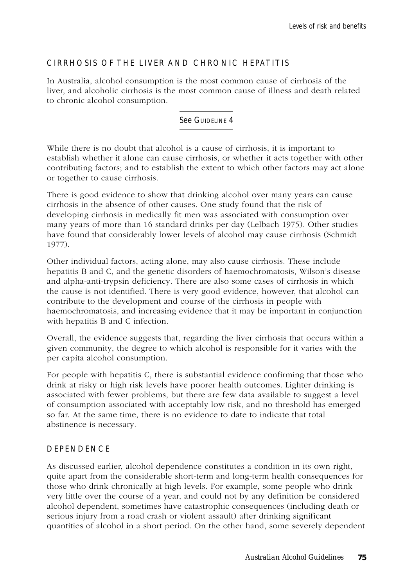## CIRRHOSIS OF THE LIVER AND CHRONIC HEPATITIS

In Australia, alcohol consumption is the most common cause of cirrhosis of the liver, and alcoholic cirrhosis is the most common cause of illness and death related to chronic alcohol consumption.

See GUIDELINE 4

While there is no doubt that alcohol is a cause of cirrhosis, it is important to establish whether it alone can cause cirrhosis, or whether it acts together with other contributing factors; and to establish the extent to which other factors may act alone or together to cause cirrhosis.

There is good evidence to show that drinking alcohol over many years can cause cirrhosis in the absence of other causes. One study found that the risk of developing cirrhosis in medically fit men was associated with consumption over many years of more than 16 standard drinks per day (Lelbach 1975). Other studies have found that considerably lower levels of alcohol may cause cirrhosis (Schmidt 1977)*.*

Other individual factors, acting alone, may also cause cirrhosis. These include hepatitis B and C, and the genetic disorders of haemochromatosis, Wilson's disease and alpha-anti-trypsin deficiency. There are also some cases of cirrhosis in which the cause is not identified. There is very good evidence, however, that alcohol can contribute to the development and course of the cirrhosis in people with haemochromatosis, and increasing evidence that it may be important in conjunction with hepatitis B and C infection.

Overall, the evidence suggests that, regarding the liver cirrhosis that occurs within a given community, the degree to which alcohol is responsible for it varies with the per capita alcohol consumption.

For people with hepatitis C, there is substantial evidence confirming that those who drink at risky or high risk levels have poorer health outcomes. Lighter drinking is associated with fewer problems, but there are few data available to suggest a level of consumption associated with acceptably low risk, and no threshold has emerged so far. At the same time, there is no evidence to date to indicate that total abstinence is necessary.

#### **DEPENDENCE**

As discussed earlier, alcohol dependence constitutes a condition in its own right, quite apart from the considerable short-term and long-term health consequences for those who drink chronically at high levels. For example, some people who drink very little over the course of a year, and could not by any definition be considered alcohol dependent, sometimes have catastrophic consequences (including death or serious injury from a road crash or violent assault) after drinking significant quantities of alcohol in a short period. On the other hand, some severely dependent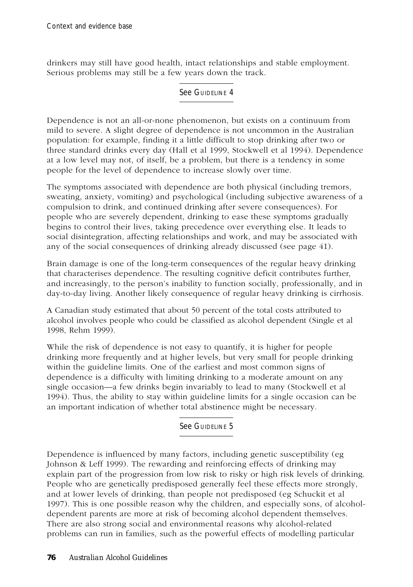drinkers may still have good health, intact relationships and stable employment. Serious problems may still be a few years down the track.

See GUIDELINE 4

Dependence is not an all-or-none phenomenon, but exists on a continuum from mild to severe. A slight degree of dependence is not uncommon in the Australian population: for example, finding it a little difficult to stop drinking after two or three standard drinks every day (Hall et al 1999, Stockwell et al 1994). Dependence at a low level may not, of itself, be a problem, but there is a tendency in some people for the level of dependence to increase slowly over time.

The symptoms associated with dependence are both physical (including tremors, sweating, anxiety, vomiting) and psychological (including subjective awareness of a compulsion to drink, and continued drinking after severe consequences). For people who are severely dependent, drinking to ease these symptoms gradually begins to control their lives, taking precedence over everything else. It leads to social disintegration, affecting relationships and work, and may be associated with any of the social consequences of drinking already discussed (see page 41).

Brain damage is one of the long-term consequences of the regular heavy drinking that characterises dependence. The resulting cognitive deficit contributes further, and increasingly, to the person's inability to function socially, professionally, and in day-to-day living. Another likely consequence of regular heavy drinking is cirrhosis.

A Canadian study estimated that about 50 percent of the total costs attributed to alcohol involves people who could be classified as alcohol dependent (Single et al 1998, Rehm 1999).

While the risk of dependence is not easy to quantify, it is higher for people drinking more frequently and at higher levels, but very small for people drinking within the guideline limits. One of the earliest and most common signs of dependence is a difficulty with limiting drinking to a moderate amount on any single occasion—a few drinks begin invariably to lead to many (Stockwell et al 1994). Thus, the ability to stay within guideline limits for a single occasion can be an important indication of whether total abstinence might be necessary.

#### See GUIDELINE 5

Dependence is influenced by many factors, including genetic susceptibility (eg Johnson & Leff 1999). The rewarding and reinforcing effects of drinking may explain part of the progression from low risk to risky or high risk levels of drinking. People who are genetically predisposed generally feel these effects more strongly, and at lower levels of drinking, than people not predisposed (eg Schuckit et al 1997). This is one possible reason why the children, and especially sons, of alcoholdependent parents are more at risk of becoming alcohol dependent themselves. There are also strong social and environmental reasons why alcohol-related problems can run in families, such as the powerful effects of modelling particular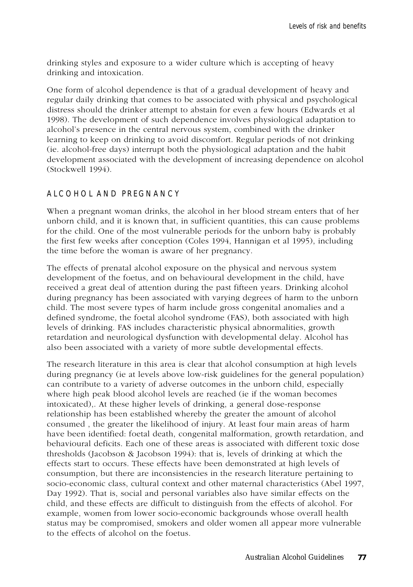drinking styles and exposure to a wider culture which is accepting of heavy drinking and intoxication.

One form of alcohol dependence is that of a gradual development of heavy and regular daily drinking that comes to be associated with physical and psychological distress should the drinker attempt to abstain for even a few hours (Edwards et al 1998). The development of such dependence involves physiological adaptation to alcohol's presence in the central nervous system, combined with the drinker learning to keep on drinking to avoid discomfort. Regular periods of not drinking (ie. alcohol-free days) interrupt both the physiological adaptation and the habit development associated with the development of increasing dependence on alcohol (Stockwell 1994).

#### ALCOHOL AND PREGNANCY

When a pregnant woman drinks, the alcohol in her blood stream enters that of her unborn child, and it is known that, in sufficient quantities, this can cause problems for the child. One of the most vulnerable periods for the unborn baby is probably the first few weeks after conception (Coles 1994, Hannigan et al 1995), including the time before the woman is aware of her pregnancy.

The effects of prenatal alcohol exposure on the physical and nervous system development of the foetus, and on behavioural development in the child, have received a great deal of attention during the past fifteen years. Drinking alcohol during pregnancy has been associated with varying degrees of harm to the unborn child. The most severe types of harm include gross congenital anomalies and a defined syndrome, the foetal alcohol syndrome (FAS), both associated with high levels of drinking. FAS includes characteristic physical abnormalities, growth retardation and neurological dysfunction with developmental delay. Alcohol has also been associated with a variety of more subtle developmental effects.

The research literature in this area is clear that alcohol consumption at high levels during pregnancy (ie at levels above low-risk guidelines for the general population) can contribute to a variety of adverse outcomes in the unborn child, especially where high peak blood alcohol levels are reached (ie if the woman becomes intoxicated),. At these higher levels of drinking, a general dose-response relationship has been established whereby the greater the amount of alcohol consumed , the greater the likelihood of injury. At least four main areas of harm have been identified: foetal death, congenital malformation, growth retardation, and behavioural deficits. Each one of these areas is associated with different toxic dose thresholds (Jacobson & Jacobson 1994): that is, levels of drinking at which the effects start to occurs. These effects have been demonstrated at high levels of consumption, but there are inconsistencies in the research literature pertaining to socio-economic class, cultural context and other maternal characteristics (Abel 1997, Day 1992). That is, social and personal variables also have similar effects on the child, and these effects are difficult to distinguish from the effects of alcohol. For example, women from lower socio-economic backgrounds whose overall health status may be compromised, smokers and older women all appear more vulnerable to the effects of alcohol on the foetus.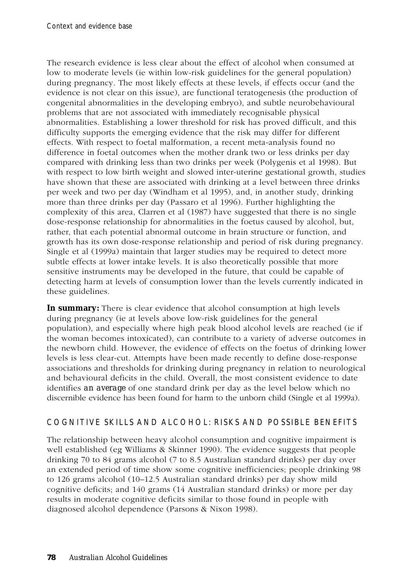The research evidence is less clear about the effect of alcohol when consumed at low to moderate levels (ie within low-risk guidelines for the general population) during pregnancy. The most likely effects at these levels, if effects occur (and the evidence is not clear on this issue), are functional teratogenesis (the production of congenital abnormalities in the developing embryo), and subtle neurobehavioural problems that are not associated with immediately recognisable physical abnormalities. Establishing a lower threshold for risk has proved difficult, and this difficulty supports the emerging evidence that the risk may differ for different effects. With respect to foetal malformation, a recent meta-analysis found no difference in foetal outcomes when the mother drank two or less drinks per day compared with drinking less than two drinks per week (Polygenis et al 1998). But with respect to low birth weight and slowed inter-uterine gestational growth, studies have shown that these are associated with drinking at a level between three drinks per week and two per day (Windham et al 1995), and, in another study, drinking more than three drinks per day (Passaro et al 1996). Further highlighting the complexity of this area, Clarren et al (1987) have suggested that there is no single dose-response relationship for abnormalities in the foetus caused by alcohol, but, rather, that each potential abnormal outcome in brain structure or function, and growth has its own dose-response relationship and period of risk during pregnancy. Single et al (1999a) maintain that larger studies may be required to detect more subtle effects at lower intake levels. It is also theoretically possible that more sensitive instruments may be developed in the future, that could be capable of detecting harm at levels of consumption lower than the levels currently indicated in these guidelines.

**In summary:** There is clear evidence that alcohol consumption at high levels during pregnancy (ie at levels above low-risk guidelines for the general population), and especially where high peak blood alcohol levels are reached (ie if the woman becomes intoxicated), can contribute to a variety of adverse outcomes in the newborn child. However, the evidence of effects on the foetus of drinking lower levels is less clear-cut. Attempts have been made recently to define dose-response associations and thresholds for drinking during pregnancy in relation to neurological and behavioural deficits in the child. Overall, the most consistent evidence to date identifies *an average* of one standard drink per day as the level below which no discernible evidence has been found for harm to the unborn child (Single et al 1999a).

#### COGNITIVE SKILLS AND ALCOHOL: RISKS AND POSSIBLE BENEFITS

The relationship between heavy alcohol consumption and cognitive impairment is well established (eg Williams & Skinner 1990). The evidence suggests that people drinking 70 to 84 grams alcohol (7 to 8.5 Australian standard drinks) per day over an extended period of time show some cognitive inefficiencies; people drinking 98 to 126 grams alcohol (10–12.5 Australian standard drinks) per day show mild cognitive deficits; and 140 grams (14 Australian standard drinks) or more per day results in moderate cognitive deficits similar to those found in people with diagnosed alcohol dependence (Parsons & Nixon 1998).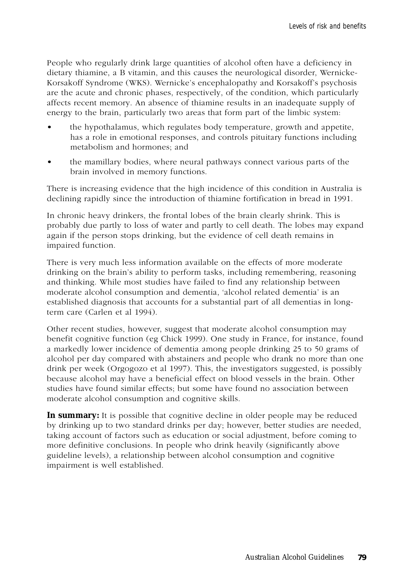People who regularly drink large quantities of alcohol often have a deficiency in dietary thiamine, a B vitamin, and this causes the neurological disorder, Wernicke-Korsakoff Syndrome (WKS). Wernicke's encephalopathy and Korsakoff's psychosis are the acute and chronic phases, respectively, of the condition, which particularly affects recent memory. An absence of thiamine results in an inadequate supply of energy to the brain, particularly two areas that form part of the limbic system:

- the hypothalamus, which regulates body temperature, growth and appetite, has a role in emotional responses, and controls pituitary functions including metabolism and hormones; and
- the mamillary bodies, where neural pathways connect various parts of the brain involved in memory functions.

There is increasing evidence that the high incidence of this condition in Australia is declining rapidly since the introduction of thiamine fortification in bread in 1991.

In chronic heavy drinkers, the frontal lobes of the brain clearly shrink. This is probably due partly to loss of water and partly to cell death. The lobes may expand again if the person stops drinking, but the evidence of cell death remains in impaired function.

There is very much less information available on the effects of more moderate drinking on the brain's ability to perform tasks, including remembering, reasoning and thinking. While most studies have failed to find any relationship between moderate alcohol consumption and dementia, 'alcohol related dementia' is an established diagnosis that accounts for a substantial part of all dementias in longterm care (Carlen et al 1994).

Other recent studies, however, suggest that moderate alcohol consumption may benefit cognitive function (eg Chick 1999). One study in France, for instance, found a markedly lower incidence of dementia among people drinking 25 to 50 grams of alcohol per day compared with abstainers and people who drank no more than one drink per week (Orgogozo et al 1997). This, the investigators suggested, is possibly because alcohol may have a beneficial effect on blood vessels in the brain. Other studies have found similar effects; but some have found no association between moderate alcohol consumption and cognitive skills.

**In summary:** It is possible that cognitive decline in older people may be reduced by drinking up to two standard drinks per day; however, better studies are needed, taking account of factors such as education or social adjustment, before coming to more definitive conclusions. In people who drink heavily (significantly above guideline levels), a relationship between alcohol consumption and cognitive impairment is well established.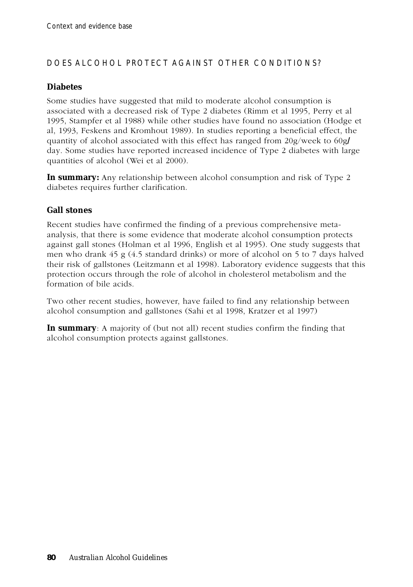# DOES ALCOHOL PROTECT AGAINST OTHER CONDITIONS?

#### **Diabetes**

Some studies have suggested that mild to moderate alcohol consumption is associated with a decreased risk of Type 2 diabetes (Rimm et al 1995, Perry et al 1995, Stampfer et al 1988) while other studies have found no association (Hodge et al, 1993, Feskens and Kromhout 1989). In studies reporting a beneficial effect, the quantity of alcohol associated with this effect has ranged from 20g/week to 60g**/** day. Some studies have reported increased incidence of Type 2 diabetes with large quantities of alcohol (Wei et al 2000).

**In summary:** Any relationship between alcohol consumption and risk of Type 2 diabetes requires further clarification.

#### **Gall stones**

Recent studies have confirmed the finding of a previous comprehensive metaanalysis, that there is some evidence that moderate alcohol consumption protects against gall stones (Holman et al 1996, English et al 1995). One study suggests that men who drank 45 g (4.5 standard drinks) or more of alcohol on 5 to 7 days halved their risk of gallstones (Leitzmann et al 1998). Laboratory evidence suggests that this protection occurs through the role of alcohol in cholesterol metabolism and the formation of bile acids.

Two other recent studies, however, have failed to find any relationship between alcohol consumption and gallstones (Sahi et al 1998, Kratzer et al 1997)

**In summary**: A majority of (but not all) recent studies confirm the finding that alcohol consumption protects against gallstones.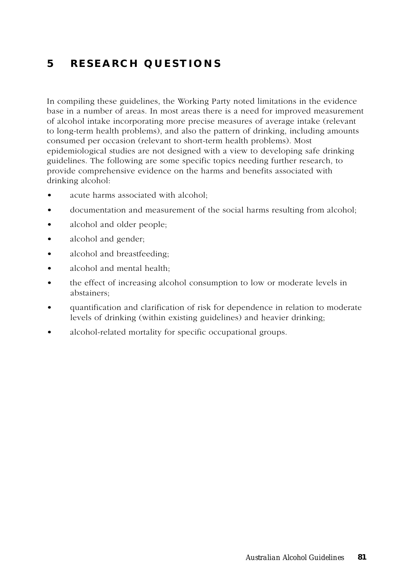# **5 RESEARCH QUESTIONS**

In compiling these guidelines, the Working Party noted limitations in the evidence base in a number of areas. In most areas there is a need for improved measurement of alcohol intake incorporating more precise measures of average intake (relevant to long-term health problems), and also the pattern of drinking, including amounts consumed per occasion (relevant to short-term health problems). Most epidemiological studies are not designed with a view to developing safe drinking guidelines. The following are some specific topics needing further research, to provide comprehensive evidence on the harms and benefits associated with drinking alcohol:

- acute harms associated with alcohol;
- documentation and measurement of the social harms resulting from alcohol;
- alcohol and older people;
- alcohol and gender;
- alcohol and breastfeeding:
- alcohol and mental health;
- the effect of increasing alcohol consumption to low or moderate levels in abstainers;
- quantification and clarification of risk for dependence in relation to moderate levels of drinking (within existing guidelines) and heavier drinking;
- alcohol-related mortality for specific occupational groups.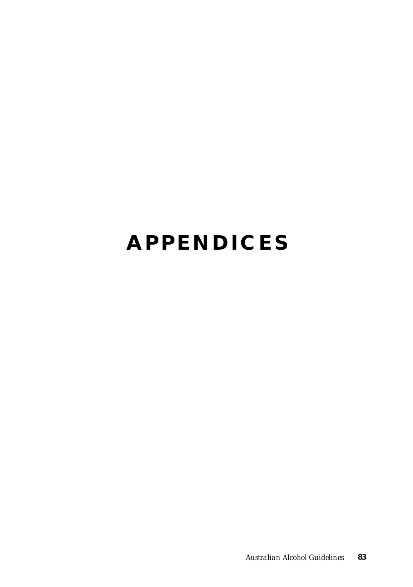# **APPENDICES**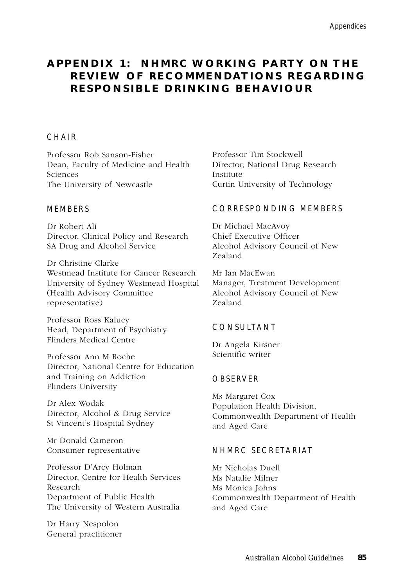# **A P P E N D I X 1 : N H M R C W O R K I N G P A RT Y O N T H E REVIEW OF RECOMMENDATIONS REGARDING RESPONSIBLE DRINKING BEHAVIOUR**

#### **CHAIR**

Professor Rob Sanson-Fisher Dean, Faculty of Medicine and Health Sciences The University of Newcastle

#### MEMBERS

Dr Robert Ali Director, Clinical Policy and Research SA Drug and Alcohol Service

Dr Christine Clarke Westmead Institute for Cancer Research University of Sydney Westmead Hospital (Health Advisory Committee representative)

Professor Ross Kalucy Head, Department of Psychiatry Flinders Medical Centre

Professor Ann M Roche Director, National Centre for Education and Training on Addiction Flinders University

Dr Alex Wodak Director, Alcohol & Drug Service St Vincent's Hospital Sydney

Mr Donald Cameron Consumer representative

Professor D'Arcy Holman Director, Centre for Health Services Research Department of Public Health The University of Western Australia

Dr Harry Nespolon General practitioner Professor Tim Stockwell Director, National Drug Research Institute Curtin University of Technology

#### CORRESPONDING MEMBERS

Dr Michael MacAvoy Chief Executive Officer Alcohol Advisory Council of New Zealand

Mr Ian MacEwan Manager, Treatment Development Alcohol Advisory Council of New Zealand

#### CONSULTANT

Dr Angela Kirsner Scientific writer

#### OBSERVER

Ms Margaret Cox Population Health Division, Commonwealth Department of Health and Aged Care

#### NHMRC SECRETARIAT

Mr Nicholas Duell Ms Natalie Milner Ms Monica Johns Commonwealth Department of Health and Aged Care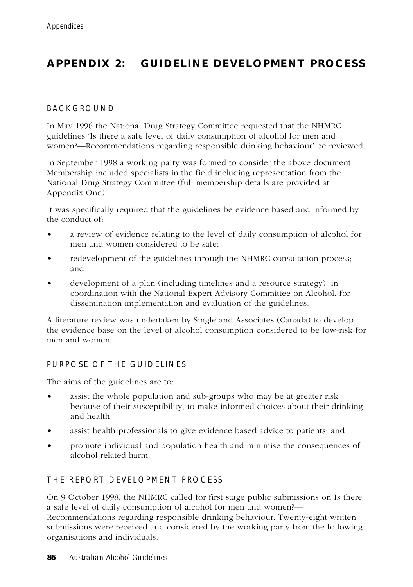# **APPENDIX 2: GUIDELINE DEVELOPMENT PROCESS**

#### BACKGROUND

In May 1996 the National Drug Strategy Committee requested that the NHMRC guidelines 'Is there a safe level of daily consumption of alcohol for men and women?—Recommendations regarding responsible drinking behaviour' be reviewed.

In September 1998 a working party was formed to consider the above document. Membership included specialists in the field including representation from the National Drug Strategy Committee (full membership details are provided at Appendix One).

It was specifically required that the guidelines be evidence based and informed by the conduct of:

- a review of evidence relating to the level of daily consumption of alcohol for men and women considered to be safe;
- redevelopment of the guidelines through the NHMRC consultation process; and
- development of a plan (including timelines and a resource strategy), in coordination with the National Expert Advisory Committee on Alcohol, for dissemination implementation and evaluation of the guidelines.

A literature review was undertaken by Single and Associates (Canada) to develop the evidence base on the level of alcohol consumption considered to be low-risk for men and women.

#### PURPOSE OF THE GUIDELINES

The aims of the guidelines are to:

- assist the whole population and sub-groups who may be at greater risk because of their susceptibility, to make informed choices about their drinking and health;
- assist health professionals to give evidence based advice to patients; and
- promote individual and population health and minimise the consequences of alcohol related harm.

#### THE REPORT DEVELOPMENT PROCESS

On 9 October 1998, the NHMRC called for first stage public submissions on Is there a safe level of daily consumption of alcohol for men and women?— Recommendations regarding responsible drinking behaviour. Twenty-eight written submissions were received and considered by the working party from the following organisations and individuals: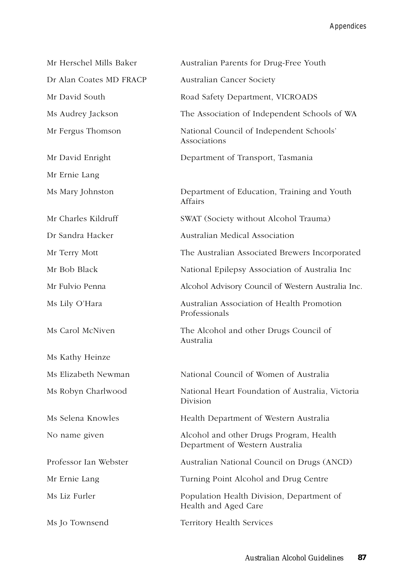Appendices

| Mr Herschel Mills Baker | Australian Parents for Drug-Free Youth                                     |
|-------------------------|----------------------------------------------------------------------------|
| Dr Alan Coates MD FRACP | Australian Cancer Society                                                  |
| Mr David South          | Road Safety Department, VICROADS                                           |
| Ms Audrey Jackson       | The Association of Independent Schools of WA                               |
| Mr Fergus Thomson       | National Council of Independent Schools'<br>Associations                   |
| Mr David Enright        | Department of Transport, Tasmania                                          |
| Mr Ernie Lang           |                                                                            |
| Ms Mary Johnston        | Department of Education, Training and Youth<br>Affairs                     |
| Mr Charles Kildruff     | SWAT (Society without Alcohol Trauma)                                      |
| Dr Sandra Hacker        | Australian Medical Association                                             |
| Mr Terry Mott           | The Australian Associated Brewers Incorporated                             |
| Mr Bob Black            | National Epilepsy Association of Australia Inc                             |
| Mr Fulvio Penna         | Alcohol Advisory Council of Western Australia Inc.                         |
| Ms Lily O'Hara          | Australian Association of Health Promotion<br>Professionals                |
| Ms Carol McNiven        | The Alcohol and other Drugs Council of<br>Australia                        |
| Ms Kathy Heinze         |                                                                            |
| Ms Elizabeth Newman     | National Council of Women of Australia                                     |
| Ms Robyn Charlwood      | National Heart Foundation of Australia, Victoria<br>Division               |
| Ms Selena Knowles       | Health Department of Western Australia                                     |
| No name given           | Alcohol and other Drugs Program, Health<br>Department of Western Australia |
| Professor Ian Webster   | Australian National Council on Drugs (ANCD)                                |
| Mr Ernie Lang           | Turning Point Alcohol and Drug Centre                                      |
| Ms Liz Furler           | Population Health Division, Department of<br>Health and Aged Care          |
| Ms Jo Townsend          | Territory Health Services                                                  |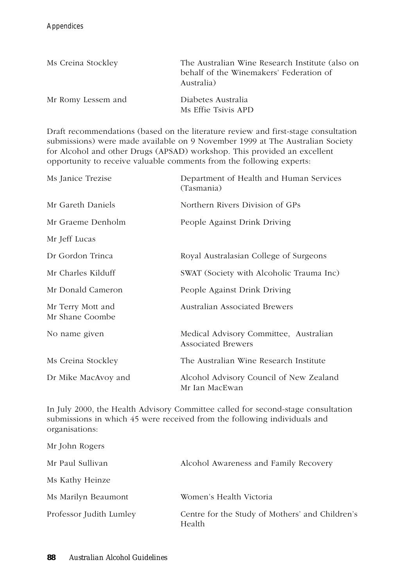| Ms Creina Stockley | The Australian Wine Research Institute (also on<br>behalf of the Winemakers' Federation of<br>Australia) |
|--------------------|----------------------------------------------------------------------------------------------------------|
| Mr Romy Lessem and | Diabetes Australia<br>Ms Effie Tsivis APD                                                                |

Draft recommendations (based on the literature review and first-stage consultation submissions) were made available on 9 November 1999 at The Australian Society for Alcohol and other Drugs (APSAD) workshop. This provided an excellent opportunity to receive valuable comments from the following experts:

| Ms Janice Trezise                    | Department of Health and Human Services<br>(Tasmania)               |
|--------------------------------------|---------------------------------------------------------------------|
| Mr Gareth Daniels                    | Northern Rivers Division of GPs                                     |
| Mr Graeme Denholm                    | People Against Drink Driving                                        |
| Mr Jeff Lucas                        |                                                                     |
| Dr Gordon Trinca                     | Royal Australasian College of Surgeons                              |
| Mr Charles Kilduff                   | SWAT (Society with Alcoholic Trauma Inc)                            |
| Mr Donald Cameron                    | People Against Drink Driving                                        |
| Mr Terry Mott and<br>Mr Shane Coombe | Australian Associated Brewers                                       |
| No name given                        | Medical Advisory Committee, Australian<br><b>Associated Brewers</b> |
| Ms Creina Stockley                   | The Australian Wine Research Institute                              |
| Dr Mike MacAvoy and                  | Alcohol Advisory Council of New Zealand<br>Mr Ian MacEwan           |

In July 2000, the Health Advisory Committee called for second-stage consultation submissions in which 45 were received from the following individuals and organisations:

| Mr John Rogers          |                                                           |
|-------------------------|-----------------------------------------------------------|
| Mr Paul Sullivan        | Alcohol Awareness and Family Recovery                     |
| Ms Kathy Heinze         |                                                           |
| Ms Marilyn Beaumont     | Women's Health Victoria                                   |
| Professor Judith Lumley | Centre for the Study of Mothers' and Children's<br>Health |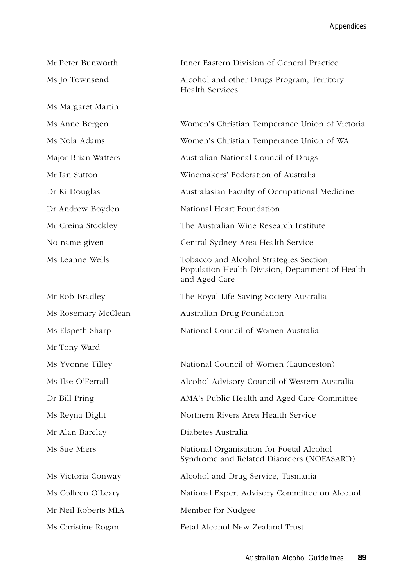| Mr Peter Bunworth   | Inner Eastern Division of General Practice                                                                   |
|---------------------|--------------------------------------------------------------------------------------------------------------|
| Ms Jo Townsend      | Alcohol and other Drugs Program, Territory<br><b>Health Services</b>                                         |
| Ms Margaret Martin  |                                                                                                              |
| Ms Anne Bergen      | Women's Christian Temperance Union of Victoria                                                               |
| Ms Nola Adams       | Women's Christian Temperance Union of WA                                                                     |
| Major Brian Watters | Australian National Council of Drugs                                                                         |
| Mr Ian Sutton       | Winemakers' Federation of Australia                                                                          |
| Dr Ki Douglas       | Australasian Faculty of Occupational Medicine                                                                |
| Dr Andrew Boyden    | National Heart Foundation                                                                                    |
| Mr Creina Stockley  | The Australian Wine Research Institute                                                                       |
| No name given       | Central Sydney Area Health Service                                                                           |
| Ms Leanne Wells     | Tobacco and Alcohol Strategies Section,<br>Population Health Division, Department of Health<br>and Aged Care |
| Mr Rob Bradley      | The Royal Life Saving Society Australia                                                                      |
| Ms Rosemary McClean | Australian Drug Foundation                                                                                   |
| Ms Elspeth Sharp    | National Council of Women Australia                                                                          |
| Mr Tony Ward        |                                                                                                              |
| Ms Yvonne Tilley    | National Council of Women (Launceston)                                                                       |
| Ms Ilse O'Ferrall   | Alcohol Advisory Council of Western Australia                                                                |
| Dr Bill Pring       | AMA's Public Health and Aged Care Committee                                                                  |
| Ms Reyna Dight      | Northern Rivers Area Health Service                                                                          |
| Mr Alan Barclay     | Diabetes Australia                                                                                           |
| Ms Sue Miers        | National Organisation for Foetal Alcohol<br>Syndrome and Related Disorders (NOFASARD)                        |
| Ms Victoria Conway  | Alcohol and Drug Service, Tasmania                                                                           |
| Ms Colleen O'Leary  | National Expert Advisory Committee on Alcohol                                                                |
| Mr Neil Roberts MLA | Member for Nudgee                                                                                            |
| Ms Christine Rogan  | Fetal Alcohol New Zealand Trust                                                                              |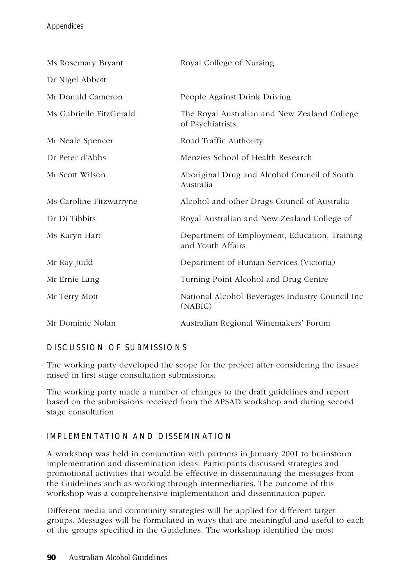| Ms Rosemary Bryant      | Royal College of Nursing                                           |
|-------------------------|--------------------------------------------------------------------|
| Dr Nigel Abbott         |                                                                    |
| Mr Donald Cameron       | People Against Drink Driving                                       |
| Ms Gabrielle FitzGerald | The Royal Australian and New Zealand College<br>of Psychiatrists   |
| Mr Neale Spencer        | Road Traffic Authority                                             |
| Dr Peter d'Abbs         | Menzies School of Health Research                                  |
| Mr Scott Wilson         | Aboriginal Drug and Alcohol Council of South<br>Australia          |
| Ms Caroline Fitzwarryne | Alcohol and other Drugs Council of Australia                       |
| Dr Di Tibbits           | Royal Australian and New Zealand College of                        |
| Ms Karyn Hart           | Department of Employment, Education, Training<br>and Youth Affairs |
| Mr Ray Judd             | Department of Human Services (Victoria)                            |
| Mr Ernie Lang           | Turning Point Alcohol and Drug Centre                              |
| Mr Terry Mott           | National Alcohol Beverages Industry Council Inc<br>(NABIC)         |
| Mr Dominic Nolan        | Australian Regional Winemakers' Forum                              |

# DISCUSSION OF SUBMISSIONS

The working party developed the scope for the project after considering the issues raised in first stage consultation submissions.

The working party made a number of changes to the draft guidelines and report based on the submissions received from the APSAD workshop and during second stage consultation.

# IMPLEMENTATION AND DISSEMINATION

A workshop was held in conjunction with partners in January 2001 to brainstorm implementation and dissemination ideas. Participants discussed strategies and promotional activities that would be effective in disseminating the messages from the Guidelines such as working through intermediaries. The outcome of this workshop was a comprehensive implementation and dissemination paper.

Different media and community strategies will be applied for different target groups. Messages will be formulated in ways that are meaningful and useful to each of the groups specified in the Guidelines. The workshop identified the most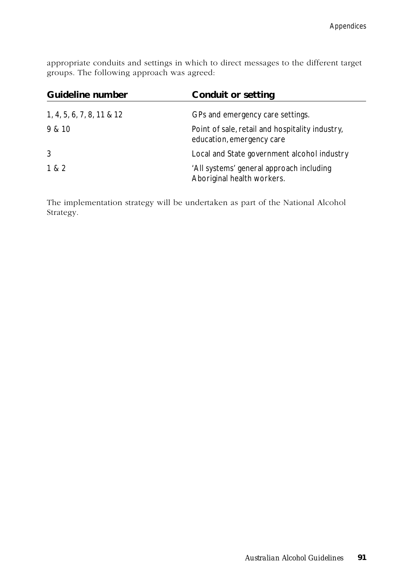appropriate conduits and settings in which to direct messages to the different target groups. The following approach was agreed:

| Guideline number          | <b>Conduit or setting</b>                                                    |
|---------------------------|------------------------------------------------------------------------------|
| 1, 4, 5, 6, 7, 8, 11 & 12 | GPs and emergency care settings.                                             |
| 9 & 10                    | Point of sale, retail and hospitality industry,<br>education, emergency care |
| 3                         | Local and State government alcohol industry                                  |
| 1 & 2                     | 'All systems' general approach including<br>Aboriginal health workers.       |

The implementation strategy will be undertaken as part of the National Alcohol Strategy.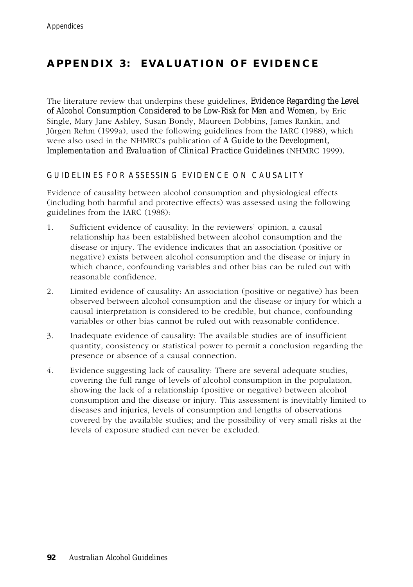# **APPENDIX 3: EVALUATION OF EVIDENCE**

The literature review that underpins these guidelines, *Evidence Regarding the Level of Alcohol Consumption Considered to be Low-Risk for Men and Women,* by Eric Single, Mary Jane Ashley, Susan Bondy, Maureen Dobbins, James Rankin, and Jürgen Rehm (1999a), used the following guidelines from the IARC (1988), which were also used in the NHMRC's publication of *A Guide to the Development, Implementation and Evaluation of Clinical Practice Guidelines* (NHMRC 1999)*.*

## GUIDELINES FOR ASSESSING EVIDENCE ON CAUSALITY

Evidence of causality between alcohol consumption and physiological effects (including both harmful and protective effects) was assessed using the following guidelines from the IARC (1988):

- 1. Sufficient evidence of causality: In the reviewers' opinion, a causal relationship has been established between alcohol consumption and the disease or injury. The evidence indicates that an association (positive or negative) exists between alcohol consumption and the disease or injury in which chance, confounding variables and other bias can be ruled out with reasonable confidence.
- 2. Limited evidence of causality: An association (positive or negative) has been observed between alcohol consumption and the disease or injury for which a causal interpretation is considered to be credible, but chance, confounding variables or other bias cannot be ruled out with reasonable confidence.
- 3. Inadequate evidence of causality: The available studies are of insufficient quantity, consistency or statistical power to permit a conclusion regarding the presence or absence of a causal connection.
- 4. Evidence suggesting lack of causality: There are several adequate studies, covering the full range of levels of alcohol consumption in the population, showing the lack of a relationship (positive or negative) between alcohol consumption and the disease or injury. This assessment is inevitably limited to diseases and injuries, levels of consumption and lengths of observations covered by the available studies; and the possibility of very small risks at the levels of exposure studied can never be excluded.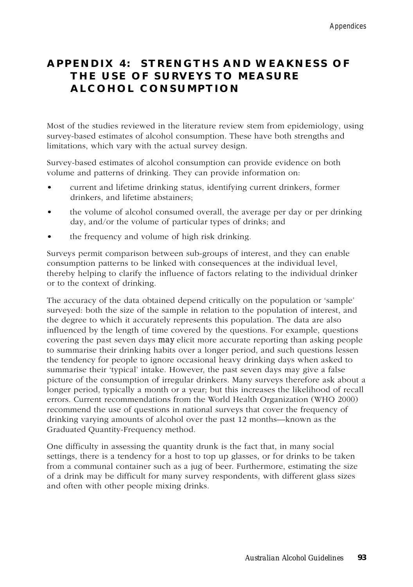# **APPENDIX 4: STRENGTHS AND WEAKNESS OF THE USE OF SURVEYS TO MEASURE ALCOHOL CONSUMPTION**

Most of the studies reviewed in the literature review stem from epidemiology, using survey-based estimates of alcohol consumption. These have both strengths and limitations, which vary with the actual survey design.

Survey-based estimates of alcohol consumption can provide evidence on both volume and patterns of drinking. They can provide information on:

- current and lifetime drinking status, identifying current drinkers, former drinkers, and lifetime abstainers;
- the volume of alcohol consumed overall, the average per day or per drinking day, and/or the volume of particular types of drinks; and
- the frequency and volume of high risk drinking.

Surveys permit comparison between sub-groups of interest, and they can enable consumption patterns to be linked with consequences at the individual level, thereby helping to clarify the influence of factors relating to the individual drinker or to the context of drinking.

The accuracy of the data obtained depend critically on the population or 'sample' surveyed: both the size of the sample in relation to the population of interest, and the degree to which it accurately represents this population. The data are also influenced by the length of time covered by the questions. For example, questions covering the past seven days *may* elicit more accurate reporting than asking people to summarise their drinking habits over a longer period, and such questions lessen the tendency for people to ignore occasional heavy drinking days when asked to summarise their 'typical' intake. However, the past seven days may give a false picture of the consumption of irregular drinkers. Many surveys therefore ask about a longer period, typically a month or a year; but this increases the likelihood of recall errors. Current recommendations from the World Health Organization (WHO 2000) recommend the use of questions in national surveys that cover the frequency of drinking varying amounts of alcohol over the past 12 months—known as the Graduated Quantity-Frequency method.

One difficulty in assessing the quantity drunk is the fact that, in many social settings, there is a tendency for a host to top up glasses, or for drinks to be taken from a communal container such as a jug of beer. Furthermore, estimating the size of a drink may be difficult for many survey respondents, with different glass sizes and often with other people mixing drinks.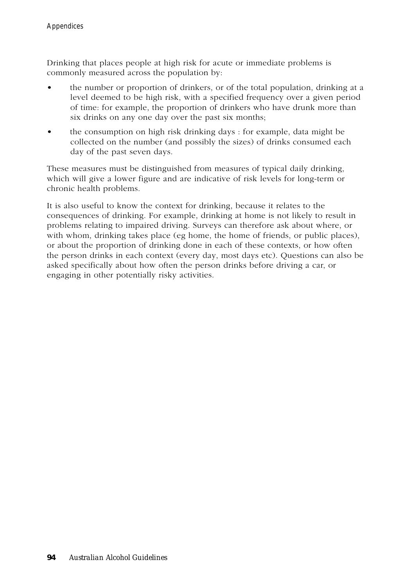Drinking that places people at high risk for acute or immediate problems is commonly measured across the population by:

- the number or proportion of drinkers, or of the total population, drinking at a level deemed to be high risk, with a specified frequency over a given period of time: for example, the proportion of drinkers who have drunk more than six drinks on any one day over the past six months;
- the consumption on high risk drinking days : for example, data might be collected on the number (and possibly the sizes) of drinks consumed each day of the past seven days.

These measures must be distinguished from measures of typical daily drinking, which will give a lower figure and are indicative of risk levels for long-term or chronic health problems.

It is also useful to know the context for drinking, because it relates to the consequences of drinking. For example, drinking at home is not likely to result in problems relating to impaired driving. Surveys can therefore ask about where, or with whom, drinking takes place (eg home, the home of friends, or public places), or about the proportion of drinking done in each of these contexts, or how often the person drinks in each context (every day, most days etc). Questions can also be asked specifically about how often the person drinks before driving a car, or engaging in other potentially risky activities.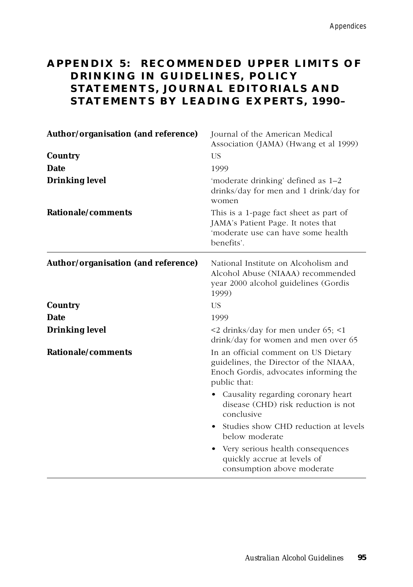# **APPENDIX 5: RECOMMENDED UPPER LIMITS OF DRINKING IN GUIDELINES, POLICY STATEMENTS, JOURNAL EDITORIALS AND STATEMENTS BY LEADING EXPERTS, 1990–**

| Author/organisation (and reference) | Journal of the American Medical<br>Association (JAMA) (Hwang et al 1999)                                                                |
|-------------------------------------|-----------------------------------------------------------------------------------------------------------------------------------------|
| Country                             | US                                                                                                                                      |
| <b>Date</b>                         | 1999                                                                                                                                    |
| <b>Drinking level</b>               | 'moderate drinking' defined as 1–2<br>drinks/day for men and 1 drink/day for<br>women                                                   |
| Rationale/comments                  | This is a 1-page fact sheet as part of<br>JAMA's Patient Page. It notes that<br>'moderate use can have some health<br>benefits'.        |
| Author/organisation (and reference) | National Institute on Alcoholism and<br>Alcohol Abuse (NIAAA) recommended<br>year 2000 alcohol guidelines (Gordis<br>1999)              |
| Country                             | US                                                                                                                                      |
| <b>Date</b>                         | 1999                                                                                                                                    |
| <b>Drinking level</b>               | $\leq$ 2 drinks/day for men under 65; $\leq$ 1<br>drink/day for women and men over 65                                                   |
| Rationale/comments                  | In an official comment on US Dietary<br>guidelines, the Director of the NIAAA,<br>Enoch Gordis, advocates informing the<br>public that: |
|                                     | • Causality regarding coronary heart<br>disease (CHD) risk reduction is not<br>conclusive                                               |
|                                     | • Studies show CHD reduction at levels<br>below moderate                                                                                |
|                                     | • Very serious health consequences<br>quickly accrue at levels of<br>consumption above moderate                                         |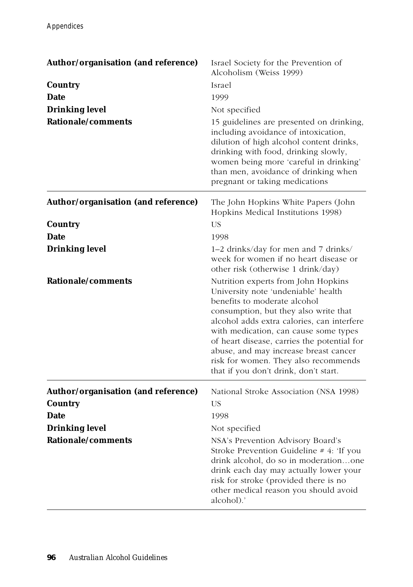| Author/organisation (and reference) | Israel Society for the Prevention of<br>Alcoholism (Weiss 1999)                                                                                                                                                                                                                                                                                                                                                     |
|-------------------------------------|---------------------------------------------------------------------------------------------------------------------------------------------------------------------------------------------------------------------------------------------------------------------------------------------------------------------------------------------------------------------------------------------------------------------|
| Country                             | Israel                                                                                                                                                                                                                                                                                                                                                                                                              |
| Date                                | 1999                                                                                                                                                                                                                                                                                                                                                                                                                |
| <b>Drinking level</b>               | Not specified                                                                                                                                                                                                                                                                                                                                                                                                       |
| Rationale/comments                  | 15 guidelines are presented on drinking,<br>including avoidance of intoxication,<br>dilution of high alcohol content drinks,<br>drinking with food, drinking slowly,<br>women being more 'careful in drinking'<br>than men, avoidance of drinking when<br>pregnant or taking medications                                                                                                                            |
| Author/organisation (and reference) | The John Hopkins White Papers (John<br>Hopkins Medical Institutions 1998)                                                                                                                                                                                                                                                                                                                                           |
| Country                             | <b>US</b>                                                                                                                                                                                                                                                                                                                                                                                                           |
| <b>Date</b>                         | 1998                                                                                                                                                                                                                                                                                                                                                                                                                |
| <b>Drinking level</b>               | 1–2 drinks/day for men and 7 drinks/<br>week for women if no heart disease or<br>other risk (otherwise 1 drink/day)                                                                                                                                                                                                                                                                                                 |
| Rationale/comments                  | Nutrition experts from John Hopkins<br>University note 'undeniable' health<br>benefits to moderate alcohol<br>consumption, but they also write that<br>alcohol adds extra calories, can interfere<br>with medication, can cause some types<br>of heart disease, carries the potential for<br>abuse, and may increase breast cancer<br>risk for women. They also recommends<br>that if you don't drink, don't start. |
| Author/organisation (and reference) | National Stroke Association (NSA 1998)                                                                                                                                                                                                                                                                                                                                                                              |
| <b>Country</b>                      | <b>US</b>                                                                                                                                                                                                                                                                                                                                                                                                           |
| <b>Date</b>                         | 1998                                                                                                                                                                                                                                                                                                                                                                                                                |
| <b>Drinking level</b>               | Not specified                                                                                                                                                                                                                                                                                                                                                                                                       |
| Rationale/comments                  | NSA's Prevention Advisory Board's<br>Stroke Prevention Guideline $# 4$ : 'If you<br>drink alcohol, do so in moderationone<br>drink each day may actually lower your<br>risk for stroke (provided there is no<br>other medical reason you should avoid<br>alcohol).'                                                                                                                                                 |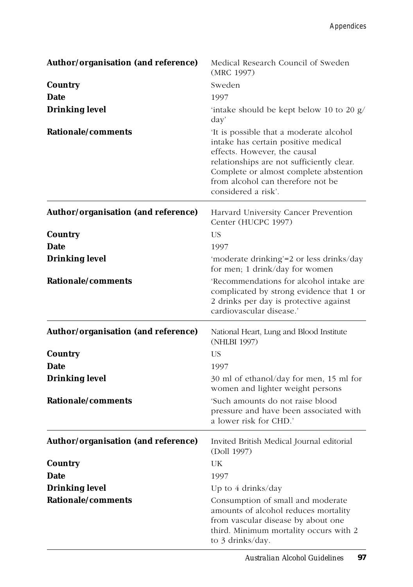| Author/organisation (and reference) | Medical Research Council of Sweden<br>(MRC 1997)                                                                                                                                                                                                                 |
|-------------------------------------|------------------------------------------------------------------------------------------------------------------------------------------------------------------------------------------------------------------------------------------------------------------|
| Country                             | Sweden                                                                                                                                                                                                                                                           |
| Date                                | 1997                                                                                                                                                                                                                                                             |
| <b>Drinking level</b>               | 'intake should be kept below 10 to 20 $g/$<br>day'                                                                                                                                                                                                               |
| Rationale/comments                  | It is possible that a moderate alcohol<br>intake has certain positive medical<br>effects. However, the causal<br>relationships are not sufficiently clear.<br>Complete or almost complete abstention<br>from alcohol can therefore not be<br>considered a risk'. |
| Author/organisation (and reference) | Harvard University Cancer Prevention<br>Center (HUCPC 1997)                                                                                                                                                                                                      |
| Country                             | <b>US</b>                                                                                                                                                                                                                                                        |
| <b>Date</b>                         | 1997                                                                                                                                                                                                                                                             |
| <b>Drinking level</b>               | 'moderate drinking'=2 or less drinks/day<br>for men; 1 drink/day for women                                                                                                                                                                                       |
| Rationale/comments                  | 'Recommendations for alcohol intake are<br>complicated by strong evidence that 1 or<br>2 drinks per day is protective against<br>cardiovascular disease.'                                                                                                        |
| Author/organisation (and reference) | National Heart, Lung and Blood Institute<br>(NHLBI 1997)                                                                                                                                                                                                         |
| Country                             | <b>US</b>                                                                                                                                                                                                                                                        |
| <b>Date</b>                         | 1997                                                                                                                                                                                                                                                             |
| <b>Drinking level</b>               | 30 ml of ethanol/day for men, 15 ml for<br>women and lighter weight persons                                                                                                                                                                                      |
| Rationale/comments                  | 'Such amounts do not raise blood<br>pressure and have been associated with<br>a lower risk for CHD.'                                                                                                                                                             |
| Author/organisation (and reference) | Invited British Medical Journal editorial<br>(Doll 1997)                                                                                                                                                                                                         |
| Country                             | UK                                                                                                                                                                                                                                                               |
| <b>Date</b>                         | 1997                                                                                                                                                                                                                                                             |
| <b>Drinking level</b>               | Up to 4 drinks/day                                                                                                                                                                                                                                               |
| Rationale/comments                  | Consumption of small and moderate<br>amounts of alcohol reduces mortality<br>from vascular disease by about one<br>third. Minimum mortality occurs with 2<br>to 3 drinks/day.                                                                                    |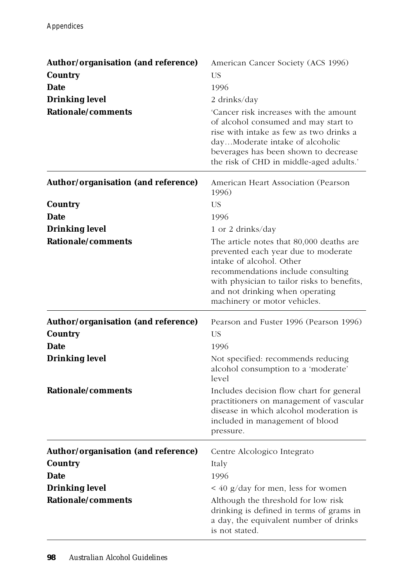| Author/organisation (and reference)<br>Country<br>Date<br><b>Drinking level</b><br>Rationale/comments | American Cancer Society (ACS 1996)<br><b>US</b><br>1996<br>2 drinks/day<br>'Cancer risk increases with the amount<br>of alcohol consumed and may start to<br>rise with intake as few as two drinks a<br>dayModerate intake of alcoholic<br>beverages has been shown to decrease<br>the risk of CHD in middle-aged adults.' |
|-------------------------------------------------------------------------------------------------------|----------------------------------------------------------------------------------------------------------------------------------------------------------------------------------------------------------------------------------------------------------------------------------------------------------------------------|
| Author/organisation (and reference)                                                                   | American Heart Association (Pearson<br>1996)                                                                                                                                                                                                                                                                               |
| Country                                                                                               | <b>US</b>                                                                                                                                                                                                                                                                                                                  |
| <b>Date</b>                                                                                           | 1996                                                                                                                                                                                                                                                                                                                       |
| <b>Drinking level</b><br>Rationale/comments                                                           | 1 or 2 drinks/day                                                                                                                                                                                                                                                                                                          |
|                                                                                                       | The article notes that 80,000 deaths are<br>prevented each year due to moderate<br>intake of alcohol. Other<br>recommendations include consulting<br>with physician to tailor risks to benefits,<br>and not drinking when operating<br>machinery or motor vehicles.                                                        |
| Author/organisation (and reference)<br>Country                                                        | Pearson and Fuster 1996 (Pearson 1996)<br><b>US</b>                                                                                                                                                                                                                                                                        |
| <b>Date</b>                                                                                           | 1996                                                                                                                                                                                                                                                                                                                       |
| <b>Drinking level</b>                                                                                 | Not specified: recommends reducing<br>alcohol consumption to a 'moderate'<br>level                                                                                                                                                                                                                                         |
| Rationale/comments                                                                                    | Includes decision flow chart for general<br>practitioners on management of vascular<br>disease in which alcohol moderation is<br>included in management of blood<br>pressure.                                                                                                                                              |
| Author/organisation (and reference)                                                                   | Centre Alcologico Integrato                                                                                                                                                                                                                                                                                                |
| Country                                                                                               | Italy                                                                                                                                                                                                                                                                                                                      |
| <b>Date</b>                                                                                           | 1996                                                                                                                                                                                                                                                                                                                       |
| <b>Drinking level</b>                                                                                 | $\leq$ 40 g/day for men, less for women                                                                                                                                                                                                                                                                                    |
| Rationale/comments                                                                                    | Although the threshold for low risk<br>drinking is defined in terms of grams in<br>a day, the equivalent number of drinks<br>is not stated.                                                                                                                                                                                |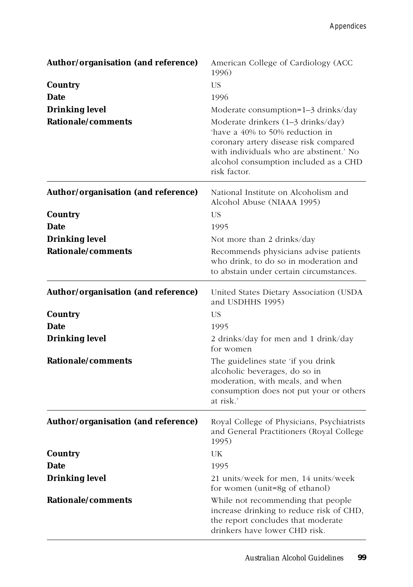| Author/organisation (and reference) | American College of Cardiology (ACC<br>1996)                                                                                                                                                                      |
|-------------------------------------|-------------------------------------------------------------------------------------------------------------------------------------------------------------------------------------------------------------------|
| Country                             | US                                                                                                                                                                                                                |
| <b>Date</b>                         | 1996                                                                                                                                                                                                              |
| <b>Drinking level</b>               | Moderate consumption=1-3 drinks/day                                                                                                                                                                               |
| Rationale/comments                  | Moderate drinkers (1-3 drinks/day)<br>have a 40% to 50% reduction in<br>coronary artery disease risk compared<br>with individuals who are abstinent.' No<br>alcohol consumption included as a CHD<br>risk factor. |
| Author/organisation (and reference) | National Institute on Alcoholism and<br>Alcohol Abuse (NIAAA 1995)                                                                                                                                                |
| Country                             | US                                                                                                                                                                                                                |
| <b>Date</b>                         | 1995                                                                                                                                                                                                              |
| <b>Drinking level</b>               | Not more than 2 drinks/day                                                                                                                                                                                        |
| Rationale/comments                  | Recommends physicians advise patients<br>who drink, to do so in moderation and<br>to abstain under certain circumstances.                                                                                         |
| Author/organisation (and reference) | United States Dietary Association (USDA<br>and USDHHS 1995)                                                                                                                                                       |
| Country                             | US                                                                                                                                                                                                                |
| <b>Date</b>                         | 1995                                                                                                                                                                                                              |
| <b>Drinking level</b>               | 2 drinks/day for men and 1 drink/day<br>for women                                                                                                                                                                 |
| Rationale/comments                  | The guidelines state 'if you drink<br>alcoholic beverages, do so in<br>moderation, with meals, and when<br>consumption does not put your or others<br>at risk.'                                                   |
| Author/organisation (and reference) | Royal College of Physicians, Psychiatrists<br>and General Practitioners (Royal College<br>1995)                                                                                                                   |
| Country                             | UK                                                                                                                                                                                                                |
| <b>Date</b>                         | 1995                                                                                                                                                                                                              |
| <b>Drinking level</b>               | 21 units/week for men, 14 units/week<br>for women (unit=8g of ethanol)                                                                                                                                            |
| Rationale/comments                  | While not recommending that people<br>increase drinking to reduce risk of CHD,<br>the report concludes that moderate<br>drinkers have lower CHD risk.                                                             |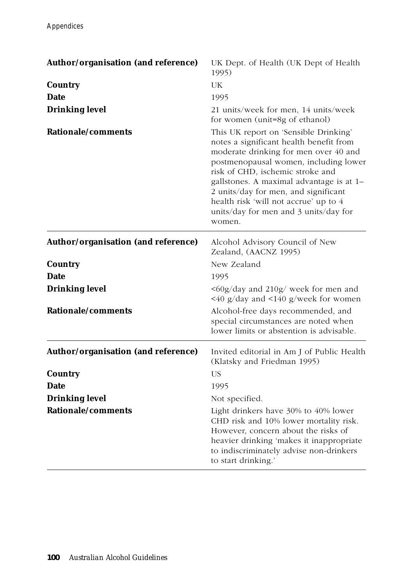| Author/organisation (and reference) | UK Dept. of Health (UK Dept of Health<br>1995)                                                                                                                                                                                                                                                                                                                                         |
|-------------------------------------|----------------------------------------------------------------------------------------------------------------------------------------------------------------------------------------------------------------------------------------------------------------------------------------------------------------------------------------------------------------------------------------|
| Country                             | UK                                                                                                                                                                                                                                                                                                                                                                                     |
| <b>Date</b>                         | 1995                                                                                                                                                                                                                                                                                                                                                                                   |
| <b>Drinking level</b>               | 21 units/week for men, 14 units/week<br>for women (unit=8g of ethanol)                                                                                                                                                                                                                                                                                                                 |
| Rationale/comments                  | This UK report on 'Sensible Drinking'<br>notes a significant health benefit from<br>moderate drinking for men over 40 and<br>postmenopausal women, including lower<br>risk of CHD, ischemic stroke and<br>gallstones. A maximal advantage is at 1-<br>2 units/day for men, and significant<br>health risk 'will not accrue' up to 4<br>units/day for men and 3 units/day for<br>women. |
| Author/organisation (and reference) | Alcohol Advisory Council of New<br>Zealand, (AACNZ 1995)                                                                                                                                                                                                                                                                                                                               |
| Country                             | New Zealand                                                                                                                                                                                                                                                                                                                                                                            |
| <b>Date</b>                         | 1995                                                                                                                                                                                                                                                                                                                                                                                   |
| <b>Drinking level</b>               | <60g/day and 210g/ week for men and<br>$\leq$ 40 g/day and $\leq$ 140 g/week for women                                                                                                                                                                                                                                                                                                 |
| <b>Rationale/comments</b>           | Alcohol-free days recommended, and<br>special circumstances are noted when<br>lower limits or abstention is advisable.                                                                                                                                                                                                                                                                 |
| Author/organisation (and reference) | Invited editorial in Am J of Public Health<br>(Klatsky and Friedman 1995)                                                                                                                                                                                                                                                                                                              |
| <b>Country</b>                      | <b>US</b>                                                                                                                                                                                                                                                                                                                                                                              |
| <b>Date</b>                         | 1995                                                                                                                                                                                                                                                                                                                                                                                   |
| <b>Drinking level</b>               | Not specified.                                                                                                                                                                                                                                                                                                                                                                         |
| <b>Rationale/comments</b>           | Light drinkers have 30% to 40% lower<br>CHD risk and 10% lower mortality risk.<br>However, concern about the risks of<br>heavier drinking 'makes it inappropriate<br>to indiscriminately advise non-drinkers<br>to start drinking.'                                                                                                                                                    |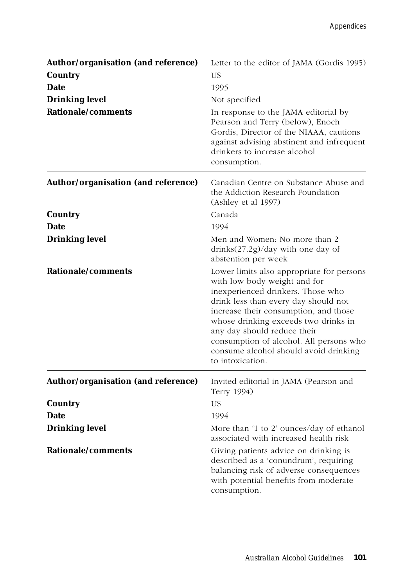| Author/organisation (and reference) | Letter to the editor of JAMA (Gordis 1995)                                                                                                                                                                                                                                                                                                                                     |
|-------------------------------------|--------------------------------------------------------------------------------------------------------------------------------------------------------------------------------------------------------------------------------------------------------------------------------------------------------------------------------------------------------------------------------|
| Country                             | US                                                                                                                                                                                                                                                                                                                                                                             |
| <b>Date</b>                         | 1995                                                                                                                                                                                                                                                                                                                                                                           |
| <b>Drinking level</b>               | Not specified                                                                                                                                                                                                                                                                                                                                                                  |
| Rationale/comments                  | In response to the JAMA editorial by<br>Pearson and Terry (below), Enoch<br>Gordis, Director of the NIAAA, cautions<br>against advising abstinent and infrequent<br>drinkers to increase alcohol<br>consumption.                                                                                                                                                               |
| Author/organisation (and reference) | Canadian Centre on Substance Abuse and<br>the Addiction Research Foundation<br>(Ashley et al 1997)                                                                                                                                                                                                                                                                             |
| Country                             | Canada                                                                                                                                                                                                                                                                                                                                                                         |
| <b>Date</b>                         | 1994                                                                                                                                                                                                                                                                                                                                                                           |
| <b>Drinking level</b>               | Men and Women: No more than 2<br>drinks(27.2g)/day with one day of<br>abstention per week                                                                                                                                                                                                                                                                                      |
| Rationale/comments                  | Lower limits also appropriate for persons<br>with low body weight and for<br>inexperienced drinkers. Those who<br>drink less than every day should not<br>increase their consumption, and those<br>whose drinking exceeds two drinks in<br>any day should reduce their<br>consumption of alcohol. All persons who<br>consume alcohol should avoid drinking<br>to intoxication. |
| Author/organisation (and reference) | Invited editorial in JAMA (Pearson and<br>Terry 1994)                                                                                                                                                                                                                                                                                                                          |
| Country                             | <b>US</b>                                                                                                                                                                                                                                                                                                                                                                      |
| <b>Date</b>                         | 1994                                                                                                                                                                                                                                                                                                                                                                           |
| <b>Drinking level</b>               | More than '1 to 2' ounces/day of ethanol<br>associated with increased health risk                                                                                                                                                                                                                                                                                              |
| Rationale/comments                  | Giving patients advice on drinking is<br>described as a 'conundrum', requiring<br>balancing risk of adverse consequences<br>with potential benefits from moderate<br>consumption.                                                                                                                                                                                              |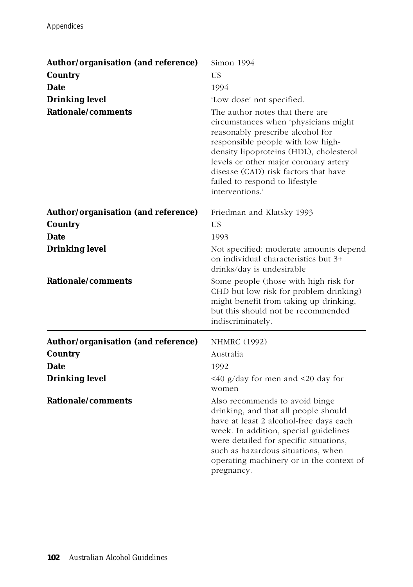| Author/organisation (and reference) | Simon 1994                                                                                                                                                                                                                                                                                                                        |
|-------------------------------------|-----------------------------------------------------------------------------------------------------------------------------------------------------------------------------------------------------------------------------------------------------------------------------------------------------------------------------------|
| Country                             | <b>US</b>                                                                                                                                                                                                                                                                                                                         |
| <b>Date</b>                         | 1994                                                                                                                                                                                                                                                                                                                              |
| <b>Drinking level</b>               | 'Low dose' not specified.                                                                                                                                                                                                                                                                                                         |
| Rationale/comments                  | The author notes that there are<br>circumstances when 'physicians might<br>reasonably prescribe alcohol for<br>responsible people with low high-<br>density lipoproteins (HDL), cholesterol<br>levels or other major coronary artery<br>disease (CAD) risk factors that have<br>failed to respond to lifestyle<br>interventions.' |
| Author/organisation (and reference) | Friedman and Klatsky 1993                                                                                                                                                                                                                                                                                                         |
| Country                             | US                                                                                                                                                                                                                                                                                                                                |
| <b>Date</b>                         | 1993                                                                                                                                                                                                                                                                                                                              |
| <b>Drinking level</b>               | Not specified: moderate amounts depend<br>on individual characteristics but 3+<br>drinks/day is undesirable                                                                                                                                                                                                                       |
| Rationale/comments                  | Some people (those with high risk for<br>CHD but low risk for problem drinking)<br>might benefit from taking up drinking,<br>but this should not be recommended<br>indiscriminately.                                                                                                                                              |
| Author/organisation (and reference) | <b>NHMRC</b> (1992)                                                                                                                                                                                                                                                                                                               |
| Country                             | Australia                                                                                                                                                                                                                                                                                                                         |
| <b>Date</b>                         | 1992                                                                                                                                                                                                                                                                                                                              |
| <b>Drinking level</b>               | $\leq$ 40 g/day for men and $\leq$ 20 day for<br>women                                                                                                                                                                                                                                                                            |
| Rationale/comments                  | Also recommends to avoid binge<br>drinking, and that all people should<br>have at least 2 alcohol-free days each<br>week. In addition, special guidelines<br>were detailed for specific situations,<br>such as hazardous situations, when<br>operating machinery or in the context of<br>pregnancy.                               |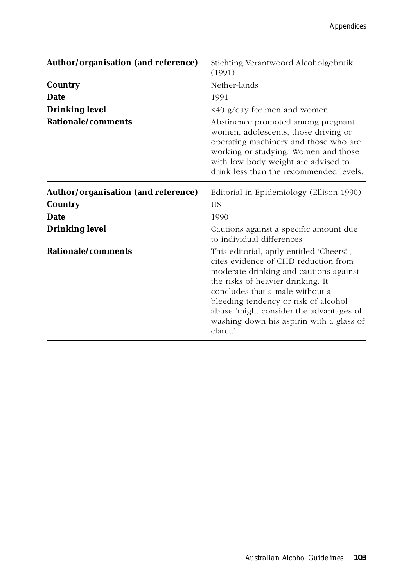| Author/organisation (and reference) | Stichting Verantwoord Alcoholgebruik<br>(1991)                                                                                                                                                                                                                                                                                                 |
|-------------------------------------|------------------------------------------------------------------------------------------------------------------------------------------------------------------------------------------------------------------------------------------------------------------------------------------------------------------------------------------------|
| Country                             | Nether-lands                                                                                                                                                                                                                                                                                                                                   |
| <b>Date</b>                         | 1991                                                                                                                                                                                                                                                                                                                                           |
| <b>Drinking level</b>               | $\leq 40$ g/day for men and women                                                                                                                                                                                                                                                                                                              |
| Rationale/comments                  | Abstinence promoted among pregnant<br>women, adolescents, those driving or<br>operating machinery and those who are<br>working or studying. Women and those<br>with low body weight are advised to<br>drink less than the recommended levels.                                                                                                  |
| Author/organisation (and reference) | Editorial in Epidemiology (Ellison 1990)                                                                                                                                                                                                                                                                                                       |
| Country                             | US                                                                                                                                                                                                                                                                                                                                             |
| <b>Date</b>                         | 1990                                                                                                                                                                                                                                                                                                                                           |
| <b>Drinking level</b>               | Cautions against a specific amount due<br>to individual differences                                                                                                                                                                                                                                                                            |
| Rationale/comments                  | This editorial, aptly entitled 'Cheers!',<br>cites evidence of CHD reduction from<br>moderate drinking and cautions against<br>the risks of heavier drinking. It<br>concludes that a male without a<br>bleeding tendency or risk of alcohol<br>abuse 'might consider the advantages of<br>washing down his aspirin with a glass of<br>claret.' |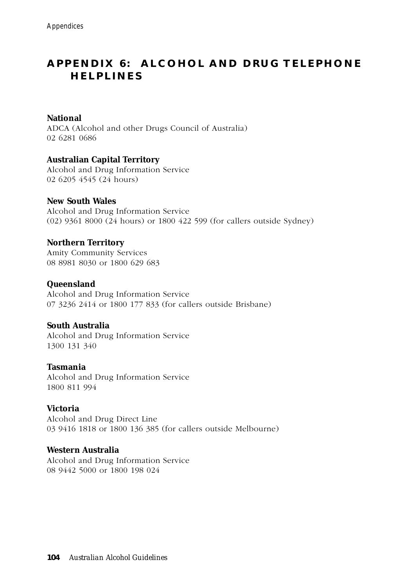# **APPENDIX 6: ALCOHOL AND DRUG TELEPHONE HELPLINES**

#### **National**

ADCA (Alcohol and other Drugs Council of Australia) 02 6281 0686

#### **Australian Capital Territory**

Alcohol and Drug Information Service 02 6205 4545 (24 hours)

#### **New South Wales**

Alcohol and Drug Information Service (02) 9361 8000 (24 hours) or 1800 422 599 (for callers outside Sydney)

#### **Northern Territory**

Amity Community Services 08 8981 8030 or 1800 629 683

#### **Queensland**

Alcohol and Drug Information Service 07 3236 2414 or 1800 177 833 (for callers outside Brisbane)

#### **South Australia**

Alcohol and Drug Information Service 1300 131 340

#### **Tasmania**

Alcohol and Drug Information Service 1800 811 994

#### **Victoria**

Alcohol and Drug Direct Line 03 9416 1818 or 1800 136 385 (for callers outside Melbourne)

#### **Western Australia**

Alcohol and Drug Information Service 08 9442 5000 or 1800 198 024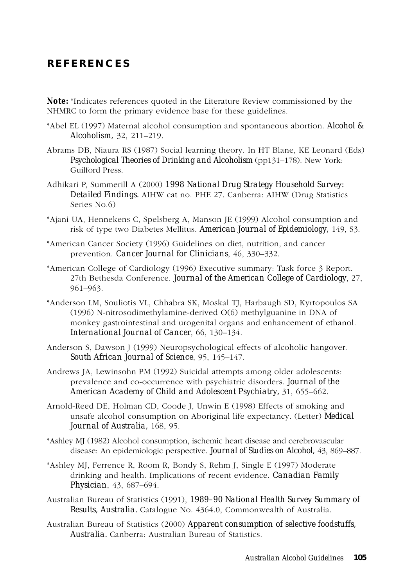# **REFERENCES**

*Note:* \*Indicates references quoted in the Literature Review commissioned by the NHMRC to form the primary evidence base for these guidelines.

- \*Abel EL (1997) Maternal alcohol consumption and spontaneous abortion. *Alcohol & Alcoholism,* 32, 211–219.
- Abrams DB, Niaura RS (1987) Social learning theory. In HT Blane, KE Leonard (Eds) *Psychological Theories of Drinking and Alcoholism* (pp131–178). New York: Guilford Press.
- Adhikari P, Summerill A (2000) *1998 National Drug Strategy Household Survey: Detailed Findings.* AIHW cat no. PHE 27. Canberra: AIHW (Drug Statistics Series No.6)
- \*Ajani UA, Hennekens C, Spelsberg A, Manson JE (1999) Alcohol consumption and risk of type two Diabetes Mellitus. *American Journal of Epidemiology,* 149, S3.
- \*American Cancer Society (1996) Guidelines on diet, nutrition, and cancer prevention. *Cancer Journal for Clinicians*, 46, 330–332.
- \*American College of Cardiology (1996) Executive summary: Task force 3 Report. 27th Bethesda Conference. *Journal of the American College of Cardiology*, 27, 961–963.
- \*Anderson LM, Souliotis VL, Chhabra SK, Moskal TJ, Harbaugh SD, Kyrtopoulos SA (1996) N-nitrosodimethylamine-derived O(6) methylguanine in DNA of monkey gastrointestinal and urogenital organs and enhancement of ethanol. *International Journal of Cancer*, 66, 130–134.
- Anderson S, Dawson J (1999) Neuropsychological effects of alcoholic hangover. *South African Journal of Science*, 95, 145–147.
- Andrews JA, Lewinsohn PM (1992) Suicidal attempts among older adolescents: prevalence and co-occurrence with psychiatric disorders. *Journal of the American Academy of Child and Adolescent Psychiatry,* 31, 655–662.
- Arnold-Reed DE, Holman CD, Coode J, Unwin E (1998) Effects of smoking and unsafe alcohol consumption on Aboriginal life expectancy. (Letter) *Medical Journal of Australia,* 168, 95.
- \*Ashley MJ (1982) Alcohol consumption, ischemic heart disease and cerebrovascular disease: An epidemiologic perspective. *Journal of Studies on Alcohol,* 43, 869–887.
- \*Ashley MJ, Ferrence R, Room R, Bondy S, Rehm J, Single E (1997) Moderate drinking and health. Implications of recent evidence. *Canadian Family Physician*, 43, 687–694.
- Australian Bureau of Statistics (1991), *1989–90 National Health Survey Summary of Results, Australia.* Catalogue No. 4364.0, Commonwealth of Australia.
- Australian Bureau of Statistics (2000) *Apparent consumption of selective foodstuffs, Australia.* Canberra: Australian Bureau of Statistics.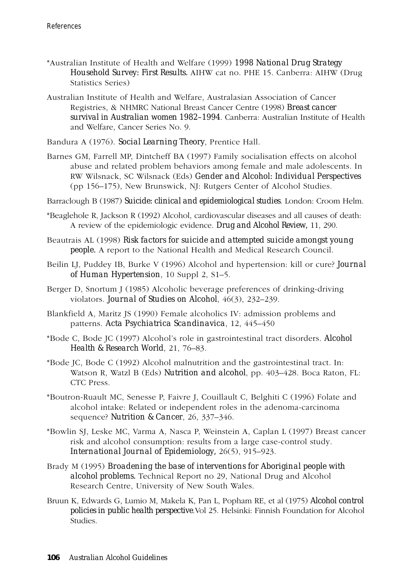- \*Australian Institute of Health and Welfare (1999) *1998 National Drug Strategy Household Survey: First Results.* AIHW cat no. PHE 15. Canberra: AIHW (Drug Statistics Series)
- Australian Institute of Health and Welfare, Australasian Association of Cancer Registries, & NHMRC National Breast Cancer Centre (1998) *Breast cancer survival in Australian women 1982–1994*. Canberra: Australian Institute of Health and Welfare, Cancer Series No. 9.
- Bandura A (1976). *Social Learning Theory*, Prentice Hall.
- Barnes GM, Farrell MP, Dintcheff BA (1997) Family socialisation effects on alcohol abuse and related problem behaviors among female and male adolescents. In RW Wilsnack, SC Wilsnack (Eds) *Gender and Alcohol: Individual Perspectives* (pp 156–175), New Brunswick, NJ: Rutgers Center of Alcohol Studies.
- Barraclough B (1987) *Suicide: clinical and epidemiological studies*. London: Croom Helm.
- \*Beaglehole R, Jackson R (1992) Alcohol, cardiovascular diseases and all causes of death: A review of the epidemiologic evidence. *Drug and Alcohol Review,* 11, 290.
- Beautrais AL (1998) *Risk factors for suicide and attempted suicide amongst young people.* A report to the National Health and Medical Research Council.
- Beilin LJ, Puddey IB, Burke V (1996) Alcohol and hypertension: kill or cure? *Journal of Human Hypertension*, 10 Suppl 2, S1–5.
- Berger D, Snortum J (1985) Alcoholic beverage preferences of drinking-driving violators. *Journal of Studies on Alcohol*, 46(3), 232–239.
- Blankfield A, Maritz JS (1990) Female alcoholics IV: admission problems and patterns. *Acta Psychiatrica Scandinavica*, 12, 445–450
- \*Bode C, Bode JC (1997) Alcohol's role in gastrointestinal tract disorders. *Alcohol Health & Research World*, 21, 76–83.
- \*Bode JC, Bode C (1992) Alcohol malnutrition and the gastrointestinal tract. In: Watson R, Watzl B (Eds) *Nutrition and alcohol*, pp. 403–428. Boca Raton, FL: CTC Press.
- \*Boutron-Ruault MC, Senesse P, Faivre J, Couillault C, Belghiti C (1996) Folate and alcohol intake: Related or independent roles in the adenoma-carcinoma sequence? *Nutrition & Cancer*, 26, 337–346.
- \*Bowlin SJ, Leske MC, Varma A, Nasca P, Weinstein A, Caplan L (1997) Breast cancer risk and alcohol consumption: results from a large case-control study. *International Journal of Epidemiology,* 26(5), 915–923.
- Brady M (1995) *Broadening the base of interventions for Aboriginal people with alcohol problems.* Technical Report no 29, National Drug and Alcohol Research Centre, University of New South Wales.
- Bruun K, Edwards G, Lumio M, Makela K, Pan L, Popham RE, et al (1975) *Alcohol control policies in public health perspective*.Vol 25. Helsinki: Finnish Foundation for Alcohol Studies.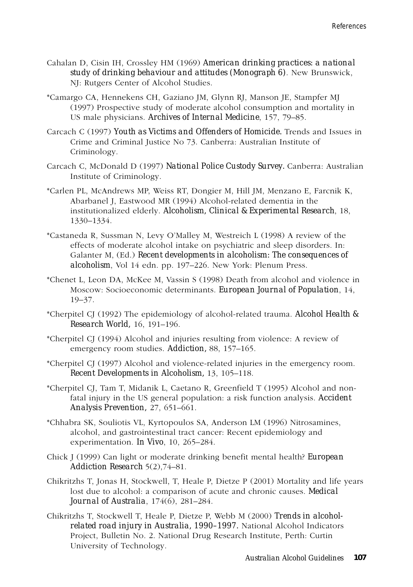- Cahalan D, Cisin IH, Crossley HM (1969) *American drinking practices: a national study of drinking behaviour and attitudes (Monograph 6)*. New Brunswick, NJ: Rutgers Center of Alcohol Studies.
- \*Camargo CA, Hennekens CH, Gaziano JM, Glynn RJ, Manson JE, Stampfer MJ (1997) Prospective study of moderate alcohol consumption and mortality in US male physicians. *Archives of Internal Medicine*, 157, 79–85.
- Carcach C (1997) *Youth as Victims and Offenders of Homicide.* Trends and Issues in Crime and Criminal Justice No 73. Canberra: Australian Institute of Criminology.
- Carcach C, McDonald D (1997) *National Police Custody Survey.* Canberra: Australian Institute of Criminology.
- \*Carlen PL, McAndrews MP, Weiss RT, Dongier M, Hill JM, Menzano E, Farcnik K, Abarbanel J, Eastwood MR (1994) Alcohol-related dementia in the institutionalized elderly. *Alcoholism, Clinical & Experimental Research*, 18, 1330–1334.
- \*Castaneda R, Sussman N, Levy O'Malley M, Westreich L (1998) A review of the effects of moderate alcohol intake on psychiatric and sleep disorders. In: Galanter M, (Ed.) *Recent developments in alcoholism: The consequences of alcoholism*, Vol 14 edn. pp. 197–226. New York: Plenum Press.
- \*Chenet L, Leon DA, McKee M, Vassin S (1998) Death from alcohol and violence in Moscow: Socioeconomic determinants. *European Journal of Population*, 14, 19–37.
- \*Cherpitel CJ (1992) The epidemiology of alcohol-related trauma. *Alcohol Health & Research World,* 16, 191–196.
- \*Cherpitel CJ (1994) Alcohol and injuries resulting from violence: A review of emergency room studies. *Addiction,* 88, 157–165.
- \*Cherpitel CJ (1997) Alcohol and violence-related injuries in the emergency room. *Recent Developments in Alcoholism,* 13, 105–118.
- \*Cherpitel CJ, Tam T, Midanik L, Caetano R, Greenfield T (1995) Alcohol and nonfatal injury in the US general population: a risk function analysis. *Accident Analysis Prevention,* 27, 651–661.
- \*Chhabra SK, Souliotis VL, Kyrtopoulos SA, Anderson LM (1996) Nitrosamines, alcohol, and gastrointestinal tract cancer: Recent epidemiology and experimentation. *In Vivo*, 10, 265–284.
- Chick J (1999) Can light or moderate drinking benefit mental health? *European Addiction Research* 5(2),74–81.
- Chikritzhs T, Jonas H, Stockwell, T, Heale P, Dietze P (2001) Mortality and life years lost due to alcohol: a comparison of acute and chronic causes. *Medical Journal of Australia*, 174(6), 281–284.
- Chikritzhs T, Stockwell T, Heale P, Dietze P, Webb M (2000) *Trends in alcoholrelated road injury in Australia, 1990–1997.* National Alcohol Indicators Project, Bulletin No. 2. National Drug Research Institute, Perth: Curtin University of Technology.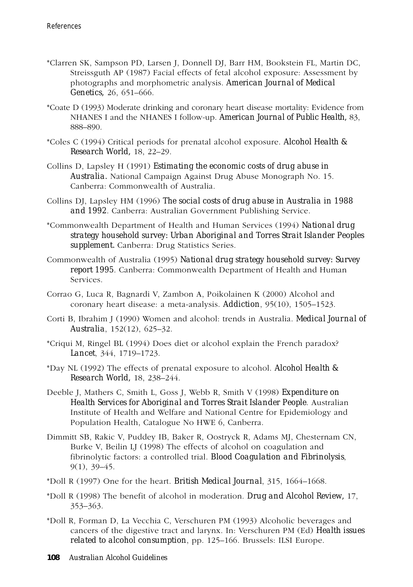- \*Clarren SK, Sampson PD, Larsen J, Donnell DJ, Barr HM, Bookstein FL, Martin DC, Streissguth AP (1987) Facial effects of fetal alcohol exposure: Assessment by photographs and morphometric analysis. *American Journal of Medical Genetics,* 26, 651–666.
- \*Coate D (1993) Moderate drinking and coronary heart disease mortality: Evidence from NHANES I and the NHANES I follow-up. *American Journal of Public Health,* 83, 888–890.
- \*Coles C (1994) Critical periods for prenatal alcohol exposure. *Alcohol Health & Research World,* 18, 22–29.
- Collins D, Lapsley H (1991) *Estimating the economic costs of drug abuse in Australia.* National Campaign Against Drug Abuse Monograph No. 15. Canberra: Commonwealth of Australia.
- Collins DJ, Lapsley HM (1996) *The social costs of drug abuse in Australia in 1988 and 1992*. Canberra: Australian Government Publishing Service.
- \*Commonwealth Department of Health and Human Services (1994) *National drug strategy household survey: Urban Aboriginal and Torres Strait Islander Peoples supplement.* Canberra: Drug Statistics Series.
- Commonwealth of Australia (1995) *National drug strategy household survey: Survey report 1995*. Canberra: Commonwealth Department of Health and Human Services.
- Corrao G, Luca R, Bagnardi V, Zambon A, Poikolainen K (2000) Alcohol and coronary heart disease: a meta-analysis. *Addiction*, 95(10), 1505–1523.
- Corti B, Ibrahim J (1990) Women and alcohol: trends in Australia. *Medical Journal of Australia*, 152(12), 625–32.
- \*Criqui M, Ringel BL (1994) Does diet or alcohol explain the French paradox? *Lancet*, 344, 1719–1723.
- \*Day NL (1992) The effects of prenatal exposure to alcohol. *Alcohol Health & Research World,* 18, 238–244.
- Deeble J, Mathers C, Smith L, Goss J, Webb R, Smith V (1998) *Expenditure on Health Services for Aboriginal and Torres Strait Islander People*. Australian Institute of Health and Welfare and National Centre for Epidemiology and Population Health, Catalogue No HWE 6, Canberra.
- Dimmitt SB, Rakic V, Puddey IB, Baker R, Oostryck R, Adams MJ, Chesternam CN, Burke V, Beilin LJ (1998) The effects of alcohol on coagulation and fibrinolytic factors: a controlled trial. *Blood Coagulation and Fibrinolysis*, 9(1), 39–45.
- \*Doll R (1997) One for the heart. *British Medical Journal*, 315, 1664–1668.
- \*Doll R (1998) The benefit of alcohol in moderation. *Drug and Alcohol Review,* 17, 353–363.
- \*Doll R, Forman D, La Vecchia C, Verschuren PM (1993) Alcoholic beverages and cancers of the digestive tract and larynx. In: Verschuren PM (Ed) *Health issues related to alcohol consumption*, pp. 125–166. Brussels: ILSI Europe.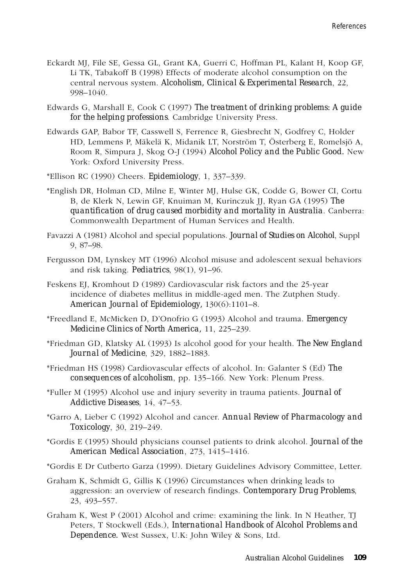- Eckardt MJ, File SE, Gessa GL, Grant KA, Guerri C, Hoffman PL, Kalant H, Koop GF, Li TK, Tabakoff B (1998) Effects of moderate alcohol consumption on the central nervous system. *Alcoholism, Clinical & Experimental Research*, 22, 998–1040.
- Edwards G, Marshall E, Cook C (1997) *The treatment of drinking problems: A guide for the helping professions*. Cambridge University Press.
- Edwards GAP, Babor TF, Casswell S, Ferrence R, Giesbrecht N, Godfrey C, Holder HD, Lemmens P, Mäkelä K, Midanik LT, Norström T, Österberg E, Romelsjö A, Room R, Simpura J, Skog O-J (1994) *Alcohol Policy and the Public Good.* New York: Oxford University Press.
- \*Ellison RC (1990) Cheers. *Epidemiology*, 1, 337–339.
- \*English DR, Holman CD, Milne E, Winter MJ, Hulse GK, Codde G, Bower CI, Cortu B, de Klerk N, Lewin GF, Knuiman M, Kurinczuk JJ, Ryan GA (1995) *The quantification of drug caused morbidity and mortality in Australia*. Canberra: Commonwealth Department of Human Services and Health.
- Favazzi A (1981) Alcohol and special populations. *Journal of Studies on Alcohol*, Suppl 9, 87–98.
- Fergusson DM, Lynskey MT (1996) Alcohol misuse and adolescent sexual behaviors and risk taking. *Pediatrics*, 98(1), 91–96.
- Feskens EJ, Kromhout D (1989) Cardiovascular risk factors and the 25-year incidence of diabetes mellitus in middle-aged men. The Zutphen Study. *American Journal of Epidemiology,* 130(6):1101–8.
- \*Freedland E, McMicken D, D'Onofrio G (1993) Alcohol and trauma. *Emergency Medicine Clinics of North America,* 11, 225–239.
- \*Friedman GD, Klatsky AL (1993) Is alcohol good for your health. *The New England Journal of Medicine*, 329, 1882–1883.
- \*Friedman HS (1998) Cardiovascular effects of alcohol. In: Galanter S (Ed) *The consequences of alcoholism*, pp. 135–166. New York: Plenum Press.
- \*Fuller M (1995) Alcohol use and injury severity in trauma patients. *Journal of Addictive Diseases*, 14, 47–53.
- \*Garro A, Lieber C (1992) Alcohol and cancer. *Annual Review of Pharmacology and Toxicology*, 30, 219–249.
- \*Gordis E (1995) Should physicians counsel patients to drink alcohol. *Journal of the American Medical Association*, 273, 1415–1416.
- \*Gordis E Dr Cutberto Garza (1999). Dietary Guidelines Advisory Committee, Letter.
- Graham K, Schmidt G, Gillis K (1996) Circumstances when drinking leads to aggression: an overview of research findings. *Contemporary Drug Problems*, 23, 493–557.
- Graham K, West P (2001) Alcohol and crime: examining the link. In N Heather, TJ Peters, T Stockwell (Eds.), *International Handbook of Alcohol Problems and Dependence.* West Sussex, U.K: John Wiley & Sons, Ltd.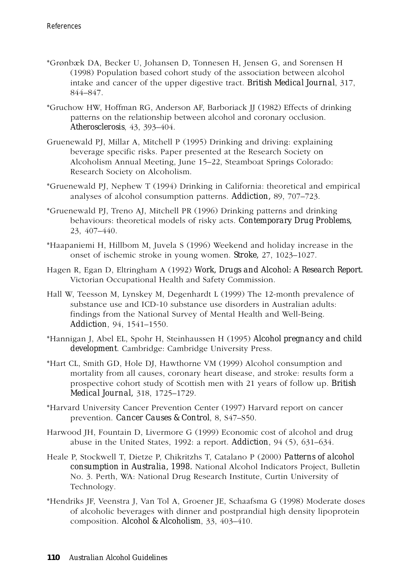- \*Grønbæk DA, Becker U, Johansen D, Tonnesen H, Jensen G, and Sorensen H (1998) Population based cohort study of the association between alcohol intake and cancer of the upper digestive tract. *British Medical Journal*, 317, 844–847.
- \*Gruchow HW, Hoffman RG, Anderson AF, Barboriack JJ (1982) Effects of drinking patterns on the relationship between alcohol and coronary occlusion. *Atherosclerosis*, 43, 393–404.
- Gruenewald PJ, Millar A, Mitchell P (1995) Drinking and driving: explaining beverage specific risks. Paper presented at the Research Society on Alcoholism Annual Meeting, June 15–22, Steamboat Springs Colorado: Research Society on Alcoholism.
- \*Gruenewald PJ, Nephew T (1994) Drinking in California: theoretical and empirical analyses of alcohol consumption patterns. *Addiction,* 89, 707–723.
- \*Gruenewald PJ, Treno AJ, Mitchell PR (1996) Drinking patterns and drinking behaviours: theoretical models of risky acts. *Contemporary Drug Problems,* 23, 407–440.
- \*Haapaniemi H, Hillbom M, Juvela S (1996) Weekend and holiday increase in the onset of ischemic stroke in young women. *Stroke,* 27, 1023–1027.
- Hagen R, Egan D, Eltringham A (1992) *Work, Drugs and Alcohol: A Research Report.* Victorian Occupational Health and Safety Commission.
- Hall W, Teesson M, Lynskey M, Degenhardt L (1999) The 12-month prevalence of substance use and ICD-10 substance use disorders in Australian adults: findings from the National Survey of Mental Health and Well-Being. *Addiction*, 94, 1541–1550.
- \*Hannigan J, Abel EL, Spohr H, Steinhaussen H (1995) *Alcohol pregnancy and child development*. Cambridge: Cambridge University Press.
- \*Hart CL, Smith GD, Hole DJ, Hawthorne VM (1999) Alcohol consumption and mortality from all causes, coronary heart disease, and stroke: results form a prospective cohort study of Scottish men with 21 years of follow up. *British Medical Journal,* 318, 1725–1729.
- \*Harvard University Cancer Prevention Center (1997) Harvard report on cancer prevention. *Cancer Causes & Control*, 8, S47–S50.
- Harwood JH, Fountain D, Livermore G (1999) Economic cost of alcohol and drug abuse in the United States, 1992: a report. *Addiction*, 94 (5), 631–634.
- Heale P, Stockwell T, Dietze P, Chikritzhs T, Catalano P (2000) *Patterns of alcohol consumption in Australia, 1998.* National Alcohol Indicators Project, Bulletin No. 3. Perth, WA: National Drug Research Institute, Curtin University of Technology.
- \*Hendriks JF, Veenstra J, Van Tol A, Groener JE, Schaafsma G (1998) Moderate doses of alcoholic beverages with dinner and postprandial high density lipoprotein composition. *Alcohol & Alcoholism*, 33, 403–410.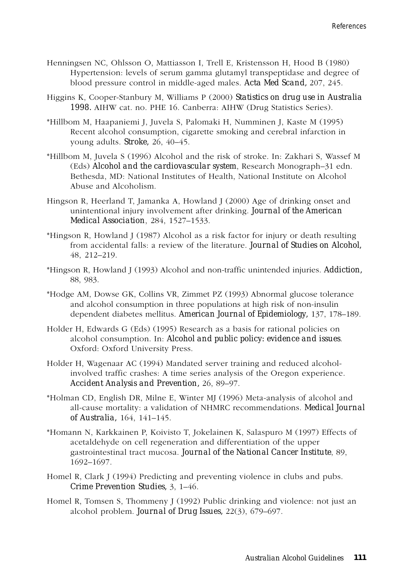- Henningsen NC, Ohlsson O, Mattiasson I, Trell E, Kristensson H, Hood B (1980) Hypertension: levels of serum gamma glutamyl transpeptidase and degree of blood pressure control in middle-aged males. *Acta Med Scand,* 207, 245.
- Higgins K, Cooper-Stanbury M, Williams P (2000) *Statistics on drug use in Australia 1998.* AIHW cat. no. PHE 16. Canberra: AIHW (Drug Statistics Series).
- \*Hillbom M, Haapaniemi J, Juvela S, Palomaki H, Numminen J, Kaste M (1995) Recent alcohol consumption, cigarette smoking and cerebral infarction in young adults. *Stroke,* 26, 40–45.
- \*Hillbom M, Juvela S (1996) Alcohol and the risk of stroke. In: Zakhari S, Wassef M (Eds) *Alcohol and the cardiovascular system*, Research Monograph–31 edn. Bethesda, MD: National Institutes of Health, National Institute on Alcohol Abuse and Alcoholism.
- Hingson R, Heerland T, Jamanka A, Howland J (2000) Age of drinking onset and unintentional injury involvement after drinking. *Journal of the American Medical Association*, 284, 1527–1533.
- \*Hingson R, Howland J (1987) Alcohol as a risk factor for injury or death resulting from accidental falls: a review of the literature. *Journal of Studies on Alcohol,* 48, 212–219.
- \*Hingson R, Howland J (1993) Alcohol and non-traffic unintended injuries. *Addiction,* 88, 983.
- \*Hodge AM, Dowse GK, Collins VR, Zimmet PZ (1993) Abnormal glucose tolerance and alcohol consumption in three populations at high risk of non-insulin dependent diabetes mellitus. *American Journal of Epidemiology,* 137, 178–189.
- Holder H, Edwards G (Eds) (1995) Research as a basis for rational policies on alcohol consumption. In: *Alcohol and public policy: evidence and issues*. Oxford: Oxford University Press.
- Holder H, Wagenaar AC (1994) Mandated server training and reduced alcoholinvolved traffic crashes: A time series analysis of the Oregon experience. *Accident Analysis and Prevention,* 26, 89–97.
- \*Holman CD, English DR, Milne E, Winter MJ (1996) Meta-analysis of alcohol and all-cause mortality: a validation of NHMRC recommendations. *Medical Journal of Australia,* 164, 141–145.
- \*Homann N, Karkkainen P, Koivisto T, Jokelainen K, Salaspuro M (1997) Effects of acetaldehyde on cell regeneration and differentiation of the upper gastrointestinal tract mucosa. *Journal of the National Cancer Institute*, 89, 1692–1697.
- Homel R, Clark J (1994) Predicting and preventing violence in clubs and pubs. *Crime Prevention Studies,* 3, 1–46.
- Homel R, Tomsen S, Thommeny J (1992) Public drinking and violence: not just an alcohol problem. *Journal of Drug Issues,* 22(3), 679–697.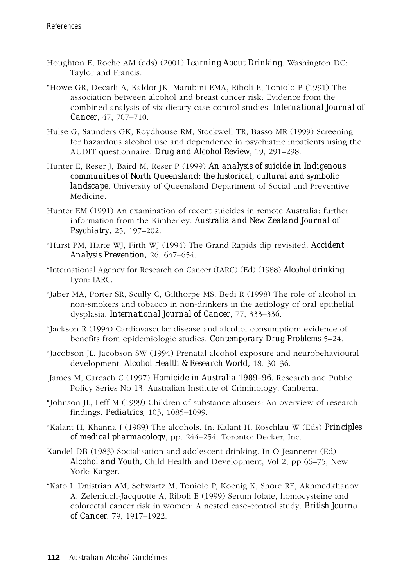- Houghton E, Roche AM (eds) (2001) *Learning About Drinking*. Washington DC: Taylor and Francis.
- \*Howe GR, Decarli A, Kaldor JK, Marubini EMA, Riboli E, Toniolo P (1991) The association between alcohol and breast cancer risk: Evidence from the combined analysis of six dietary case-control studies. *International Journal of Cancer*, 47, 707–710.
- Hulse G, Saunders GK, Roydhouse RM, Stockwell TR, Basso MR (1999) Screening for hazardous alcohol use and dependence in psychiatric inpatients using the AUDIT questionnaire. *Drug and Alcohol Review*, 19, 291–298.
- Hunter E, Reser J, Baird M, Reser P (1999) *An analysis of suicide in Indigenous communities of North Queensland: the historical, cultural and symbolic landscape*. University of Queensland Department of Social and Preventive Medicine.
- Hunter EM (1991) An examination of recent suicides in remote Australia: further information from the Kimberley. *Australia and New Zealand Journal of Psychiatry,* 25, 197–202.
- \*Hurst PM, Harte WJ, Firth WJ (1994) The Grand Rapids dip revisited. *Accident Analysis Prevention,* 26, 647–654.
- \*International Agency for Research on Cancer (IARC) (Ed) (1988) *Alcohol drinking*. Lyon: IARC.
- \*Jaber MA, Porter SR, Scully C, Gilthorpe MS, Bedi R (1998) The role of alcohol in non-smokers and tobacco in non-drinkers in the aetiology of oral epithelial dysplasia. *International Journal of Cancer*, 77, 333–336.
- \*Jackson R (1994) Cardiovascular disease and alcohol consumption: evidence of benefits from epidemiologic studies. *Contemporary Drug Problems* 5–24.
- \*Jacobson JL, Jacobson SW (1994) Prenatal alcohol exposure and neurobehavioural development. *Alcohol Health & Research World,* 18, 30–36.
- James M, Carcach C (1997) *Homicide in Australia 1989–96.* Research and Public Policy Series No 13. Australian Institute of Criminology, Canberra.
- \*Johnson JL, Leff M (1999) Children of substance abusers: An overview of research findings. *Pediatrics,* 103, 1085–1099.
- \*Kalant H, Khanna J (1989) The alcohols. In: Kalant H, Roschlau W (Eds) *Principles of medical pharmacology*, pp. 244–254. Toronto: Decker, Inc.
- Kandel DB (1983) Socialisation and adolescent drinking. In O Jeanneret (Ed) *Alcohol and Youth,* Child Health and Development, Vol 2, pp 66–75, New York: Karger.
- \*Kato I, Dnistrian AM, Schwartz M, Toniolo P, Koenig K, Shore RE, Akhmedkhanov A, Zeleniuch-Jacquotte A, Riboli E (1999) Serum folate, homocysteine and colorectal cancer risk in women: A nested case-control study. *British Journal of Cancer*, 79, 1917–1922.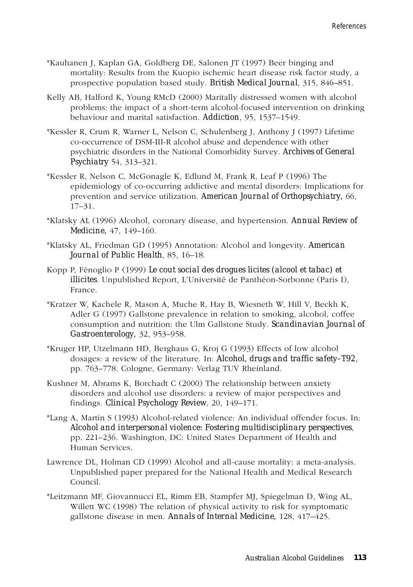- \*Kauhanen J, Kaplan GA, Goldberg DE, Salonen JT (1997) Beer binging and mortality: Results from the Kuopio ischemic heart disease risk factor study, a prospective population based study. *British Medical Journal*, 315, 846–851.
- Kelly AB, Halford K, Young RMcD (2000) Maritally distressed women with alcohol problems: the impact of a short-term alcohol-focused intervention on drinking behaviour and marital satisfaction. *Addiction*, 95, 1537–1549.
- \*Kessler R, Crum R, Warner L, Nelson C, Schulenberg J, Anthony J (1997) Lifetime co-occurrence of DSM-III-R alcohol abuse and dependence with other psychiatric disorders in the National Comorbidity Survey. *Archives of General Psychiatry* 54, 313–321.
- \*Kessler R, Nelson C, McGonagle K, Edlund M, Frank R, Leaf P (1996) The epidemiology of co-occurring addictive and mental disorders: Implications for prevention and service utilization. *American Journal of Orthopsychiatry,* 66, 17–31.
- \*Klatsky AL (1996) Alcohol, coronary disease, and hypertension. *Annual Review of Medicine,* 47, 149–160.
- \*Klatsky AL, Friedman GD (1995) Annotation: Alcohol and longevity. *American Journal of Public Health*, 85, 16–18.
- Kopp P, Fénoglio P (1999) *Le cout social des drogues licites (alcool et tabac) et illicites*. Unpublished Report, L'Université de Panthéon-Sorbonne (Paris I), France.
- \*Kratzer W, Kachele R, Mason A, Muche R, Hay B, Wiesneth W, Hill V, Beckh K, Adler G (1997) Gallstone prevalence in relation to smoking, alcohol, coffee consumption and nutrition: the Ulm Gallstone Study. *Scandinavian Journal of Gastroenterology,* 32, 953–958.
- \*Kruger HP, Utzelmann HD, Berghaus G, Kroj G (1993) Effects of low alcohol dosages: a review of the literature. In: *Alcohol, drugs and traffic safety–T92*, pp. 763–778. Cologne, Germany: Verlag TUV Rheinland.
- Kushner M, Abrams K, Borchadt C (2000) The relationship between anxiety disorders and alcohol use disorders: a review of major perspectives and findings. *Clinical Psychology Review*, 20, 149–171.
- \*Lang A, Martin S (1993) Alcohol-related violence: An individual offender focus. In: *Alcohol and interpersonal violence: Fostering multidisciplinary perspectives*, pp. 221–236. Washington, DC: United States Department of Health and Human Services.
- Lawrence DL, Holman CD (1999) Alcohol and all-cause mortality: a meta-analysis. Unpublished paper prepared for the National Health and Medical Research Council.
- \*Leitzmann MF, Giovannucci EL, Rimm EB, Stampfer MJ, Spiegelman D, Wing AL, Willett WC (1998) The relation of physical activity to risk for symptomatic gallstone disease in men. *Annals of Internal Medicine,* 128, 417–425.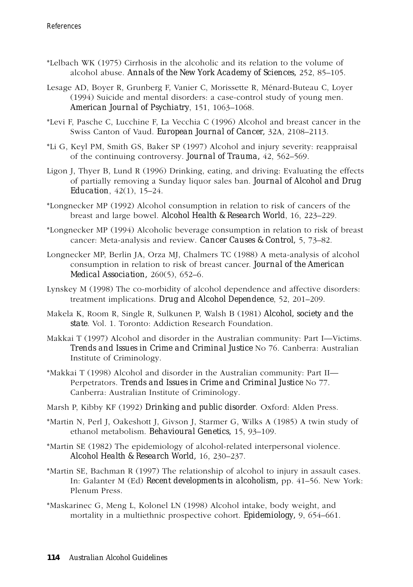- \*Lelbach WK (1975) Cirrhosis in the alcoholic and its relation to the volume of alcohol abuse. *Annals of the New York Academy of Sciences,* 252, 85–105.
- Lesage AD, Boyer R, Grunberg F, Vanier C, Morissette R, Ménard-Buteau C, Loyer (1994) Suicide and mental disorders: a case-control study of young men. *American Journal of Psychiatry*, 151, 1063–1068.
- \*Levi F, Pasche C, Lucchine F, La Vecchia C (1996) Alcohol and breast cancer in the Swiss Canton of Vaud. *European Journal of Cancer,* 32A, 2108–2113.
- \*Li G, Keyl PM, Smith GS, Baker SP (1997) Alcohol and injury severity: reappraisal of the continuing controversy. *Journal of Trauma,* 42, 562–569.
- Ligon J, Thyer B, Lund R (1996) Drinking, eating, and driving: Evaluating the effects of partially removing a Sunday liquor sales ban. *Journal of Alcohol and Drug Education*, 42(1), 15–24.
- \*Longnecker MP (1992) Alcohol consumption in relation to risk of cancers of the breast and large bowel. *Alcohol Health & Research World*, 16, 223–229.
- \*Longnecker MP (1994) Alcoholic beverage consumption in relation to risk of breast cancer: Meta-analysis and review. *Cancer Causes & Control,* 5, 73–82.
- Longnecker MP, Berlin JA, Orza MJ, Chalmers TC (1988) A meta-analysis of alcohol consumption in relation to risk of breast cancer. *Journal of the American Medical Association,* 260(5), 652–6.
- Lynskey M (1998) The co-morbidity of alcohol dependence and affective disorders: treatment implications. *Drug and Alcohol Dependence*, 52, 201–209.
- Makela K, Room R, Single R, Sulkunen P, Walsh B (1981) *Alcohol, society and the state*. Vol. 1. Toronto: Addiction Research Foundation.
- Makkai T (1997) Alcohol and disorder in the Australian community: Part I—Victims. *Trends and Issues in Crime and Criminal Justice* No 76. Canberra: Australian Institute of Criminology.
- \*Makkai T (1998) Alcohol and disorder in the Australian community: Part II— Perpetrators. *Trends and Issues in Crime and Criminal Justice* No 77. Canberra: Australian Institute of Criminology.
- Marsh P, Kibby KF (1992) *Drinking and public disorder*. Oxford: Alden Press.
- \*Martin N, Perl J, Oakeshott J, Givson J, Starmer G, Wilks A (1985) A twin study of ethanol metabolism. *Behavioural Genetics,* 15, 93–109.
- \*Martin SE (1982) The epidemiology of alcohol-related interpersonal violence. *Alcohol Health & Research World,* 16, 230–237.
- \*Martin SE, Bachman R (1997) The relationship of alcohol to injury in assault cases. In: Galanter M (Ed) *Recent developments in alcoholism,* pp. 41–56. New York: Plenum Press.
- \*Maskarinec G, Meng L, Kolonel LN (1998) Alcohol intake, body weight, and mortality in a multiethnic prospective cohort. *Epidemiology,* 9, 654–661.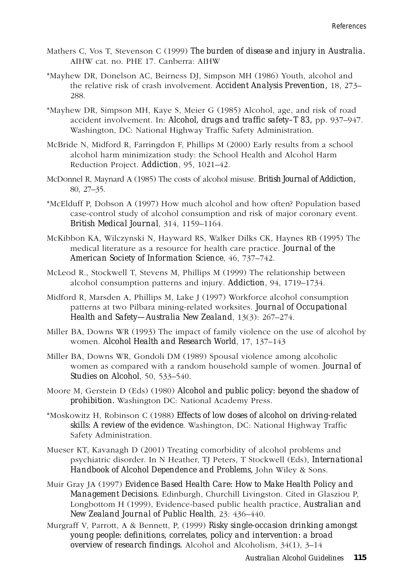- Mathers C, Vos T, Stevenson C (1999) *The burden of disease and injury in Australia.* AIHW cat. no. PHE 17. Canberra: AIHW
- \*Mayhew DR, Donelson AC, Beirness DJ, Simpson MH (1986) Youth, alcohol and the relative risk of crash involvement. *Accident Analysis Prevention,* 18, 273– 288.
- \*Mayhew DR, Simpson MH, Kaye S, Meier G (1985) Alcohol, age, and risk of road accident involvement. In: *Alcohol, drugs and traffic safety–T 83,* pp. 937–947. Washington, DC: National Highway Traffic Safety Administration.
- McBride N, Midford R, Farringdon F, Phillips M (2000) Early results from a school alcohol harm minimization study: the School Health and Alcohol Harm Reduction Project. *Addiction*, 95, 1021–42.
- McDonnel R, Maynard A (1985) The costs of alcohol misuse. *British Journal of Addiction,* 80, 27–35.
- \*McElduff P, Dobson A (1997) How much alcohol and how often? Population based case-control study of alcohol consumption and risk of major coronary event. *British Medical Journal*, 314, 1159–1164.
- McKibbon KA, Wilczynski N, Hayward RS, Walker Dilks CK, Haynes RB (1995) The medical literature as a resource for health care practice. *Journal of the American Society of Information Science*, 46, 737–742.
- McLeod R., Stockwell T, Stevens M, Phillips M (1999) The relationship between alcohol consumption patterns and injury. *Addiction*, 94, 1719–1734.
- Midford R, Marsden A, Phillips M, Lake J (1997) Workforce alcohol consumption patterns at two Pilbara mining-related worksites. *Journal of Occupational Health and Safety—Australia New Zealand*, 13(3): 267–274.
- Miller BA, Downs WR (1993) The impact of family violence on the use of alcohol by women. *Alcohol Health and Research World*, 17, 137–143
- Miller BA, Downs WR, Gondoli DM (1989) Spousal violence among alcoholic women as compared with a random household sample of women. *Journal of Studies on Alcohol*, 50, 533–540.
- Moore M, Gerstein D (Eds) (1980) *Alcohol and public policy: beyond the shadow of prohibition.* Washington DC: National Academy Press.
- \*Moskowitz H, Robinson C (1988) *Effects of low doses of alcohol on driving-related skills: A review of the evidence*. Washington, DC: National Highway Traffic Safety Administration.
- Mueser KT, Kavanagh D (2001) Treating comorbidity of alcohol problems and psychiatric disorder. In N Heather, TJ Peters, T Stockwell (Eds), *International Handbook of Alcohol Dependence and Problems,* John Wiley & Sons.
- Muir Gray JA (1997) *Evidence Based Health Care: How to Make Health Policy and Management Decisions.* Edinburgh, Churchill Livingston. Cited in Glasziou P, Longbottom H (1999), Evidence-based public health practice, *Australian and New Zealand Journal of Public Health*, 23: 436–440.
- Murgraff V, Parrott, A & Bennett, P, (1999) *Risky single-occasion drinking amongst young people: definitions, correlates, policy and intervention: a broad overview of research findings.* Alcohol and Alcoholism, 34(1), 3–14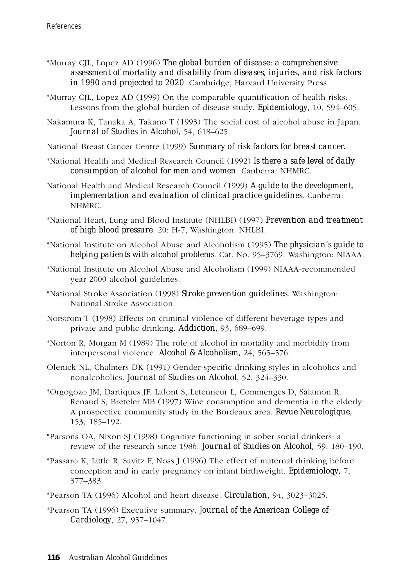- \*Murray CJL, Lopez AD (1996) *The global burden of disease: a comprehensive assessment of mortality and disability from diseases, injuries, and risk factors in 1990 and projected to 2020*. Cambridge, Harvard University Press.
- \*Murray CJL, Lopez AD (1999) On the comparable quantification of health risks: Lessons from the global burden of disease study. *Epidemiology,* 10, 594–605.
- Nakamura K, Tanaka A, Takano T (1993) The social cost of alcohol abuse in Japan. *Journal of Studies in Alcohol,* 54, 618–625.
- National Breast Cancer Centre (1999) *Summary of risk factors for breast cancer.*
- \*National Health and Medical Research Council (1992) *Is there a safe level of daily consumption of alcohol for men and women*. Canberra: NHMRC.
- National Health and Medical Research Council (1999) *A guide to the development, implementation and evaluation of clinical practice guidelines*. Canberra: NHMRC.
- \*National Heart, Lung and Blood Institute (NHLBI) (1997) *Prevention and treatment of high blood pressure*. 20: H-7, Washington: NHLBI.
- \*National Institute on Alcohol Abuse and Alcoholism (1995) *The physician's guide to helping patients with alcohol problems*. Cat. No. 95–3769. Washington: NIAAA.
- \*National Institute on Alcohol Abuse and Alcoholism (1999) NIAAA-recommended year 2000 alcohol guidelines.
- \*National Stroke Association (1998) *Stroke prevention guidelines*. Washington: National Stroke Association.
- Norstrom T (1998) Effects on criminal violence of different beverage types and private and public drinking. *Addiction,* 93, 689–699.
- \*Norton R, Morgan M (1989) The role of alcohol in mortality and morbidity from interpersonal violence. *Alcohol & Alcoholism,* 24, 565–576.
- Olenick NL, Chalmers DK (1991) Gender-specific drinking styles in alcoholics and nonalcoholics. *Journal of Studies on Alcohol*, 52, 324–330.
- \*Orgogozo JM, Dartiques JF, Lafont S, Letenneur L, Commenges D, Salamon R, Renaud S, Breteler MB (1997) Wine consumption and dementia in the elderly: A prospective community study in the Bordeaux area. *Revue Neurologique,* 153, 185–192.
- \*Parsons OA, Nixon SJ (1998) Cognitive functioning in sober social drinkers: a review of the research since 1986. *Journal of Studies on Alcohol,* 59, 180–190.
- \*Passaro K, Little R, Savitz F, Noss J (1996) The effect of maternal drinking before conception and in early pregnancy on infant birthweight. *Epidemiology,* 7, 377–383.
- \*Pearson TA (1996) Alcohol and heart disease. *Circulation*, 94, 3023–3025.
- \*Pearson TA (1996) Executive summary. *Journal of the American College of Cardiology*, 27, 957–1047.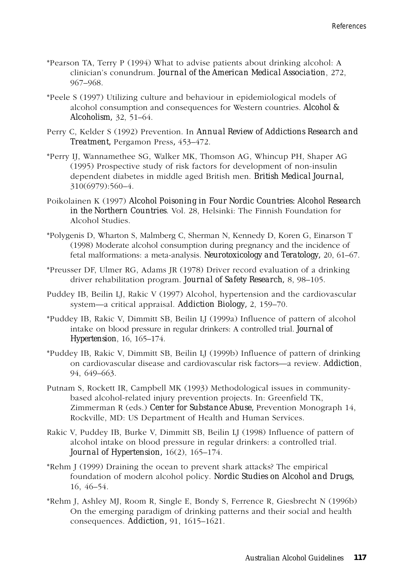- \*Pearson TA, Terry P (1994) What to advise patients about drinking alcohol: A clinician's conundrum. *Journal of the American Medical Association*, 272, 967–968.
- \*Peele S (1997) Utilizing culture and behaviour in epidemiological models of alcohol consumption and consequences for Western countries. *Alcohol & Alcoholism,* 32, 51–64.
- Perry C, Kelder S (1992) Prevention. In *Annual Review of Addictions Research and Treatment,* Pergamon Press*,* 453–472.
- \*Perry IJ, Wannamethee SG, Walker MK, Thomson AG, Whincup PH, Shaper AG (1995) Prospective study of risk factors for development of non-insulin dependent diabetes in middle aged British men. *British Medical Journal,* 310(6979):560–4.
- Poikolainen K (1997) *Alcohol Poisoning in Four Nordic Countries: Alcohol Research in the Northern Countries*. Vol. 28, Helsinki: The Finnish Foundation for Alcohol Studies.
- \*Polygenis D, Wharton S, Malmberg C, Sherman N, Kennedy D, Koren G, Einarson T (1998) Moderate alcohol consumption during pregnancy and the incidence of fetal malformations: a meta-analysis. *Neurotoxicology and Teratology,* 20, 61–67.
- \*Preusser DF, Ulmer RG, Adams JR (1978) Driver record evaluation of a drinking driver rehabilitation program. *Journal of Safety Research,* 8, 98–105.
- Puddey IB, Beilin LJ, Rakic V (1997) Alcohol, hypertension and the cardiovascular system—a critical appraisal. *Addiction Biology,* 2, 159–70.
- \*Puddey IB, Rakic V, Dimmitt SB, Beilin LJ (1999a) Influence of pattern of alcohol intake on blood pressure in regular drinkers: A controlled trial. *Journal of Hypertension*, 16, 165–174.
- \*Puddey IB, Rakic V, Dimmitt SB, Beilin LJ (1999b) Influence of pattern of drinking on cardiovascular disease and cardiovascular risk factors—a review. *Addiction*, 94, 649–663.
- Putnam S, Rockett IR, Campbell MK (1993) Methodological issues in communitybased alcohol-related injury prevention projects. In: Greenfield TK, Zimmerman R (eds.) *Center for Substance Abuse,* Prevention Monograph 14, Rockville, MD: US Department of Health and Human Services.
- Rakic V, Puddey IB, Burke V, Dimmitt SB, Beilin LJ (1998) Influence of pattern of alcohol intake on blood pressure in regular drinkers: a controlled trial. *Journal of Hypertension,* 16(2), 165–174.
- \*Rehm J (1999) Draining the ocean to prevent shark attacks? The empirical foundation of modern alcohol policy. *Nordic Studies on Alcohol and Drugs,* 16, 46–54.
- \*Rehm J, Ashley MJ, Room R, Single E, Bondy S, Ferrence R, Giesbrecht N (1996b) On the emerging paradigm of drinking patterns and their social and health consequences. *Addiction,* 91, 1615–1621.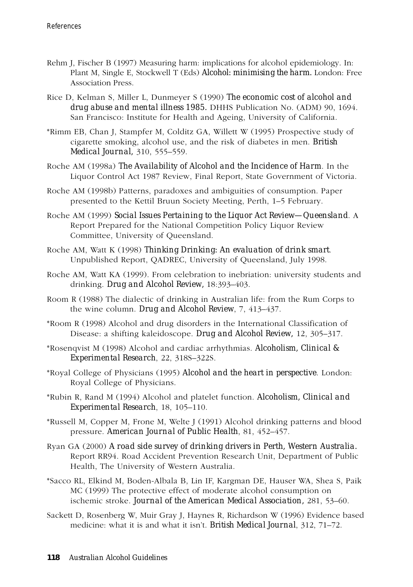- Rehm J, Fischer B (1997) Measuring harm: implications for alcohol epidemiology. In: Plant M, Single E, Stockwell T (Eds) *Alcohol: minimising the harm.* London: Free Association Press.
- Rice D, Kelman S, Miller L, Dunmeyer S (1990) *The economic cost of alcohol and drug abuse and mental illness 1985.* DHHS Publication No. (ADM) 90, 1694. San Francisco: Institute for Health and Ageing, University of California.
- \*Rimm EB, Chan J, Stampfer M, Colditz GA, Willett W (1995) Prospective study of cigarette smoking, alcohol use, and the risk of diabetes in men. *British Medical Journal,* 310, 555–559.
- Roche AM (1998a) *The Availability of Alcohol and the Incidence of Harm*. In the Liquor Control Act 1987 Review, Final Report, State Government of Victoria.
- Roche AM (1998b) Patterns, paradoxes and ambiguities of consumption. Paper presented to the Kettil Bruun Society Meeting, Perth, 1–5 February.
- Roche AM (1999) *Social Issues Pertaining to the Liquor Act Review—Queensland*. A Report Prepared for the National Competition Policy Liquor Review Committee, University of Queensland.
- Roche AM, Watt K (1998) *Thinking Drinking: An evaluation of drink smart*. Unpublished Report, QADREC, University of Queensland, July 1998.
- Roche AM, Watt KA (1999). From celebration to inebriation: university students and drinking. *Drug and Alcohol Review,* 18:393–403.
- Room R (1988) The dialectic of drinking in Australian life: from the Rum Corps to the wine column. *Drug and Alcohol Review*, 7, 413–437.
- \*Room R (1998) Alcohol and drug disorders in the International Classification of Disease: a shifting kaleidoscope. *Drug and Alcohol Review,* 12, 305–317.
- \*Rosenqvist M (1998) Alcohol and cardiac arrhythmias. *Alcoholism, Clinical & Experimental Research*, 22, 318S–322S.
- \*Royal College of Physicians (1995) *Alcohol and the heart in perspective*. London: Royal College of Physicians.
- \*Rubin R, Rand M (1994) Alcohol and platelet function. *Alcoholism, Clinical and Experimental Research*, 18, 105–110.
- \*Russell M, Copper M, Frone M, Welte J (1991) Alcohol drinking patterns and blood pressure. *American Journal of Public Health*, 81, 452–457.
- Ryan GA (2000) *A road side survey of drinking drivers in Perth, Western Australia.* Report RR94. Road Accident Prevention Research Unit, Department of Public Health, The University of Western Australia.
- \*Sacco RL, Elkind M, Boden-Albala B, Lin IF, Kargman DE, Hauser WA, Shea S, Paik MC (1999) The protective effect of moderate alcohol consumption on ischemic stroke. *Journal of the American Medical Association,* 281, 53–60.
- Sackett D, Rosenberg W, Muir Gray J, Haynes R, Richardson W (1996) Evidence based medicine: what it is and what it isn't. *British Medical Journal*, 312, 71–72.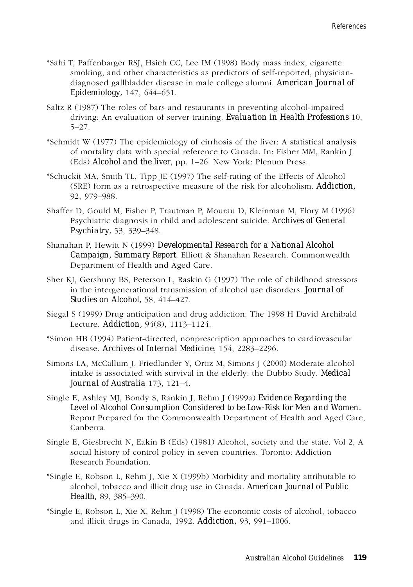- \*Sahi T, Paffenbarger RSJ, Hsieh CC, Lee IM (1998) Body mass index, cigarette smoking, and other characteristics as predictors of self-reported, physiciandiagnosed gallbladder disease in male college alumni. *American Journal of Epidemiology,* 147, 644–651.
- Saltz R (1987) The roles of bars and restaurants in preventing alcohol-impaired driving: An evaluation of server training. *Evaluation in Health Professions* 10, 5–27.
- \*Schmidt W (1977) The epidemiology of cirrhosis of the liver: A statistical analysis of mortality data with special reference to Canada. In: Fisher MM, Rankin J (Eds) *Alcohol and the liver*, pp. 1–26. New York: Plenum Press.
- \*Schuckit MA, Smith TL, Tipp JE (1997) The self-rating of the Effects of Alcohol (SRE) form as a retrospective measure of the risk for alcoholism. *Addiction,* 92, 979–988.
- Shaffer D, Gould M, Fisher P, Trautman P, Mourau D, Kleinman M, Flory M (1996) Psychiatric diagnosis in child and adolescent suicide. *Archives of General Psychiatry,* 53, 339–348.
- Shanahan P, Hewitt N (1999) *Developmental Research for a National Alcohol Campaign, Summary Report*. Elliott & Shanahan Research. Commonwealth Department of Health and Aged Care.
- Sher KJ, Gershuny BS, Peterson L, Raskin G (1997) The role of childhood stressors in the intergenerational transmission of alcohol use disorders. *Journal of Studies on Alcohol,* 58, 414–427.
- Siegal S (1999) Drug anticipation and drug addiction: The 1998 H David Archibald Lecture. *Addiction,* 94(8), 1113–1124.
- \*Simon HB (1994) Patient-directed, nonprescription approaches to cardiovascular disease. *Archives of Internal Medicine*, 154, 2283–2296.
- Simons LA, McCallum J, Friedlander Y, Ortiz M, Simons J (2000) Moderate alcohol intake is associated with survival in the elderly: the Dubbo Study. *Medical Journal of Australia* 173, 121–4.
- Single E, Ashley MJ, Bondy S, Rankin J, Rehm J (1999a) *Evidence Regarding the Level of Alcohol Consumption Considered to be Low-Risk for Men and Women.* Report Prepared for the Commonwealth Department of Health and Aged Care, Canberra.
- Single E, Giesbrecht N, Eakin B (Eds) (1981) Alcohol, society and the state. Vol 2, A social history of control policy in seven countries. Toronto: Addiction Research Foundation.
- \*Single E, Robson L, Rehm J, Xie X (1999b) Morbidity and mortality attributable to alcohol, tobacco and illicit drug use in Canada. *American Journal of Public Health,* 89, 385–390.
- \*Single E, Robson L, Xie X, Rehm J (1998) The economic costs of alcohol, tobacco and illicit drugs in Canada, 1992. *Addiction,* 93, 991–1006.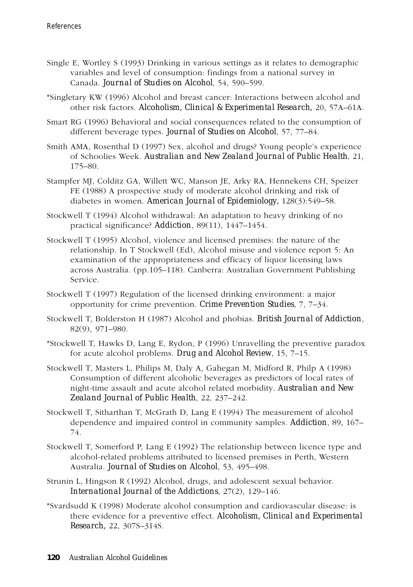- Single E, Wortley S (1993) Drinking in various settings as it relates to demographic variables and level of consumption: findings from a national survey in Canada. *Journal of Studies on Alcohol*, 54, 590–599.
- \*Singletary KW (1996) Alcohol and breast cancer: Interactions between alcohol and other risk factors. *Alcoholism, Clinical & Experimental Research,* 20, 57A–61A.
- Smart RG (1996) Behavioral and social consequences related to the consumption of different beverage types. *Journal of Studies on Alcohol*, 57, 77–84.
- Smith AMA, Rosenthal D (1997) Sex, alcohol and drugs? Young people's experience of Schoolies Week. *Australian and New Zealand Journal of Public Health*, 21, 175–80.
- Stampfer MJ, Colditz GA, Willett WC, Manson JE, Arky RA, Hennekens CH, Speizer FE (1988) A prospective study of moderate alcohol drinking and risk of diabetes in women. *American Journal of Epidemiology,* 128(3):549–58.
- Stockwell T (1994) Alcohol withdrawal: An adaptation to heavy drinking of no practical significance? *Addiction*, 89(11), 1447–1454.
- Stockwell T (1995) Alcohol, violence and licensed premises: the nature of the relationship. In T Stockwell (Ed), Alcohol misuse and violence report 5: An examination of the appropriateness and efficacy of liquor licensing laws across Australia. (pp.105–118). Canberra: Australian Government Publishing Service.
- Stockwell T (1997) Regulation of the licensed drinking environment: a major opportunity for crime prevention. *Crime Prevention Studies*, 7, 7–34.
- Stockwell T, Bolderston H (1987) Alcohol and phobias. *British Journal of Addiction*, 82(9), 971–980.
- \*Stockwell T, Hawks D, Lang E, Rydon, P (1996) Unravelling the preventive paradox for acute alcohol problems. *Drug and Alcohol Review*, 15, 7–15.
- Stockwell T, Masters L, Philips M, Daly A, Gahegan M, Midford R, Philp A (1998) Consumption of different alcoholic beverages as predictors of local rates of night-time assault and acute alcohol related morbidity. *Australian and New Zealand Journal of Public Health*, 22, 237–242.
- Stockwell T, Sitharthan T, McGrath D, Lang E (1994) The measurement of alcohol dependence and impaired control in community samples. *Addiction*, 89, 167– 74.
- Stockwell T, Somerford P, Lang E (1992) The relationship between licence type and alcohol-related problems attributed to licensed premises in Perth, Western Australia. *Journal of Studies on Alcohol*, 53, 495–498.
- Strunin L, Hingson R (1992) Alcohol, drugs, and adolescent sexual behavior. *International Journal of the Addictions*, 27(2), 129–146.
- \*Svardsudd K (1998) Moderate alcohol consumption and cardiovascular disease: is there evidence for a preventive effect. *Alcoholism, Clinical and Experimental Research,* 22, 307S–314S.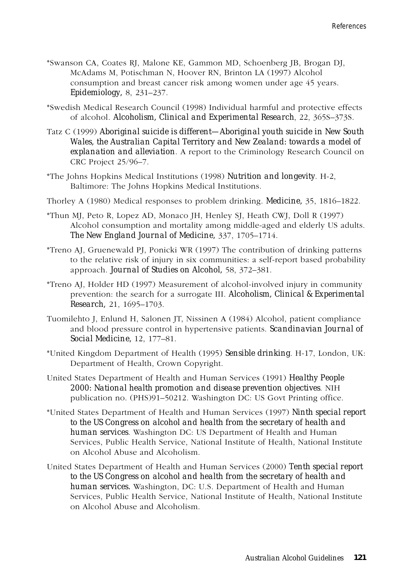- \*Swanson CA, Coates RJ, Malone KE, Gammon MD, Schoenberg JB, Brogan DJ, McAdams M, Potischman N, Hoover RN, Brinton LA (1997) Alcohol consumption and breast cancer risk among women under age 45 years. *Epidemiology,* 8, 231–237.
- \*Swedish Medical Research Council (1998) Individual harmful and protective effects of alcohol. *Alcoholism, Clinical and Experimental Research*, 22, 365S–373S.
- Tatz C (1999) *Aboriginal suicide is different—Aboriginal youth suicide in New South Wales, the Australian Capital Territory and New Zealand: towards a model of explanation and alleviation*. A report to the Criminology Research Council on CRC Project 25/96–7.
- \*The Johns Hopkins Medical Institutions (1998) *Nutrition and longevity*. H-2, Baltimore: The Johns Hopkins Medical Institutions.
- Thorley A (1980) Medical responses to problem drinking. *Medicine,* 35, 1816–1822.
- \*Thun MJ, Peto R, Lopez AD, Monaco JH, Henley SJ, Heath CWJ, Doll R (1997) Alcohol consumption and mortality among middle-aged and elderly US adults. *The New England Journal of Medicine,* 337, 1705–1714.
- \*Treno AJ, Gruenewald PJ, Ponicki WR (1997) The contribution of drinking patterns to the relative risk of injury in six communities: a self-report based probability approach. *Journal of Studies on Alcohol,* 58, 372–381.
- \*Treno AJ, Holder HD (1997) Measurement of alcohol-involved injury in community prevention: the search for a surrogate III. *Alcoholism, Clinical & Experimental Research,* 21, 1695–1703.
- Tuomilehto J, Enlund H, Salonen JT, Nissinen A (1984) Alcohol, patient compliance and blood pressure control in hypertensive patients. *Scandinavian Journal of Social Medicine,* 12, 177–81.
- \*United Kingdom Department of Health (1995) *Sensible drinking*. H-17, London, UK: Department of Health, Crown Copyright.
- United States Department of Health and Human Services (1991) *Healthy People 2000: National health promotion and disease prevention objectives*. NIH publication no. (PHS)91–50212. Washington DC: US Govt Printing office.
- \*United States Department of Health and Human Services (1997) *Ninth special report to the US Congress on alcohol and health from the secretary of health and human services*. Washington DC: US Department of Health and Human Services, Public Health Service, National Institute of Health, National Institute on Alcohol Abuse and Alcoholism.
- United States Department of Health and Human Services (2000) *Tenth special report to the US Congress on alcohol and health from the secretary of health and human services.* Washington, DC: U.S. Department of Health and Human Services, Public Health Service, National Institute of Health, National Institute on Alcohol Abuse and Alcoholism.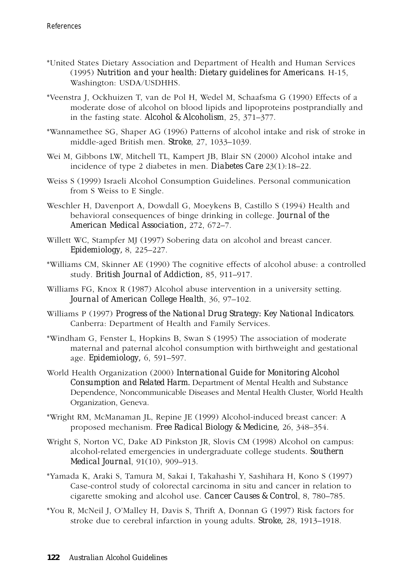- \*United States Dietary Association and Department of Health and Human Services (1995) *Nutrition and your health: Dietary guidelines for Americans*. H-15, Washington: USDA/USDHHS.
- \*Veenstra J, Ockhuizen T, van de Pol H, Wedel M, Schaafsma G (1990) Effects of a moderate dose of alcohol on blood lipids and lipoproteins postprandially and in the fasting state. *Alcohol & Alcoholism*, 25, 371–377.
- \*Wannamethee SG, Shaper AG (1996) Patterns of alcohol intake and risk of stroke in middle-aged British men. *Stroke*, 27, 1033–1039.
- Wei M, Gibbons LW, Mitchell TL, Kampert JB, Blair SN (2000) Alcohol intake and incidence of type 2 diabetes in men. *Diabetes Care* 23(1):18–22.
- Weiss S (1999) Israeli Alcohol Consumption Guidelines. Personal communication from S Weiss to E Single.
- Weschler H, Davenport A, Dowdall G, Moeykens B, Castillo S (1994) Health and behavioral consequences of binge drinking in college. *Journal of the American Medical Association,* 272, 672–7.
- Willett WC, Stampfer MJ (1997) Sobering data on alcohol and breast cancer. *Epidemiology,* 8, 225–227.
- \*Williams CM, Skinner AE (1990) The cognitive effects of alcohol abuse: a controlled study. *British Journal of Addiction,* 85, 911–917.
- Williams FG, Knox R (1987) Alcohol abuse intervention in a university setting. *Journal of American College Health*, 36, 97–102.
- Williams P (1997) *Progress of the National Drug Strategy: Key National Indicators*. Canberra: Department of Health and Family Services.
- \*Windham G, Fenster L, Hopkins B, Swan S (1995) The association of moderate maternal and paternal alcohol consumption with birthweight and gestational age. *Epidemiology,* 6, 591–597.
- World Health Organization (2000) *International Guide for Monitoring Alcohol Consumption and Related Harm.* Department of Mental Health and Substance Dependence, Noncommunicable Diseases and Mental Health Cluster, World Health Organization, Geneva.
- \*Wright RM, McManaman JL, Repine JE (1999) Alcohol-induced breast cancer: A proposed mechanism. *Free Radical Biology & Medicine,* 26, 348–354.
- Wright S, Norton VC, Dake AD Pinkston JR, Slovis CM (1998) Alcohol on campus: alcohol-related emergencies in undergraduate college students. *Southern Medical Journal*, 91(10), 909–913.
- \*Yamada K, Araki S, Tamura M, Sakai I, Takahashi Y, Sashihara H, Kono S (1997) Case-control study of colorectal carcinoma in situ and cancer in relation to cigarette smoking and alcohol use. *Cancer Causes & Control*, 8, 780–785.
- \*You R, McNeil J, O'Malley H, Davis S, Thrift A, Donnan G (1997) Risk factors for stroke due to cerebral infarction in young adults. *Stroke,* 28, 1913–1918.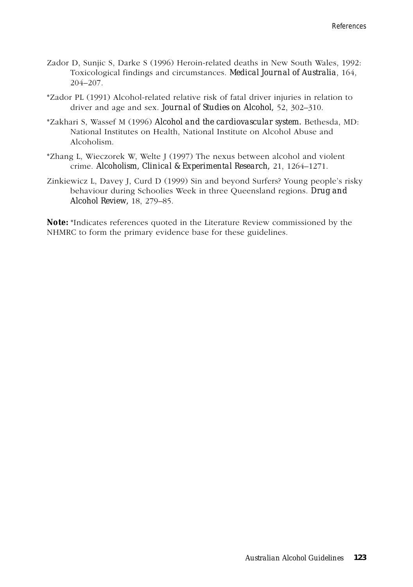- Zador D, Sunjic S, Darke S (1996) Heroin-related deaths in New South Wales, 1992: Toxicological findings and circumstances. *Medical Journal of Australia*, 164, 204–207.
- \*Zador PL (1991) Alcohol-related relative risk of fatal driver injuries in relation to driver and age and sex. *Journal of Studies on Alcohol,* 52, 302–310.
- \*Zakhari S, Wassef M (1996) *Alcohol and the cardiovascular system.* Bethesda, MD: National Institutes on Health, National Institute on Alcohol Abuse and Alcoholism.
- \*Zhang L, Wieczorek W, Welte J (1997) The nexus between alcohol and violent crime. *Alcoholism, Clinical & Experimental Research,* 21, 1264–1271.
- Zinkiewicz L, Davey J, Curd D (1999) Sin and beyond Surfers? Young people's risky behaviour during Schoolies Week in three Queensland regions. *Drug and Alcohol Review,* 18, 279–85.

*Note:* \*Indicates references quoted in the Literature Review commissioned by the NHMRC to form the primary evidence base for these guidelines.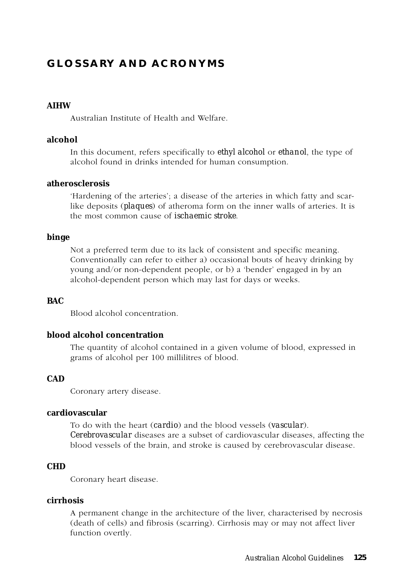# **GLOSSARY AND ACRONYMS**

#### **AIHW**

Australian Institute of Health and Welfare.

#### **alcohol**

In this document, refers specifically to *ethyl alcohol* or *ethanol*, the type of alcohol found in drinks intended for human consumption.

#### **atherosclerosis**

'Hardening of the arteries'; a disease of the arteries in which fatty and scarlike deposits (*plaques*) of atheroma form on the inner walls of arteries. It is the most common cause of *ischaemic stroke*.

#### **binge**

Not a preferred term due to its lack of consistent and specific meaning. Conventionally can refer to either a) occasional bouts of heavy drinking by young and/or non-dependent people, or b) a 'bender' engaged in by an alcohol-dependent person which may last for days or weeks.

#### **BAC**

Blood alcohol concentration.

#### **blood alcohol concentration**

The quantity of alcohol contained in a given volume of blood, expressed in grams of alcohol per 100 millilitres of blood.

# **CAD**

Coronary artery disease.

#### **cardiovascular**

To do with the heart (*cardio*) and the blood vessels (*vascular*). *Cerebrovascular* diseases are a subset of cardiovascular diseases, affecting the blood vessels of the brain, and stroke is caused by cerebrovascular disease.

#### **CHD**

Coronary heart disease.

#### **cirrhosis**

A permanent change in the architecture of the liver, characterised by necrosis (death of cells) and fibrosis (scarring). Cirrhosis may or may not affect liver function overtly.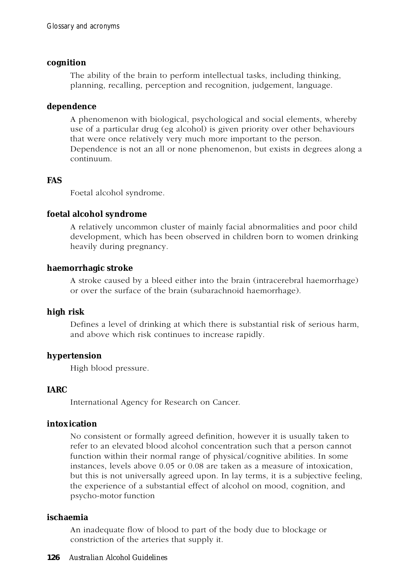#### **cognition**

The ability of the brain to perform intellectual tasks, including thinking, planning, recalling, perception and recognition, judgement, language.

#### **dependence**

A phenomenon with biological, psychological and social elements, whereby use of a particular drug (eg alcohol) is given priority over other behaviours that were once relatively very much more important to the person. Dependence is not an all or none phenomenon, but exists in degrees along a continuum.

# **FAS**

Foetal alcohol syndrome.

# **foetal alcohol syndrome**

A relatively uncommon cluster of mainly facial abnormalities and poor child development, which has been observed in children born to women drinking heavily during pregnancy.

# **haemorrhagic stroke**

A stroke caused by a bleed either into the brain (intracerebral haemorrhage) or over the surface of the brain (subarachnoid haemorrhage).

# **high risk**

Defines a level of drinking at which there is substantial risk of serious harm, and above which risk continues to increase rapidly.

# **hypertension**

High blood pressure.

# **IARC**

International Agency for Research on Cancer.

# **intoxication**

No consistent or formally agreed definition, however it is usually taken to refer to an elevated blood alcohol concentration such that a person cannot function within their normal range of physical/cognitive abilities. In some instances, levels above 0.05 or 0.08 are taken as a measure of intoxication, but this is not universally agreed upon. In lay terms, it is a subjective feeling, the experience of a substantial effect of alcohol on mood, cognition, and psycho-motor function

# **ischaemia**

An inadequate flow of blood to part of the body due to blockage or constriction of the arteries that supply it.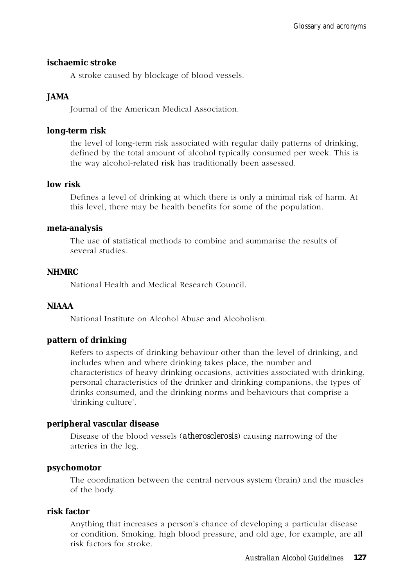#### **ischaemic stroke**

A stroke caused by blockage of blood vessels.

# **JAMA**

Journal of the American Medical Association.

#### **long-term risk**

the level of long-term risk associated with regular daily patterns of drinking, defined by the total amount of alcohol typically consumed per week. This is the way alcohol-related risk has traditionally been assessed.

# **low risk**

Defines a level of drinking at which there is only a minimal risk of harm. At this level, there may be health benefits for some of the population.

#### **meta-analysis**

The use of statistical methods to combine and summarise the results of several studies.

#### **NHMRC**

National Health and Medical Research Council.

# **NIAAA**

National Institute on Alcohol Abuse and Alcoholism.

# **pattern of drinking**

Refers to aspects of drinking behaviour other than the level of drinking, and includes when and where drinking takes place, the number and characteristics of heavy drinking occasions, activities associated with drinking, personal characteristics of the drinker and drinking companions, the types of drinks consumed, and the drinking norms and behaviours that comprise a 'drinking culture'.

# **peripheral vascular disease**

Disease of the blood vessels (*atherosclerosis*) causing narrowing of the arteries in the leg.

#### **psychomotor**

The coordination between the central nervous system (brain) and the muscles of the body.

#### **risk factor**

Anything that increases a person's chance of developing a particular disease or condition. Smoking, high blood pressure, and old age, for example, are all risk factors for stroke.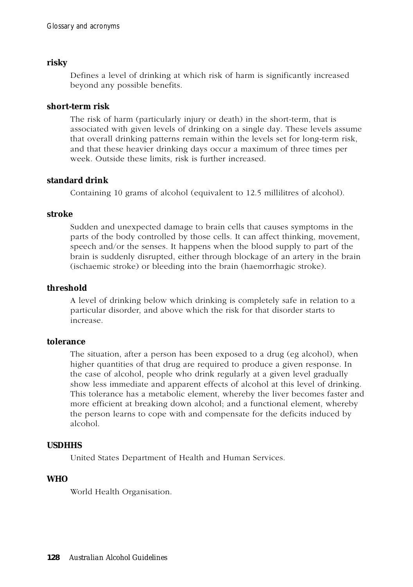# **risky**

Defines a level of drinking at which risk of harm is significantly increased beyond any possible benefits.

#### **short-term risk**

The risk of harm (particularly injury or death) in the short-term, that is associated with given levels of drinking on a single day. These levels assume that overall drinking patterns remain within the levels set for long-term risk, and that these heavier drinking days occur a maximum of three times per week. Outside these limits, risk is further increased.

# **standard drink**

Containing 10 grams of alcohol (equivalent to 12.5 millilitres of alcohol).

#### **stroke**

Sudden and unexpected damage to brain cells that causes symptoms in the parts of the body controlled by those cells. It can affect thinking, movement, speech and/or the senses. It happens when the blood supply to part of the brain is suddenly disrupted, either through blockage of an artery in the brain (ischaemic stroke) or bleeding into the brain (haemorrhagic stroke).

# **threshold**

A level of drinking below which drinking is completely safe in relation to a particular disorder, and above which the risk for that disorder starts to increase.

# **tolerance**

The situation, after a person has been exposed to a drug (eg alcohol), when higher quantities of that drug are required to produce a given response. In the case of alcohol, people who drink regularly at a given level gradually show less immediate and apparent effects of alcohol at this level of drinking. This tolerance has a metabolic element, whereby the liver becomes faster and more efficient at breaking down alcohol; and a functional element, whereby the person learns to cope with and compensate for the deficits induced by alcohol.

# **USDHHS**

United States Department of Health and Human Services.

# **WHO**

World Health Organisation.